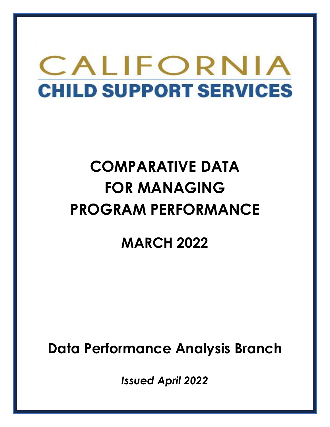# CALIFORNIA **CHILD SUPPORT SERVICES**

# **COMPARATIVE DATA FOR MANAGING PROGRAM PERFORMANCE**

# **MARCH 2022**

**Data Performance Analysis Branch** 

*Issued April 2022*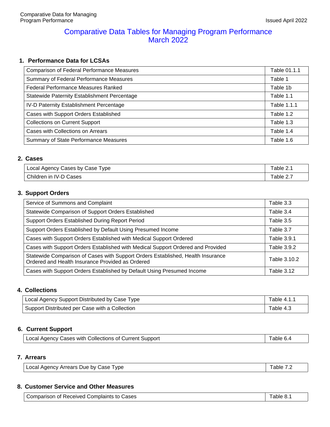#### Comparative Data Tables for Managing Program Performance March 2022

#### **1. Performance Data for LCSAs**

| <b>Comparison of Federal Performance Measures</b> | Table 01.1.1 |
|---------------------------------------------------|--------------|
| Summary of Federal Performance Measures           | Table 1      |
| Federal Performance Measures Ranked               | Table 1b     |
| Statewide Paternity Establishment Percentage      | Table 1.1    |
| IV-D Paternity Establishment Percentage           | Table 1.1.1  |
| Cases with Support Orders Established             | Table 1.2    |
| <b>Collections on Current Support</b>             | Table 1.3    |
| Cases with Collections on Arrears                 | Table 1.4    |
| Summary of State Performance Measures             | Table 1.6    |

#### **2. Cases**

| <sup>1</sup> Local Agency Cases by Case 1<br>Type | Table 2. |
|---------------------------------------------------|----------|
| Children in<br><b>IV-D Cases</b>                  | able 2.7 |

#### **3. Support Orders**

| Service of Summons and Complaint                                                                                                    | Table 3.3         |
|-------------------------------------------------------------------------------------------------------------------------------------|-------------------|
| Statewide Comparison of Support Orders Established                                                                                  | Table 3.4         |
| Support Orders Established During Report Period                                                                                     | Table 3.5         |
| Support Orders Established by Default Using Presumed Income                                                                         | Table 3.7         |
| Cases with Support Orders Established with Medical Support Ordered                                                                  | Table 3.9.1       |
| Cases with Support Orders Established with Medical Support Ordered and Provided                                                     | Table 3.9.2       |
| Statewide Comparison of Cases with Support Orders Established, Health Insurance<br>Ordered and Health Insurance Provided as Ordered | Table 3.10.2      |
| Cases with Support Orders Established by Default Using Presumed Income                                                              | <b>Table 3.12</b> |

#### **4. Collections**

| Local Agency Support Distributed by Case Type  | Table 4.1.1 |
|------------------------------------------------|-------------|
| Support Distributed per Case with a Collection | Table 4.3   |

#### **6. Current Support**

| Local Agency Cases with Collections of Current Support | Table 6.4 |
|--------------------------------------------------------|-----------|
|--------------------------------------------------------|-----------|

#### **7. Arrears**

| Local Agency Arrears Due by Case Type | Table 7.2 |
|---------------------------------------|-----------|
|---------------------------------------|-----------|

#### **8. Customer Service and Other Measures**

| Comparison of Received Complaints to Cases | Table 8.1 |
|--------------------------------------------|-----------|
|--------------------------------------------|-----------|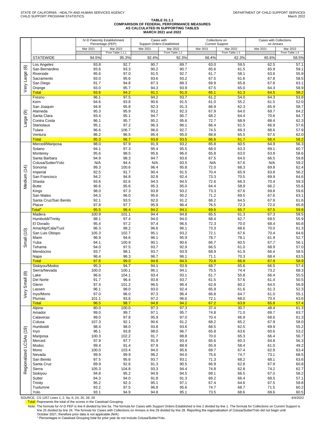#### **TABLE 01.1.1 COMPARISON OF FEDERAL PERFORMANCE MEASURES AS CALCULATED IN SUPPORTING TABLES MARCH 2021 and 2022**

|                |                                     |               | IV-D Paternity Establishment | Cases with   | <b>Support Orders Established</b> | Collections on<br><b>Current Support</b> |                | Cases with Collections<br>on Arrears |                |  |
|----------------|-------------------------------------|---------------|------------------------------|--------------|-----------------------------------|------------------------------------------|----------------|--------------------------------------|----------------|--|
|                |                                     | Mar 2021      | Percentage (PEP)<br>Mar 2022 | Mar 2021     | Mar 2022                          | Mar 2021                                 | Mar 2022       | Mar 2021                             | Mar 2022       |  |
|                |                                     |               | From Table 1.1.1             |              | From Table 1.2                    |                                          | From Table 1.3 |                                      | From Table 1.4 |  |
|                | <b>STATEWIDE</b>                    | 94.5%         | 95.3%                        | 92.4%        | 92.3%                             | 66.4%                                    | 62.3%          | 65.6%                                | 58.5%          |  |
| $\circledcirc$ | Los Angeles                         | 93.8          | 92.7                         | 90.7         | 89.7                              | 63.0                                     | 59.5           | 62.5                                 | 57.1           |  |
|                | San Bernardino<br>Riverside         | 93.6<br>95.6  | 93.3<br>97.0                 | 90.2<br>91.5 | 90.7<br>92.7                      | 65.6<br>61.7                             | 61.5<br>58.1   | 65.9<br>63.6                         | 59.1<br>55.9   |  |
|                | Sacramento                          | 93.0          | 95.6                         | 93.6         | 93.2                              | 67.5                                     | 61.6           | 67.8                                 | 58.5           |  |
|                | San Diego                           | 91.7          | 94.8                         | 87.3         | 88.3                              | 69.9                                     | 65.8           | 67.8                                 | 63.1           |  |
| Very Large     | Orange                              | 93.0          | 95.7                         | 94.3         | 93.9                              | 67.5                                     | 65.0           | 64.3                                 | 58.9           |  |
|                | <b>Total</b>                        | 93.6          | 94.2                         | 91.1         | 91.0                              | 65.1                                     | 61.3           | 64.5                                 | 58.2           |  |
|                | Fresno                              | 96.1          | 97.5                         | 94.2         | 93.7                              | 61.2                                     | 54.0<br>55.2   | 64.3                                 | 53.8<br>52.0   |  |
|                | Kern<br>San Joaquin                 | 94.6<br>94.8  | 93.8<br>95.8                 | 90.6<br>92.3 | 91.5<br>91.3                      | 61.0<br>66.9                             | 62.3           | 61.5<br>65.9                         | 58.7           |  |
| ම              | Alameda                             | 95.3          | 95.9                         | 93.2         | 92.3                              | 67.9                                     | 64.0           | 69.7                                 | 64.2           |  |
|                | Santa Clara                         | 93.4          | 95.1                         | 94.7         | 95.7                              | 68.2                                     | 64.4           | 70.6                                 | 64.7           |  |
| Large          | Contra Costa                        | 96.1          | 95.7                         | 95.2         | 95.6                              | 72.7                                     | 68.9           | 68.4                                 | 62.3           |  |
|                | Stanislaus                          | 95.1          | 97.2                         | 96.3         | 96.1                              | 66.4                                     | 61.5           | 66.9                                 | 57.6           |  |
|                | Tulare<br>Ventura                   | 96.6<br>96.2  | 106.7<br>96.5                | 96.0<br>95.4 | 92.7<br>95.0                      | 74.5<br>68.8                             | 69.3<br>65.5   | 68.6<br>67.5                         | 57.9<br>62.0   |  |
|                | <b>Total</b>                        | 95.3          | 96.7                         | 93.8         | 93.5                              | 66.6                                     | 61.7           | 66.4                                 | 58.2           |  |
|                | Merced/Mariposa                     | 98.0          | 97.9                         | 91.9         | 93.2                              | 65.8                                     | 60.5           | 64.9                                 | 56.3           |  |
|                | Solano                              | 94.1          | 97.3                         | 95.4         | 95.5                              | 68.0                                     | 63.3           | 69.1                                 | 60.7           |  |
|                | Monterey                            | 95.6          | 98.5                         | 95.6         | 96.0                              | 65.8                                     | 63.0           | 63.8                                 | 58.6           |  |
|                | Santa Barbara<br>Colusa/Sutter/Yolo | 94.9<br>N/A   | 98.3<br>94.4                 | 94.7<br>N/A  | 93.6<br>93.5                      | 67.5<br>N/A                              | 64.0<br>67.6   | 66.5<br>N/A                          | 59.8<br>59.2   |  |
|                | Sonoma                              | 99.3          | 100.6                        | 96.4         | 95.8                              | 72.0                                     | 68.3           | 69.8                                 | 62.4           |  |
|                | Imperial                            | 92.5          | 91.7                         | 90.4         | 91.5                              | 70.4                                     | 65.9           | 63.8                                 | 56.2           |  |
| Medium (14)    | San Francisco                       | 94.2          | 94.8                         | 92.8         | 92.4                              | 73.3                                     | 70.5           | 69.9                                 | 64.6           |  |
|                | Shasta                              | 93.6          | 92.6                         | 94.3         | 94.5                              | 72.6                                     | 66.3           | 70.4                                 | 59.3           |  |
|                | <b>Butte</b>                        | 96.6          | 95.6                         | 95.3         | 95.0                              | 64.4                                     | 58.9           | 66.2                                 | 55.6           |  |
|                | Kings<br>San Mateo                  | 98.0<br>94.3  | 97.3<br>96.0                 | 93.8<br>95.6 | 93.2<br>95.2                      | 73.3<br>71.2                             | 67.6<br>69.5   | 69.8<br>67.6                         | 59.6<br>63.1   |  |
|                | Santa Cruz/San Benito               | 92.1          | 93.5                         | 92.0         | 91.2                              | 68.2                                     | 64.5           | 67.9                                 | 61.6           |  |
|                | Placer                              | 97.8          | 97.7                         | 95.9         | 96.4                              | 76.5                                     | 72.3           | 72.0                                 | 65.8           |  |
|                | Total*                              | 95.5          | 96.4                         | 94.2         | 94.1                              | 69.6                                     | 65.7           | 67.5                                 | 59.8           |  |
|                | Madera                              | 100.9         | 101.1                        | 94.4         | 94.8                              | 65.5                                     | 61.3           | 67.3                                 | 59.5           |  |
|                | Humboldt/Trinity<br>El Dorado       | 98.1<br>95.4  | 97.4<br>97.2                 | 94.0<br>97.4 | 94.0<br>96.5                      | 68.4<br>72.3                             | 62.7<br>70.0   | 69.5<br>68.4                         | 55.9<br>60.8   |  |
|                | Ama/Alp/Cala/Tuol                   | 96.3          | 98.2                         | 96.6         | 96.1                              | 73.3                                     | 68.6           | 70.0                                 | 61.3           |  |
| mall(10)       | San Luis Obispo                     | 105.3         | 102.7                        | 95.1         | 93.2                              | 72.1                                     | 67.6           | 70.4                                 | 64.6           |  |
|                | Marin                               | 96.9          | 94.6                         | 96.1         | 95.9                              | 78.7                                     | 78.1           | 61.9                                 | 52.7           |  |
|                | Yuba                                | 94.1          | 100.9                        | 90.1         | 90.6                              | 66.7                                     | 60.5           | 67.7                                 | 56.1           |  |
|                | Tehama<br>Mendocino                 | 94.0<br>93.7  | 97.5<br>98.1                 | 93.7<br>93.7 | 92.9<br>93.9                      | 66.5<br>68.9                             | 61.0<br>61.9   | 68.9<br>66.4                         | 57.0<br>58.5   |  |
|                | Napa                                | 96.4          | 98.3                         | 96.7         | 96.1                              | 71.1                                     | 70.3           | 68.4                                 | 63.5           |  |
|                | <b>Total</b>                        | 97.6          | 99.0                         | 94.8         | 94.5                              | 70.8                                     | 66.8           | 67.9                                 | 58.9           |  |
|                | Siskiyou/Modoc                      | 95.3          | 94.7                         | 94.1         | 93.9                              | 68.7                                     | 65.6           | 66.5                                 | 57.4           |  |
| $\circledR$    | Sierra/Nevada                       | 100.0<br>96.6 | 100.1                        | 96.1         | 94.1                              | 75.5                                     | 74.4           | 73.2                                 | 68.3           |  |
|                | Lake<br>Del Norte                   | 91.7          | 104.1<br>96.4                | 93.4<br>93.8 | 93.1<br>93.7                      | 61.7<br>61.5                             | 55.8<br>57.6   | 66.4<br>61.4                         | 55.5<br>50.5   |  |
| Smal           | Glenn                               | 97.4          | 101.2                        | 96.5         | 96.4                              | 62.8                                     | 60.2           | 64.0                                 | 56.9           |  |
|                | Lassen                              | 96.1          | 98.0                         | 93.0         | 92.4                              | 65.9                                     | 61.6           | 61.3                                 | 52.3           |  |
| Very           | Inyo/Mono                           | 97.0          | 96.0                         | 97.3         | 96.4                              | 66.8                                     | 64.7           | 61.0                                 | 55.1           |  |
|                | Plumas<br><b>Total</b>              | 101.1<br>96.5 | 93.6<br>98.7                 | 97.2<br>94.8 | 96.6<br>94.2                      | 72.1<br>67.2                             | 68.0<br>63.8   | 70.4<br>65.8                         | 63.6<br>57.4   |  |
|                | Alpine                              | 80.0          | 100.0                        | 97.3         | 97.3                              | 37.4                                     | 30.7           | 48.4                                 | 61.3           |  |
|                | Amador                              | 99.0          | 99.7                         | 97.1         | 95.7                              | 74.8                                     | 71.0           | 69.7                                 | 63.7           |  |
|                | Calaveras                           | 99.0          | 97.8                         | 95.9         | 97.0                              | 70.4                                     | 66.9           | 68.6                                 | 61.3           |  |
|                | Colusa                              | 107.3         | 92.1                         | 90.6         | 91.2                              | 68.2                                     | 65.2           | 67.9                                 | 58.0           |  |
| (19)           | Humboldt<br>Inyo                    | 98.4<br>96.1  | 98.0<br>93.8                 | 93.8<br>98.0 | 93.6<br>96.7                      | 68.5<br>65.8                             | 62.5<br>63.6   | 69.9<br>60.6                         | 55.2<br>53.2   |  |
|                | Mariposa                            | 100.3         | 102.2                        | 91.7         | 88.8                              | 70.0                                     | 65.3           | 66.4                                 | 56.7           |  |
|                | Merced                              | 97.9          | 97.7                         | 91.9         | 93.4                              | 65.6                                     | 60.3           | 64.8                                 | 56.3           |  |
| <b>LCSAs</b>   | Modoc                               | 99.4          | 91.4                         | 87.9         | 88.9                              | 65.9                                     | 58.4           | 61.0                                 | 49.2           |  |
|                | Mono                                | 100.0         | 103.4                        | 94.0         | 95.6                              | 69.7                                     | 67.4           | 62.9                                 | 63.4           |  |
| Regionalized   | Nevada                              | 99.9          | 99.9                         | 96.2         | 94.0                              | 75.6                                     | 74.7           | 73.1                                 | 68.5           |  |
|                | San Benito<br>Santa Cruz            | 97.5<br>89.9  | 95.6<br>92.6                 | 93.7<br>91.3 | 93.1<br>90.5                      | 71.3<br>66.9                             | 68.2<br>62.8   | 68.1<br>67.9                         | 63.6<br>60.8   |  |
|                | Sierra                              | 105.3         | 104.8                        | 93.3         | 94.4                              | 74.8                                     | 62.8           | 74.2                                 | 62.7           |  |
|                | Siskiyou                            | 94.8          | 95.2                         | 94.9         | 94.5                              | 69.1                                     | 66.5           | 67.0                                 | 58.2           |  |
|                | Sutter                              | 94.3          | 94.0                         | 91.8         | 91.3                              | 69.2                                     | 66.4           | 68.5                                 | 57.1           |  |
|                | Trinity                             | 95.2          | 92.3                         | 95.1         | 97.1                              | 67.4                                     | 64.6           | 67.5                                 | 59.8           |  |
|                | Tuolumne<br>Yolo                    | 93.2<br>93.1  | 97.5<br>94.9                 | 96.8<br>94.8 | 95.6<br>95.1                      | 74.7<br>73.5                             | 68.7<br>68.6   | 71.5<br>69.6                         | 60.2<br>60.5   |  |
|                |                                     |               |                              |              |                                   |                                          |                |                                      | 14,0000        |  |

SOURCE: CS 1257 Lines 1, 2, 5a, 6, 24, 25, 28, 29 4/4/2022<br>In the score of the scores in the Caseload Grouping and the cores in the Caseload Grouping and the scores in the Caseload Grouping and the scores in the Caseload G

Note: The formula for IV-D PEP is line 6 divided by line 5a. The formula for Cases with Support Orders Established is line 2 divided by line 1. The formula for Collections on Current Support is line 29 divided by line 28.

\* Percentages in Caseload Grouping total for prior year do not include Colusa/Sutter/Yolo.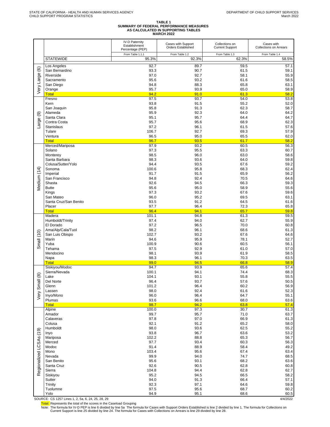# **TABLE 1 SUMMARY OF FEDERAL PERFORMANCE MEASURES AS CALCULATED IN SUPPORTING TABLES MARCH 2022**

|                         |                                      | <b>IV-D Paternity</b><br>Establishment<br>Percentage (PEP) | Cases with Support<br>Orders Established | Collections on<br><b>Current Support</b> | Cases with<br><b>Collections on Arrears</b> |
|-------------------------|--------------------------------------|------------------------------------------------------------|------------------------------------------|------------------------------------------|---------------------------------------------|
|                         | <b>STATEWIDE</b>                     | From Table 1.1.1<br>95.3%                                  | From Table 1.2<br>92.3%                  | From Table 1.3<br>62.3%                  | From Table 1.4<br>58.5%                     |
|                         | Los Angeles                          | 92.7                                                       | 89.7                                     | 59.5                                     | 57.1                                        |
| $\circlede$             | San Bernardino                       | 93.3                                                       | 90.7                                     | 61.5                                     | 59.1                                        |
| Very Large              | Riverside                            | 97.0                                                       | 92.7                                     | 58.1                                     | 55.9                                        |
|                         | Sacramento<br>San Diego              | 95.6<br>94.8                                               | 93.2<br>88.3                             | 61.6<br>65.8                             | 58.5<br>63.1                                |
|                         | Orange                               | 95.7                                                       | 93.9                                     | 65.0                                     | 58.9                                        |
|                         | <b>Total</b>                         | 94.2                                                       | 91.0                                     | 61.3                                     | 58.2                                        |
|                         | Fresno<br>Kern                       | 97.5<br>93.8                                               | 93.7<br>91.5                             | 54.0<br>55.2                             | 53.8<br>52.0                                |
|                         | San Joaquin                          | 95.8                                                       | 91.3                                     | 62.3                                     | 58.7                                        |
| ම                       | Alameda                              | 95.9                                                       | 92.3                                     | 64.0                                     | 64.2                                        |
|                         | Santa Clara                          | 95.1                                                       | 95.7                                     | 64.4                                     | 64.7                                        |
| arge                    | Contra Costa<br>Stanislaus           | 95.7<br>97.2                                               | 95.6<br>96.1                             | 68.9<br>61.5                             | 62.3<br>57.6                                |
|                         | Tulare                               | 106.7                                                      | 92.7                                     | 69.3                                     | 57.9                                        |
|                         | Ventura                              | 96.5                                                       | 95.0                                     | 65.5                                     | 62.0                                        |
|                         | <b>Total</b>                         | 96.7                                                       | 93.5                                     | 61.7                                     | 58.2                                        |
|                         | Merced/Mariposa<br>Solano            | 97.9<br>97.3                                               | 93.2<br>95.5                             | 60.5<br>63.3                             | 56.3<br>60.7                                |
|                         | Monterey                             | 98.5                                                       | 96.0                                     | 63.0                                     | 58.6                                        |
|                         | Santa Barbara                        | 98.3                                                       | 93.6                                     | 64.0                                     | 59.8                                        |
|                         | Colusa/Sutter/Yolo<br>Sonoma         | 94.4<br>100.6                                              | 93.5<br>95.8                             | 67.6<br>68.3                             | 59.2<br>62.4                                |
|                         | Imperial                             | 91.7                                                       | 91.5                                     | 65.9                                     | 56.2                                        |
|                         | San Francisco                        | 94.8                                                       | 92.4                                     | 70.5                                     | 64.6                                        |
| Medium (14)             | Shasta                               | 92.6                                                       | 94.5                                     | 66.3                                     | 59.3                                        |
|                         | <b>Butte</b><br>Kings                | 95.6<br>97.3                                               | 95.0<br>93.2                             | 58.9<br>67.6                             | 55.6<br>59.6                                |
|                         | San Mateo                            | 96.0                                                       | 95.2                                     | 69.5                                     | 63.1                                        |
|                         | Santa Cruz/San Benito                | 93.5                                                       | 91.2                                     | 64.5                                     | 61.6                                        |
|                         | Placer                               | 97.7                                                       | 96.4                                     | 72.3                                     | 65.8                                        |
|                         | <b>Total</b><br>Madera               | 96.4<br>101.1                                              | 94.1<br>94.8                             | 65.7<br>61.3                             | 59.8<br>59.5                                |
|                         | Humboldt/Trinity                     | 97.4                                                       | 94.0                                     | 62.7                                     | 55.9                                        |
|                         | El Dorado                            | 97.2                                                       | 96.5                                     | 70.0                                     | 60.8                                        |
|                         | Ama/Alp/Cala/Tuol<br>San Luis Obispo | 98.2<br>102.7                                              | 96.1<br>93.2                             | 68.6<br>67.6                             | 61.3<br>64.6                                |
| Small (10)              | Marin                                | 94.6                                                       | 95.9                                     | 78.1                                     | 52.7                                        |
|                         | Yuba                                 | 100.9                                                      | 90.6                                     | 60.5                                     | 56.1                                        |
|                         | Tehama                               | 97.5                                                       | 92.9                                     | 61.0                                     | 57.0                                        |
|                         | Mendocino<br>Napa                    | 98.1<br>98.3                                               | 93.9<br>96.1                             | 61.9<br>70.3                             | 58.5<br>63.5                                |
|                         | <b>Total</b>                         | 99.0                                                       | 94.5                                     | 66.8                                     | 58.9                                        |
|                         | Siskiyou/Modoc                       | 94.7                                                       | 93.9                                     | 65.6                                     | 57.4                                        |
| $\circledast$           | Sierra/Nevada<br>Lake                | 100.1<br>104.1                                             | 94.1<br>93.1                             | 74.4<br>55.8                             | 68.3<br>55.5                                |
|                         | Del Norte                            | 96.4                                                       | 93.7                                     | 57.6                                     | 50.5                                        |
| Smal                    | Glenn                                | 101.2                                                      | 96.4                                     | 60.2                                     | 56.9                                        |
| Very                    | Lassen                               | 98.0                                                       | 92.4                                     | 61.6                                     | 52.3                                        |
|                         | Inyo/Mono<br>Plumas                  | 96.0<br>93.6                                               | 96.4<br>96.6                             | 64.7<br>68.0                             | 55.1<br>63.6                                |
|                         | <b>Total</b>                         | 98.7                                                       | 94.2                                     | 63.8                                     | 57.4                                        |
|                         | Alpine                               | 100.0                                                      | 97.3                                     | 30.7                                     | 61.3                                        |
|                         | Amador<br>Calaveras                  | 99.7<br>97.8                                               | 95.7<br>97.0                             | 71.0<br>66.9                             | 63.7<br>61.3                                |
|                         | Colusa                               | 92.1                                                       | 91.2                                     | 65.2                                     | 58.0                                        |
|                         | Humboldt                             | 98.0                                                       | 93.6                                     | 62.5                                     | 55.2                                        |
|                         | Inyo                                 | 93.8                                                       | 96.7                                     | 63.6                                     | 53.2                                        |
|                         | Mariposa<br>Merced                   | 102.2<br>97.7                                              | 88.8<br>93.4                             | 65.3<br>60.3                             | 56.7<br>56.3                                |
| Regionalized LCSAs (19) | Modoc                                | 91.4                                                       | 88.9                                     | 58.4                                     | 49.2                                        |
|                         | Mono                                 | 103.4                                                      | 95.6                                     | 67.4                                     | 63.4                                        |
|                         | Nevada                               | 99.9<br>95.6                                               | 94.0<br>93.1                             | 74.7<br>68.2                             | 68.5<br>63.6                                |
|                         | San Benito<br>Santa Cruz             | 92.6                                                       | 90.5                                     | 62.8                                     | 60.8                                        |
|                         | Sierra                               | 104.8                                                      | 94.4                                     | 62.8                                     | 62.7                                        |
|                         | Siskiyou                             | 95.2                                                       | 94.5                                     | 66.5                                     | 58.2                                        |
|                         | Sutter<br>Trinity                    | 94.0<br>92.3                                               | 91.3<br>97.1                             | 66.4<br>64.6                             | 57.1<br>59.8                                |
|                         | Tuolumne                             | 97.5                                                       | 95.6                                     | 68.7                                     | 60.2                                        |
|                         | Yolo                                 | 94.9                                                       | 95.1                                     | 68.6                                     | 60.5                                        |

SOURCE: CS 1257 Lines 1, 2, 5a, 6, 24, 25, 28, 29 4/4/2022

<mark>Total:</mark> Represents the total of the scores in the Caseload Grouping<br>Note: The formula for IV-D PEP is line 6 divided by line 5a The formula for Cases with Support Orders Established is line 2 divided by line 1. The formul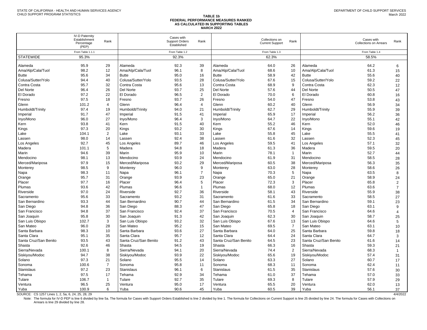#### **TABLE 1b FEDERAL PERFORMANCE MEASURES RANKED AS CALCULATED IN SUPPORTING TABLES MARCH 2022**

|                                                   | <b>IV-D Paternity</b><br>Establishment<br>Percentage<br>(PEP) | Rank           |                       | Cases with<br><b>Support Orders</b><br>Established | Rank           |                       | Collections on<br><b>Current Support</b> | Rank           |                       | Cases with<br><b>Collections on Arrears</b> | Rank           |
|---------------------------------------------------|---------------------------------------------------------------|----------------|-----------------------|----------------------------------------------------|----------------|-----------------------|------------------------------------------|----------------|-----------------------|---------------------------------------------|----------------|
|                                                   | From Table 1.1.1                                              |                |                       | From Table 1.2                                     |                |                       | From Table 1.3                           |                |                       | From Table 1.4                              |                |
| <b>STATEWIDE</b>                                  | 95.3%                                                         |                |                       | 92.3%                                              |                |                       | 62.3%                                    |                |                       | 58.5%                                       |                |
| Alameda                                           | 95.9                                                          | 29             | Alameda               | 92.3                                               | 39             | Alameda               | 64.0                                     | 26             | Alameda               | 64.2                                        | 6              |
| Ama/Alp/Cala/Tuol                                 | 98.2                                                          | 12             | Ama/Alp/Cala/Tuol     | 96.1                                               | 8              | Ama/Alp/Cala/Tuol     | 68.6                                     | 10             | Ama/Alp/Cala/Tuol     | 61.3                                        | 15             |
| <b>Butte</b>                                      | 95.6                                                          | 34             | <b>Butte</b>          | 95.0                                               | 16             | <b>Butte</b>          | 58.9                                     | 42             | <b>Butte</b>          | 55.6                                        | 40             |
| Colusa/Sutter/Yolo                                | 94.4                                                          | 40             | Colusa/Sutter/Yolo    | 93.5                                               | 28             | Colusa/Sutter/Yolo    | 67.6                                     | 15             | Colusa/Sutter/Yolo    | 59.2                                        | 22             |
| Contra Costa                                      | 95.7                                                          | 32             | Contra Costa          | 95.6                                               | 13             | Contra Costa          | 68.9                                     | 9              | Contra Costa          | 62.3                                        | 12             |
| Del Norte                                         | 96.4                                                          | 26             | Del Norte             | 93.7                                               | 25             | Del Norte             | 57.6                                     | 44             | Del Norte             | 50.5                                        | 47             |
| El Dorado                                         | 97.2                                                          | 22             | El Dorado             | 96.5                                               | 2              | El Dorado             | 70.0                                     | 6              | El Dorado             | 60.8                                        | 16             |
| Fresno                                            | 97.5                                                          | 18             | Fresno                | 93.7                                               | 26             | Fresno                | 54.0                                     | 47             | Fresno                | 53.8                                        | 43             |
| Glenn                                             | 101.2                                                         | $\overline{4}$ | Glenn                 | 96.4                                               | $\overline{4}$ | Glenn                 | 60.2                                     | 40             | Glenn                 | 56.9                                        | 34             |
| Humboldt/Trinity                                  | 97.4                                                          | 19             | Humboldt/Trinity      | 94.0                                               | 21             | Humboldt/Trinity      | 62.7                                     | 29             | Humboldt/Trinity      | 55.9                                        | 39             |
| Imperial                                          | 91.7                                                          | 47             | Imperial              | 91.5                                               | 41             | Imperial              | 65.9                                     | 17             | Imperial              | 56.2                                        | 36             |
| Inyo/Mono                                         | 96.0                                                          | 27             | Inyo/Mono             | 96.4                                               | 3              | Inyo/Mono             | 64.7                                     | 22             | Inyo/Mono             | 55.1                                        | 42             |
| Kern                                              | 93.8                                                          | 41             | Kern                  | 91.5                                               | 40             | Kern                  | 55.2                                     | 46             | Kern                  | 52.0                                        | 46             |
| Kings                                             | 97.3                                                          | 20             | Kings                 | 93.2                                               | 30             | Kings                 | 67.6                                     | 14             | Kings                 | 59.6                                        |                |
| Lake                                              | 104.1                                                         | $\overline{2}$ | Lake                  | 93.1                                               | 33             | Lake                  | 55.8                                     | 45             | Lake                  | 55.5                                        | 19             |
|                                                   | 98.0                                                          | 14             |                       | 92.4                                               | 38             |                       |                                          | 32             |                       | 52.3                                        | 41             |
| Lassen                                            | 92.7                                                          | 45             | Lassen                | 89.7                                               | 46             | Lassen                | 61.6<br>59.5                             | 41             | Lassen                | 57.1                                        | 45             |
| Los Angeles                                       | 101.1                                                         | 5              | Los Angeles           | 94.8                                               | 18             | Los Angeles           |                                          | 36             | Los Angeles           |                                             | 32             |
| Madera                                            | 94.6                                                          | 39             | Madera<br>Marin       | 95.9                                               | 10             | Madera<br>Marin       | 61.3<br>78.1                             | $\mathbf{1}$   | Madera<br>Marin       | 59.5<br>52.7                                | 20             |
| Marin                                             |                                                               |                |                       |                                                    |                |                       |                                          |                |                       |                                             | 44             |
| Mendocino                                         | 98.1                                                          | 13             | Mendocino             | 93.9                                               | 24             | Mendocino             | 61.9                                     | 31             | Mendocino             | 58.5                                        | 28             |
| Merced/Mariposa                                   | 97.9                                                          | 15             | Merced/Mariposa       | 93.2                                               | 29             | Merced/Mariposa       | 60.5                                     | 38             | Merced/Mariposa       | 56.3                                        | 35             |
| Monterey                                          | 98.5                                                          | 9              | Monterev              | 96.0                                               | 9              | Monterev              | 63.0                                     | 28             | Monterev              | 58.6                                        | 26             |
| Napa                                              | 98.3                                                          | 11             | Napa                  | 96.1                                               | $\overline{7}$ | Napa                  | 70.3                                     | 5              | Napa                  | 63.5                                        | 8              |
| Orange                                            | 95.7                                                          | 31             | Orange                | 93.9                                               | 23             | Orange                | 65.0                                     | 21             | Orange                | 58.9                                        | 24             |
| Placer                                            | 97.7                                                          | 16             | Placer                | 96.4                                               | 5              | Placer                | 72.3                                     | 3              | Placer                | 65.8                                        | $\overline{2}$ |
| Plumas                                            | 93.6                                                          | 42             | Plumas                | 96.6                                               | $\mathbf{1}$   | Plumas                | 68.0                                     | 12             | Plumas                | 63.6                                        | $\overline{7}$ |
| Riverside                                         | 97.0                                                          | 24             | Riverside             | 92.7                                               | 36             | Riverside             | 58.1                                     | 43             | Riverside             | 55.9                                        | 38             |
| Sacramento                                        | 95.6                                                          | 33             | Sacramento            | 93.2                                               | 31             | Sacramento            | 61.6                                     | 33             | Sacramento            | 58.5                                        | 27             |
| San Bernardino                                    | 93.3                                                          | 44             | San Bernardino        | 90.7                                               | 44             | San Bernardino        | 61.5                                     | 34             | San Bernardino        | 59.1                                        | 23             |
| San Diego                                         | 94.8                                                          | 36             | San Diego             | 88.3                                               | 47             | San Diego             | 65.8                                     | 18             | San Diego             | 63.1                                        | 9              |
| San Francisco                                     | 94.8                                                          | 37             | San Francisco         | 92.4                                               | 37             | San Francisco         | 70.5                                     | $\overline{4}$ | San Francisco         | 64.6                                        | $\overline{4}$ |
| San Joaquin                                       | 95.8                                                          | 30             | San Joaquin           | 91.3                                               | 42             | San Joaquin           | 62.3                                     | 30             | San Joaquin           | 58.7                                        | 25             |
| San Luis Obispo                                   | 102.7                                                         | 3              | San Luis Obispo       | 93.2                                               | 32             | San Luis Obispo       | 67.6                                     | 13             | San Luis Obispo       | 64.6                                        | 5              |
| San Mateo                                         | 96.0                                                          | 28             | San Mateo             | 95.2                                               | 15             | San Mateo             | 69.5                                     | $\overline{7}$ | San Mateo             | 63.1                                        | 10             |
| Santa Barbara                                     | 98.3                                                          | 10             | Santa Barbara         | 93.6                                               | 27             | Santa Barbara         | 64.0                                     | 25             | Santa Barbara         | 59.8                                        | 18             |
| Santa Clara                                       | 95.1                                                          | 35             | Santa Clara           | 95.7                                               | 12             | Santa Clara           | 64.4                                     | 24             | Santa Clara           | 64.7                                        | 3              |
| Santa Cruz/San Benito                             | 93.5                                                          | 43             | Santa Cruz/San Benito | 91.2                                               | 43             | Santa Cruz/San Benito | 64.5                                     | 23             | Santa Cruz/San Benito | 61.6                                        | 14             |
| Shasta                                            | 92.6                                                          | 46             | Shasta                | 94.5                                               | 19             | Shasta                | 66.3                                     | 16             | Shasta                | 59.3                                        | 21             |
| Sierra/Nevada                                     | 100.1                                                         | 8              | Sierra/Nevada         | 94.1                                               | 20             | Sierra/Nevada         | 74.4                                     | 2              | Sierra/Nevada         | 68.3                                        | $\overline{1}$ |
| Siskiyou/Modoc                                    | 94.7                                                          | 38             | Siskiyou/Modoc        | 93.9                                               | 22             | Siskiyou/Modoc        | 65.6                                     | 19             | Siskivou/Modoc        | 57.4                                        | 31             |
| Solano                                            | 97.3                                                          | 21             | Solano                | 95.5                                               | 14             | Solano                | 63.3                                     | 27             | Solano                | 60.7                                        | 17             |
| Sonoma                                            | 100.6                                                         | $\overline{7}$ | Sonoma                | 95.8                                               | 11             | Sonoma                | 68.3                                     | 11             | Sonoma                | 62.4                                        | 11             |
| <b>Stanislaus</b>                                 | 97.2                                                          | 23             | Stanislaus            | 96.1                                               | 6              | <b>Stanislaus</b>     | 61.5                                     | 35             | Stanislaus            | 57.6                                        | 30             |
| Tehama                                            | 97.5                                                          | 17             | Tehama                | 92.9                                               | 34             | Tehama                | 61.0                                     | 37             | Tehama                | 57.0                                        | 33             |
| Tulare                                            | 106.7                                                         | $\mathbf{1}$   | Tulare                | 92.7                                               | 35             | Tulare                | 69.3                                     | 8              | Tulare                | 57.9                                        | 29             |
| Ventura                                           | 96.5                                                          | 25             | Ventura               | 95.0                                               | 17             | Ventura               | 65.5                                     | 20             | Ventura               | 62.0                                        | 13             |
| Yuba                                              | 100.9                                                         | 6              | Yuba                  | 90.6                                               | 45             | Yuba                  | 60.5                                     | 39             | Yuba                  | 56.1                                        | 37             |
| SOURCE: CS 1257 Lines 1, 2, 5a, 6, 24, 25, 28, 29 |                                                               |                |                       |                                                    |                |                       |                                          |                |                       |                                             | 4/4/2022       |

Note: The formula for IV-D PEP is line 6 divided by line 5a. The formula for Cases with Support Orders Established is line 2 divided by line 1. The formula for Collections on Current Support is line 25 divided by line 24. Arrears is line 29 divided by line 28.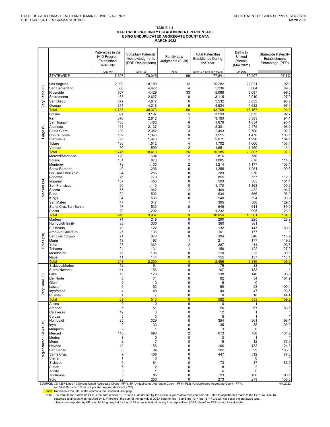#### TABLE 1.1 STATEWIDE PATERNITY ESTABLISHMENT PERCENTAGE USING UNDUPLICATED AGGREGATE COUNT DATA **MARCH** 2022

|                         |                                                                                                                                                                                                                                                                                                                                                                                                                                                                                          | Paternities in the<br><b>IV-D Program</b><br>Established<br>Judicially   | <b>Voluntary Paternity</b><br>Acknowledgments<br>(POP Declarations)            | Family Law<br>Judgments (FLJs)                                                                            | <b>Total Paternities</b><br><b>Established During</b><br>the Year              | <b>Births to</b><br>Unwed<br>Parents<br>(Mar 2021)                             | <b>Statewide Paternity</b><br>Establishment<br>Percentage (PEP)          |
|-------------------------|------------------------------------------------------------------------------------------------------------------------------------------------------------------------------------------------------------------------------------------------------------------------------------------------------------------------------------------------------------------------------------------------------------------------------------------------------------------------------------------|--------------------------------------------------------------------------|--------------------------------------------------------------------------------|-----------------------------------------------------------------------------------------------------------|--------------------------------------------------------------------------------|--------------------------------------------------------------------------------|--------------------------------------------------------------------------|
|                         | <b>STATEWIDE</b>                                                                                                                                                                                                                                                                                                                                                                                                                                                                         | (Line 16)<br>7,697                                                       | (Line 10)<br>70.045                                                            | <b>FLJs</b><br>99                                                                                         | (Line $10 +$ Line $16 +$ FLJs)<br>77,841                                       | (VR Data)<br>80,207                                                            | 97.1%                                                                    |
| Very Large (6)          | Los Angeles<br>San Bernardino<br>Riverside<br>Sacramento<br>San Diego<br>Orange                                                                                                                                                                                                                                                                                                                                                                                                          | 2,090<br>560<br>607<br>488<br>679<br>311                                 | 18,180<br>4,672<br>4,429<br>2,627<br>4,847<br>4,218                            | $\overline{12}$<br>4<br>33<br>$\pmb{0}$<br>6<br>5                                                         | 20,282<br>5,236<br>5,069<br>3,115<br>5,532<br>4,534                            | 22,031<br>5,864<br>5,097<br>2,910<br>5,633<br>4,632                            | 92.1<br>89.3<br>99.5<br>107.0<br>98.2<br>97.9                            |
|                         | <b>Total</b><br>Fresno                                                                                                                                                                                                                                                                                                                                                                                                                                                                   | 4,735<br>391                                                             | 38,973<br>3,197                                                                | 60<br>5                                                                                                   | 43,768<br>3,593                                                                | 46,167<br>3,875                                                                | 94.8<br>92.7                                                             |
| ම<br>Large              | Kern<br>San Joaquin<br>Alameda<br>Santa Clara<br>Contra Costa<br>Stanislaus<br>Tulare<br>Ventura<br><b>Total</b>                                                                                                                                                                                                                                                                                                                                                                         | 370<br>188<br>161<br>138<br>169<br>93<br>186<br>50<br>1.746              | 2,812<br>1,482<br>2,137<br>2,352<br>1,346<br>1,976<br>1,512<br>1,599<br>18,413 | $\mathbf{1}$<br>6<br>3<br>3<br>0<br>2<br>4<br>$\overline{2}$<br>26                                        | 3,183<br>1,676<br>2,301<br>2,493<br>1,515<br>2,071<br>1,702<br>1,651<br>20.185 | 3,383<br>1,854<br>2,475<br>2,700<br>1,470<br>1,990<br>1,600<br>1,460<br>20,807 | 94.1<br>90.4<br>93.0<br>92.3<br>103.1<br>104.1<br>106.4<br>113.1<br>97.0 |
|                         | Merced/Mariposa<br>Solano                                                                                                                                                                                                                                                                                                                                                                                                                                                                | 120<br>131                                                               | 694<br>873                                                                     | $\overline{2}$<br>$\mathbf{1}$                                                                            | 816<br>1,005                                                                   | 780<br>878                                                                     | 114.5                                                                    |
| Medium (14)             | Monterey<br>Santa Barbara<br>Colusa/Sutter/Yolo<br>Sonoma<br>Imperial<br>San Francisco<br>Shasta                                                                                                                                                                                                                                                                                                                                                                                         | 79<br>49<br>34<br>76<br>137<br>60<br>65                                  | 1,133<br>1,206<br>255<br>779<br>456<br>1,110<br>342                            | $\overline{2}$<br>$\pmb{0}$<br>0<br>0<br>0<br>0<br>$\overline{2}$                                         | 1,214<br>1,255<br>289<br>855<br>593<br>1,170<br>409                            | 1,177<br>1,251<br>276<br>757<br>585<br>1,163<br>432                            | 103.1<br>100.3<br>112.9<br>101.4<br>100.6<br>94.7                        |
|                         | <b>Butte</b><br>Kings                                                                                                                                                                                                                                                                                                                                                                                                                                                                    | 32<br>34                                                                 | 502<br>506                                                                     | 0<br>0                                                                                                    | 534<br>540                                                                     | 556<br>594                                                                     | 96.0<br>90.9                                                             |
|                         | San Mateo<br>Santa Cruz/San Benito<br>Placer<br><b>Total</b>                                                                                                                                                                                                                                                                                                                                                                                                                             | 47<br>17<br>29<br>910                                                    | 347<br>532<br>1,202<br>9,937                                                   | 1<br>$\pmb{0}$<br>$\mathbf{1}$<br>$\overline{9}$                                                          | 395<br>549<br>1,232<br>10,856                                                  | 306<br>611<br>995<br>10,361                                                    | 129.1<br>89.9<br>123.8<br>104.8                                          |
| Small $(10)$            | Madera<br>Humboldt/Trinity<br>El Dorado<br>Ama/Alp/Cala/Tuol<br>San Luis Obispo<br>Marin<br>Yuba<br>Tehama<br>Mendocino<br>Napa                                                                                                                                                                                                                                                                                                                                                          | 71<br>30<br>10<br>25<br>21<br>13<br>23<br>24<br>15<br>11                 | 219<br>330<br>122<br>136<br>373<br>197<br>362<br>131<br>195<br>144             | $\pmb{0}$<br>0<br>$\pmb{0}$<br>0<br>0<br>$\mathbf{1}$<br>$\overline{2}$<br>$\mathbf{1}$<br>$\pmb{0}$<br>0 | 290<br>360<br>132<br>161<br>394<br>211<br>387<br>156<br>210<br>155             | 225<br>361<br>147<br>177<br>346<br>177<br>414<br>122<br>233<br>137             | 128.9<br>89.8<br>113.9<br>119.2<br>93.5<br>127.9<br>90.1<br>113.1        |
|                         | Total<br>Siskiyou/Modoc                                                                                                                                                                                                                                                                                                                                                                                                                                                                  | 243<br>12                                                                | 2.209<br>64                                                                    | $\overline{4}$<br>$\pmb{0}$                                                                               | 2,456<br>76                                                                    | 2,339<br>88                                                                    | 105.0                                                                    |
| Small (8)<br>ş          | Sierra/Nevada<br>Lake<br>Del Norte<br>Glenn<br>Lassen<br>Inyo/Mono<br>Plumas<br><b>Total</b>                                                                                                                                                                                                                                                                                                                                                                                             | 11<br>18<br>8<br>9<br>6<br>4<br>1                                        | 156<br>120<br>74<br>0<br>52<br>40<br>7                                         | 0<br>$\pmb{0}$<br>0<br>0<br>$\mathbf 0$<br>0<br>0<br>$\overline{0}$                                       | 167<br>138<br>82<br>9<br>58<br>44<br>8                                         | 133<br>140<br>54<br>$\mathbf 0$<br>53<br>47<br>18                              | 98.6<br>151.9<br>109.4<br>93.6<br>44.4                                   |
|                         | Alpine                                                                                                                                                                                                                                                                                                                                                                                                                                                                                   | 69<br>$\mathbf 0$                                                        | 513<br>0                                                                       | 0                                                                                                         | 582<br>0                                                                       | 533<br>1                                                                       | 109.2                                                                    |
|                         | Amador<br>Calaveras<br>Colusa<br>Humboldt<br>Inyo<br>Mariposa                                                                                                                                                                                                                                                                                                                                                                                                                            | 5<br>12<br>5<br>25<br>$\overline{\mathbf{c}}$<br>$\overline{\mathbf{c}}$ | 51<br>0<br>3<br>329<br>33<br>1                                                 | 0<br>0<br>0<br>0<br>0<br>0                                                                                | 56<br>12<br>8<br>354<br>35<br>3                                                | 67<br>1<br>1<br>361<br>35<br>0                                                 | 83.6<br>98.1<br>100.0                                                    |
|                         | Merced<br>Modoc                                                                                                                                                                                                                                                                                                                                                                                                                                                                          | 118<br>3                                                                 | 693<br>0                                                                       | 2<br>0                                                                                                    | 813<br>3                                                                       | 780<br>1                                                                       | 104.2                                                                    |
| Regionalized LCSAs (19) | Mono<br>Nevada<br>San Benito<br>Santa Cruz<br>Sierra<br>Siskiyou<br>Sutter                                                                                                                                                                                                                                                                                                                                                                                                               | $\overline{2}$<br>10<br>8<br>9<br>1<br>9<br>6                            | $\overline{7}$<br>156<br>94<br>438<br>0<br>64<br>$\overline{\mathbf{c}}$       | 0<br>0<br>0<br>0<br>0<br>0<br>0                                                                           | 9<br>166<br>102<br>447<br>$\mathbf{1}$<br>73<br>8                              | 12<br>133<br>99<br>512<br>0<br>87<br>$\overline{\mathbf{c}}$                   | 75.0<br>124.8<br>103.0<br>87.3<br>83.9                                   |
|                         | Trinity<br>Tuolumne                                                                                                                                                                                                                                                                                                                                                                                                                                                                      | 5<br>8                                                                   | $\mathbf{1}$<br>85                                                             | 0<br>0                                                                                                    | 6<br>93                                                                        | 0<br>108                                                                       | 86.1                                                                     |
|                         | Yolo<br>SOURCE: CS 1257 Lines 10 (Unduplicated Aggregate Count - FFY), 16 (Unduplicated Aggregate Count - FFY), FLJs (Unduplicated Aggregate Count - FFY);                                                                                                                                                                                                                                                                                                                               | 23                                                                       | 250                                                                            | 0                                                                                                         | 273                                                                            | 273                                                                            | 100.0<br>4/4/2022                                                        |
|                         | and Vital Records (VR) (Unduplicated Aggregate Count - CY)<br>Total: Represents the total of the scores in the Caseload Grouping<br>Note: The formula for Statewide PEP is the sum of lines 10, 16 and FLJs divided by the previous year's data received from VR. Due to adjustments made to the CS 1257, line 16<br>statewide total count was reduced by 6. Therefore, the sum of the individual LCSA data for line 16 and line 10 + line 16 + FLJs will not equal the statewide total. |                                                                          |                                                                                |                                                                                                           |                                                                                |                                                                                |                                                                          |

\* No activity reported by VR or no birthing hospital for the LCSA or an individual county in a regionalized LCSA, therefore PEP cannot be calculated.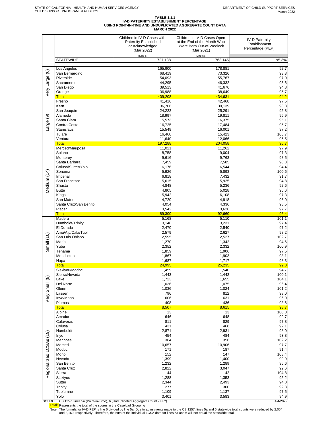#### **TABLE 1.1.1 IV-D PATERNITY ESTABLISHMENT PERCENTAGE USING POINT-IN-TIME AND UNDUPLICATED AGGREGATE COUNT DATA MARCH 2022**

|                         |                                 | Children in IV-D Cases with<br>Paternity Established<br>or Acknowledged<br>(Mar 2022) | Children in IV-D Cases Open<br>at the End of the Month Who<br>Were Born Out-of-Wedlock<br>(Mar 2021) | <b>IV-D Paternity</b><br>Establishment<br>Percentage (PEP) |
|-------------------------|---------------------------------|---------------------------------------------------------------------------------------|------------------------------------------------------------------------------------------------------|------------------------------------------------------------|
|                         | <b>STATEWIDE</b>                | (Line 6)<br>727,138                                                                   | (Line 5a)<br>763,145                                                                                 | 95.3%                                                      |
|                         | Los Angeles                     | 165,900                                                                               | 178,881                                                                                              | 92.7                                                       |
| Very Large (6)          | San Bernardino                  | 68,419                                                                                | 73,326                                                                                               | 93.3                                                       |
|                         | Riverside<br>Sacramento         | 54,093<br>44,295                                                                      | 55,767<br>46,332                                                                                     | 97.0<br>95.6                                               |
|                         | San Diego                       | 39,513                                                                                | 41,676                                                                                               | 94.8                                                       |
|                         | Orange<br><b>Total</b>          | 36,988<br>409,208                                                                     | 38,649<br>434,631                                                                                    | 95.7<br>94.2                                               |
|                         | Fresno                          | 41,416                                                                                | 42,468                                                                                               | 97.5                                                       |
|                         | Kern<br>San Joaquin             | 36,706<br>24,222                                                                      | 39,139<br>25,291                                                                                     | 93.8<br>95.8                                               |
| $\circledcirc$          | Alameda                         | 18,997                                                                                | 19,811                                                                                               | 95.9                                                       |
|                         | Santa Clara<br>Contra Costa     | 15,573                                                                                | 16,375                                                                                               | 95.1<br>95.7                                               |
| Large                   | Stanislaus                      | 16,725<br>15,549                                                                      | 17,484<br>16,001                                                                                     | 97.2                                                       |
|                         | Tulare                          | 16,460                                                                                | 15,423                                                                                               | 106.7                                                      |
|                         | Ventura<br><b>Total</b>         | 11,640<br>197,288                                                                     | 12,066<br>204,058                                                                                    | 96.5<br>96.7                                               |
|                         | Merced/Mariposa                 | 11,021                                                                                | 11,262                                                                                               | 97.9                                                       |
|                         | Solano<br>Monterey              | 8,758<br>9,616                                                                        | 9,004<br>9,763                                                                                       | 97.3<br>98.5                                               |
|                         | Santa Barbara                   | 7,459                                                                                 | 7,585                                                                                                | 98.3                                                       |
|                         | Colusa/Sutter/Yolo              | 6,176                                                                                 | 6,544                                                                                                | 94.4                                                       |
| Medium (14)             | Sonoma<br>Imperial              | 5,926<br>6,818                                                                        | 5,893<br>7,432                                                                                       | 100.6<br>91.7                                              |
|                         | San Francisco                   | 5,615                                                                                 | 5,925                                                                                                | 94.8                                                       |
|                         | Shasta<br><b>Butte</b>          | 4,848<br>4,805                                                                        | 5,236                                                                                                | 92.6<br>95.6                                               |
|                         | Kings                           | 5,942                                                                                 | 5,028<br>6,108                                                                                       | 97.3                                                       |
|                         | San Mateo                       | 4,720                                                                                 | 4,918                                                                                                | 96.0                                                       |
|                         | Santa Cruz/San Benito<br>Placer | 4,054<br>3,542                                                                        | 4,336<br>3,626                                                                                       | 93.5<br>97.7                                               |
|                         | <b>Total</b>                    | 89,300                                                                                | 92,660                                                                                               | 96.4                                                       |
|                         | Madera<br>Humboldt/Trinity      | 5,168<br>3,148                                                                        | 5,110<br>3,231                                                                                       | 101.1<br>97.4                                              |
|                         | El Dorado                       | 2,470                                                                                 | 2,540                                                                                                | 97.2                                                       |
|                         | Ama/Alp/Cala/Tuol               | 2,579                                                                                 | 2,627                                                                                                | 98.2                                                       |
| Small (10)              | San Luis Obispo<br>Marin        | 2,595<br>1,270                                                                        | 2,527<br>1,342                                                                                       | 102.7<br>94.6                                              |
|                         | Yuba                            | 2,352                                                                                 | 2,332                                                                                                | 100.9                                                      |
|                         | Tehama<br>Mendocino             | 1,859<br>1,867                                                                        | 1,906<br>1,903                                                                                       | 97.5<br>98.1                                               |
|                         | Napa                            | 1,687                                                                                 | 1,717                                                                                                | 98.3                                                       |
|                         | <b>Total</b>                    | 24,995                                                                                | 25,235                                                                                               | 99.0<br>94.7                                               |
|                         | Siskiyou/Modoc<br>Sierra/Nevada | 1,459<br>1,443                                                                        | 1,540<br>1,442                                                                                       | 100.1                                                      |
| Very Small (8)          | Lake                            | 1,723                                                                                 | 1,655                                                                                                | 104.1                                                      |
|                         | Del Norte<br>Glenn              | 1,036<br>1,036                                                                        | 1,075<br>1,024                                                                                       | 96.4<br>101.2                                              |
|                         | Lassen                          | 796                                                                                   | 812                                                                                                  | 98.0                                                       |
|                         | Inyo/Mono<br>Plumas             | 606<br>408                                                                            | 631<br>436                                                                                           | 96.0<br>93.6                                               |
|                         | <b>Total</b>                    | 8,507                                                                                 | 8,615                                                                                                | 98.7                                                       |
|                         | Alpine                          | 13                                                                                    | 13                                                                                                   | 100.0                                                      |
|                         | Amador<br>Calaveras             | 646<br>811                                                                            | 648<br>829                                                                                           | 99.7<br>97.8                                               |
|                         | Colusa                          | 431                                                                                   | 468                                                                                                  | 92.1                                                       |
|                         | Humboldt<br>Inyo                | 2,871<br>454                                                                          | 2,931<br>484                                                                                         | 98.0<br>93.8                                               |
|                         | Mariposa                        | 364                                                                                   | 356                                                                                                  | 102.2                                                      |
| Regionalized LCSAs (19) | Merced<br>Modoc                 | 10,657<br>171                                                                         | 10,906<br>187                                                                                        | 97.7<br>91.4                                               |
|                         | Mono                            | 152                                                                                   | 147                                                                                                  | 103.4                                                      |
|                         | Nevada                          | 1,399                                                                                 | 1,400                                                                                                | 99.9                                                       |
|                         | San Benito<br>Santa Cruz        | 1,232<br>2,822                                                                        | 1,289<br>3,047                                                                                       | 95.6<br>92.6                                               |
|                         | Sierra                          | 44                                                                                    | 42                                                                                                   | 104.8                                                      |
|                         | Siskiyou<br>Sutter              | 1,288                                                                                 | 1,353<br>2,493                                                                                       | 95.2<br>94.0                                               |
|                         | Trinity                         | 2,344<br>277                                                                          | 300                                                                                                  | 92.3                                                       |
|                         | Tuolumne                        | 1,109                                                                                 | 1,137                                                                                                | 97.5                                                       |
|                         | Yolo                            | 3,401                                                                                 | 3,583                                                                                                | 94.9                                                       |

SOURCE: CS 1257 Lines 5a (Point-in-Time), 6 (Unduplicated Aggregate Count - FFY)<br>Total: Represents the total of the scores in the Caseload Grouping<br>Note: The formula for IV-D PEP is line 6 divided by line 5a. Due to adjust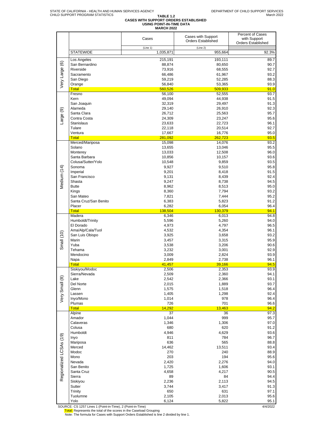# TABLE 1.2<br>CASES WITH SUPPORT ORDERS ESTABLISHED<br>MARCH 2022<br>MARCH 2022

|                         |                                 | Cases           | Cases with Support        | Percent of Cases<br>with Support |
|-------------------------|---------------------------------|-----------------|---------------------------|----------------------------------|
|                         |                                 |                 | <b>Orders Established</b> | <b>Orders Established</b>        |
|                         |                                 | (Line 1)        | (Line 2)                  |                                  |
|                         | <b>STATEWIDE</b>                | 1,035,871       | 955,664                   | 92.3%                            |
|                         |                                 |                 |                           |                                  |
|                         | Los Angeles                     | 215,191         | 193,111                   | 89.7                             |
| Very Large (6)          | San Bernardino                  | 88,874          | 80,650                    | 90.7                             |
|                         | Riverside                       | 73,916          | 68,555                    | 92.7                             |
|                         | Sacramento                      | 66,486          | 61,967                    | 93.2                             |
|                         | San Diego                       | 59,219          | 52,285                    | 88.3                             |
|                         | Orange                          | 56,840          | 53,365                    | 93.9                             |
|                         | <b>Total</b>                    | 560,526         | 509,933                   | 91.0                             |
|                         | Fresno                          | 56,100          | 52,555                    | 93.7                             |
|                         | Kern                            | 49,094          | 44,938                    | 91.5                             |
|                         | San Joaquin                     | 32,319          | 29,497                    | 91.3                             |
|                         | Alameda                         | 29,140          | 26,910                    | 92.3                             |
|                         | Santa Clara                     | 26,712          | 25,563                    | 95.7                             |
|                         | Contra Costa                    | 24,309          | 23,247                    | 95.6                             |
| Large (9)               | <b>Stanislaus</b>               | 23,633          | 22,723                    | 96.1                             |
|                         | Tulare                          | 22,118          | 20,514                    | 92.7                             |
|                         | Ventura                         |                 |                           | 95.0                             |
|                         |                                 | 17,667          | 16,776                    |                                  |
|                         | <b>Total</b><br>Merced/Mariposa | 281,092         | 262,723                   | 93.5                             |
|                         |                                 | 15,098          | 14,076                    | 93.2                             |
|                         | Solano                          | 13,655          | 13,046                    | 95.5                             |
|                         | Monterey                        | 13,033          | 12,508                    | 96.0                             |
|                         | Santa Barbara                   | 10,856          | 10,157                    | 93.6                             |
|                         | Colusa/Sutter/Yolo              | 10,548          | 9,859                     | 93.5                             |
| Medium (14)             | Sonoma                          | 9,927           | 9,510                     | 95.8                             |
|                         | Imperial                        | 9,201           | 8,418                     | 91.5                             |
|                         | San Francisco                   | 9,131           | 8,439                     | 92.4                             |
|                         | Shasta                          | 9,247           | 8,738                     | 94.5                             |
|                         | <b>Butte</b>                    | 8,962           | 8,513                     | 95.0                             |
|                         | Kings                           | 8,360           | 7,794                     | 93.2                             |
|                         | San Mateo                       | 7,821           | 7,444                     | 95.2                             |
|                         | Santa Cruz/San Benito           | 6,383           | 5,823                     | 91.2                             |
|                         | Placer                          | 6,282           | 6,054                     | 96.4                             |
|                         | <b>Total</b>                    | 138,504         | 130,379                   | 94.1                             |
|                         | Madera                          | 6,346           | 6,013                     | 94.8                             |
|                         | Humboldt/Trinity                | 5,596           | 5,260                     | 94.0                             |
|                         | El Dorado                       | 4,973           | 4,797                     | 96.5                             |
|                         | Ama/Alp/Cala/Tuol               | 4,532           | 4,354                     | 96.1                             |
| Small (10)              | San Luis Obispo                 | 3,925           | 3,658                     | 93.2                             |
|                         | Marin                           | 3,457           | 3,315                     | 95.9                             |
|                         | Yuba                            | 3,538           | 3,206                     | 90.6                             |
|                         | Tehama                          | 3,232           | 3,001                     | 92.9                             |
|                         | Mendocino                       | 3,009           | 2,824                     | 93.9                             |
|                         |                                 |                 | 2,738                     | 96.1                             |
|                         | Napa                            | 2,849           |                           | 94.5                             |
|                         | Total<br>Siskiyou/Modoc         | 41,457<br>2,506 | 39,166<br>2,353           | 93.9                             |
|                         |                                 |                 |                           |                                  |
|                         | Sierra/Nevada                   | 2,509           | 2,360                     | 94.1                             |
| Very Small (8)          | Lake                            | 2,542           | 2,366                     | 93.1                             |
|                         | Del Norte                       | 2,015           | 1,889                     | 93.7                             |
|                         | Glenn                           | 1,575           | 1,518                     | 96.4                             |
|                         | Lassen                          | 1,405           | 1,298                     | 92.4                             |
|                         | Inyo/Mono                       | 1,014           | 978                       | 96.4                             |
|                         | Plumas                          | 726             | 701                       | 96.6                             |
|                         | <b>Total</b>                    | 14,292          | 13,463                    | 94.2                             |
|                         | Alpine                          | 37              | 36                        | 97.3                             |
|                         | Amador                          | 1,044           | 999                       | 95.7                             |
|                         | Calaveras                       | 1,346           | 1,306                     | 97.0                             |
|                         | Colusa                          | 680             | 620                       | 91.2                             |
|                         | Humboldt                        | 4,946           | 4,629                     | 93.6                             |
|                         | Inyo                            | 811             | 784                       | 96.7                             |
|                         | Mariposa                        | 636             | 565                       | 88.8                             |
|                         | Merced                          | 14,462          | 13,511                    | 93.4                             |
|                         | Modoc                           | 270             | 240                       | 88.9                             |
|                         | Mono                            | 203             | 194                       | 95.6                             |
|                         | Nevada                          | 2,420           | 2,276                     | 94.0                             |
|                         | San Benito                      | 1,725           | 1,606                     | 93.1                             |
| Regionalized LCSAs (19) | Santa Cruz                      | 4,658           | 4,217                     | 90.5                             |
|                         | Sierra                          | 89              | 84                        | 94.4                             |
|                         | Siskiyou                        | 2,236           | 2,113                     | 94.5                             |
|                         | Sutter                          | 3,744           | 3,417                     | 91.3                             |
|                         | Trinity                         | 650             | 631                       | 97.1                             |
|                         | Tuolumne                        | 2,105           | 2,013                     | 95.6                             |
|                         | Yolo                            | 6,124           | 5,822                     | 95.1                             |

SOURCE: CS 1257 Lines 1 (Point-in-Time), 2 (Point-in-Time)<br>Total: Represents the total of the scores in the Caseload Grouping<br>Note: The formula for Cases with Support Orders Established is line 2 divided by line 1.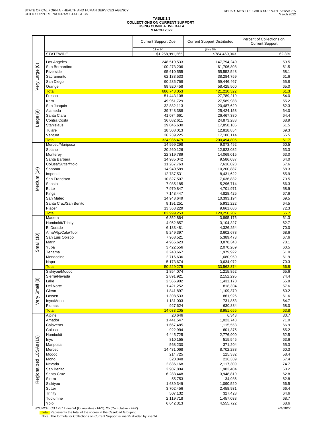# **TABLE 1.3 COLLECTIONS ON CURRENT SUPPORT USING CUMULATIVE DATA MARCH 2022**

|                         |                           | <b>Current Support Due</b>   | <b>Current Support Distributed</b> | Percent of Collections on<br><b>Current Support</b> |
|-------------------------|---------------------------|------------------------------|------------------------------------|-----------------------------------------------------|
|                         | <b>STATEWIDE</b>          | (Line 24)<br>\$1,258,991,265 | (Line 25)<br>\$784,469,363         | 62.3%                                               |
|                         | Los Angeles               | 248,519,533                  | 147,794,240                        | 59.5                                                |
|                         | San Bernardino            | 100,273,206                  | 61,706,808                         | 61.5                                                |
| Very Large (6)          | Riverside                 | 95,610,555                   | 55,552,548                         | 58.1                                                |
|                         | Sacramento                | 62,133,533                   | 38,284,759                         | 61.6<br>65.8                                        |
|                         | San Diego<br>Orange       | 90,285,768<br>89,920,458     | 59,446,467<br>58,425,500           | 65.0                                                |
|                         | <b>Total</b>              | 686,743,053                  | 421,210,322                        | 61.3                                                |
|                         | Fresno                    | 51,443,108                   | 27,789,219                         | 54.0                                                |
|                         | Kern                      | 49,961,729                   | 27,589,988                         | 55.2                                                |
|                         | San Joaquin<br>Alameda    | 32,882,113<br>39,748,388     | 20,487,620<br>25,424,158           | 62.3<br>64.0                                        |
| ම                       | Santa Clara               | 41,074,661                   | 26,467,380                         | 64.4                                                |
| Large                   | Contra Costa              | 36,082,611                   | 24,873,288                         | 68.9                                                |
|                         | <b>Stanislaus</b>         | 29,046,630                   | 17,858,185                         | 61.5                                                |
|                         | Tulare<br>Ventura         | 18,508,013<br>26,239,225     | 12,818,854<br>17,186,114           | 69.3<br>65.5                                        |
|                         | <b>Total</b>              | 324,986,479                  | 200.494.805                        | 61.7                                                |
|                         | Merced/Mariposa           | 14,999,298                   | 9,073,492                          | 60.5                                                |
|                         | Solano                    | 20,260,126                   | 12,823,082                         | 63.3                                                |
|                         | Monterey<br>Santa Barbara | 22,319,789<br>14,985,042     | 14,069,015<br>9,586,037            | 63.0<br>64.0                                        |
|                         | Colusa/Sutter/Yolo        | 11,267,763                   | 7,616,028                          | 67.6                                                |
|                         | Sonoma                    | 14,940,589                   | 10,200,887                         | 68.3                                                |
|                         | Imperial                  | 12,787,531                   | 8,431,622                          | 65.9                                                |
| Medium (14)             | San Francisco             | 10,827,507                   | 7,636,832                          | 70.5                                                |
|                         | Shasta<br><b>Butte</b>    | 7,985,185<br>7,979,847       | 5,296,714<br>4,701,971             | 66.3<br>58.9                                        |
|                         | Kings                     | 7,143,447                    | 4,828,425                          | 67.6                                                |
|                         | San Mateo                 | 14,948,649                   | 10,393,194                         | 69.5                                                |
|                         | Santa Cruz/San Benito     | 9,191,251                    | 5,931,222                          | 64.5                                                |
|                         | Placer                    | 13,363,229                   | 9,661,686                          | 72.3                                                |
|                         | <b>Total</b><br>Madera    | 182,999,253<br>6,352,864     | 120,250,207<br>3,895,176           | 65.7<br>61.3                                        |
|                         | Humboldt/Trinity          | 4,952,857                    | 3,104,327                          | 62.7                                                |
|                         | El Dorado                 | 6,183,481                    | 4,326,254                          | 70.0                                                |
|                         | Ama/Alp/Cala/Tuol         | 5,249,397                    | 3,602,678                          | 68.6                                                |
| Small (10)              | San Luis Obispo<br>Marin  | 7,968,521<br>4,965,623       | 5,389,473<br>3,878,343             | 67.6<br>78.1                                        |
|                         | Yuba                      | 3,422,556                    | 2,070,269                          | 60.5                                                |
|                         | Tehama                    | 3,243,667                    | 1,979,922                          | 61.0                                                |
|                         | Mendocino                 | 2,716,636                    | 1,680,959                          | 61.9                                                |
|                         | Napa<br><b>Total</b>      | 5,173,674<br>50,229,275      | 3,634,972<br>33,562,374            | 70.3<br>66.8                                        |
|                         | Siskiyou/Modoc            | 1,854,074                    | 1,215,852                          | 65.6                                                |
|                         | Sierra/Nevada             | 2,891,921                    | 2,152,295                          | 74.4                                                |
|                         | Lake                      | 2,566,902                    | 1,431,170                          | 55.8                                                |
|                         | Del Norte<br>Glenn        | 1,421,252<br>1,841,897       | 818,304<br>1,109,370               | 57.6<br>60.2                                        |
|                         | Lassen                    | 1,398,533                    | 861,926                            | 61.6                                                |
| Very Small (8)          | Inyo/Mono                 | 1,131,003                    | 731,853                            | 64.7                                                |
|                         | Plumas                    | 927,624                      | 630,884                            | 68.0                                                |
|                         | <b>Total</b><br>Alpine    | 14,033,205<br>20,646         | 8,951,655<br>6,348                 | 63.8<br>30.7                                        |
|                         | Amador                    | 1,441,547                    | 1,023,743                          | 71.0                                                |
|                         | Calaveras                 | 1,667,485                    | 1,115,553                          | 66.9                                                |
|                         | Colusa                    | 922,994                      | 601,375                            | 65.2                                                |
|                         | Humboldt<br>Inyo          | 4,445,725<br>810,155         | 2,776,900<br>515,545               | 62.5<br>63.6                                        |
|                         | Mariposa                  | 568,230                      | 371,204                            | 65.3                                                |
|                         | Merced                    | 14,431,068                   | 8,702,288                          | 60.3                                                |
|                         | Modoc                     | 214,725                      | 125,332                            | 58.4                                                |
|                         | Mono                      | 320,848                      | 216,309                            | 67.4                                                |
| Regionalized LCSAs (19) | Nevada<br>San Benito      | 2,836,168<br>2,907,804       | 2,117,309<br>1,982,404             | 74.7<br>68.2                                        |
|                         | Santa Cruz                | 6,283,448                    | 3,948,819                          | 62.8                                                |
|                         | Sierra                    | 55,753                       | 34,986                             | 62.8                                                |
|                         | Siskiyou                  | 1,639,349                    | 1,090,520                          | 66.5                                                |
|                         | Sutter<br>Trinity         | 3,702,456<br>507,132         | 2,458,931<br>327,428               | 66.4<br>64.6                                        |
|                         | Tuolumne                  | 2,119,718                    | 1,457,033                          | 68.7                                                |
|                         | Yolo<br>$FTV1$ or $IC$ .  | 6,642,313<br><b>CCV</b>      | 4,555,722                          | 68.6<br>14,0000                                     |

SOURCE: CS 1257 Lines 24 (Cumulative - FFY), 25 (Cumulative - FFY)<br><mark>Total:</mark> Represents the total of the scores in the Caseload Grouping<br>- Note: The formula for Collections on Current Support is line 25 divided by line 24.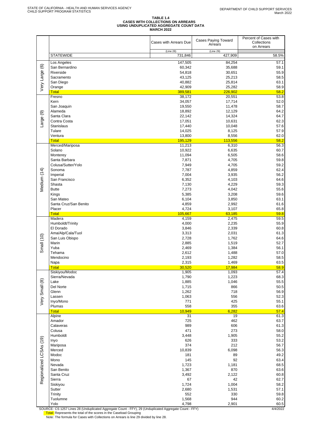# TABLE 1.4<br>CASES WITH COLLECTIONS ON ARREARS<br>USING UNDUPLICATED AGGREGATE COUNT DATA<br>MARCH 2022

|                         |                                                                                                                                                              | Cases with Arrears Due | <b>Cases Paying Toward</b><br>Arrears | Percent of Cases with<br>Collections<br>on Arrears |
|-------------------------|--------------------------------------------------------------------------------------------------------------------------------------------------------------|------------------------|---------------------------------------|----------------------------------------------------|
|                         | <b>STATEWIDE</b>                                                                                                                                             | (Line 28)<br>731,846   | (Line 29)<br>427,909                  | 58.5%                                              |
|                         | Los Angeles                                                                                                                                                  | 147,505                | 84,254                                | 57.1                                               |
|                         | San Bernardino                                                                                                                                               | 60,342                 | 35,688                                | 59.1                                               |
|                         | Riverside                                                                                                                                                    | 54,818                 | 30,651                                | 55.9                                               |
|                         | Sacramento                                                                                                                                                   | 43,125                 | 25,213                                | 58.5                                               |
| Very Large (6)          | San Diego                                                                                                                                                    | 40,882                 | 25,814                                | 63.1                                               |
|                         | Orange<br><b>Total</b>                                                                                                                                       | 42,909<br>389,581      | 25,282<br>226,902                     | 58.9<br>58.2                                       |
|                         | Fresno                                                                                                                                                       | 38,172                 | 20,551                                | 53.8                                               |
|                         | Kern                                                                                                                                                         | 34,057                 | 17,714                                | 52.0                                               |
|                         | San Joaquin                                                                                                                                                  | 19,550                 | 11,478                                | 58.7                                               |
|                         | Alameda                                                                                                                                                      | 18,892                 | 12,129                                | 64.2                                               |
| Large (9)               | Santa Clara<br>Contra Costa                                                                                                                                  | 22,142<br>17,051       | 14,324<br>10,631                      | 64.7                                               |
|                         | Stanislaus                                                                                                                                                   | 17,440                 | 10,048                                | 62.3<br>57.6                                       |
|                         | Tulare                                                                                                                                                       | 14,025                 | 8,125                                 | 57.9                                               |
|                         | Ventura                                                                                                                                                      | 13,800                 | 8,556                                 | 62.0                                               |
|                         | <b>Total</b>                                                                                                                                                 | 195,129                | 113,556                               | 58.2                                               |
|                         | Merced/Mariposa                                                                                                                                              | 11,213                 | 6,310                                 | 56.3                                               |
|                         | Solano<br>Monterey                                                                                                                                           | 10,922<br>11,094       | 6,635<br>6,505                        | 60.7<br>58.6                                       |
|                         | Santa Barbara                                                                                                                                                | 7,871                  | 4,705                                 | 59.8                                               |
|                         | Colusa/Sutter/Yolo                                                                                                                                           | 7,949                  | 4,705                                 | 59.2                                               |
|                         | Sonoma                                                                                                                                                       | 7,787                  | 4,859                                 | 62.4                                               |
| Medium (14)             | Imperial                                                                                                                                                     | 7,004                  | 3,935                                 | 56.2                                               |
|                         | San Francisco                                                                                                                                                | 6,352                  | 4,103                                 | 64.6                                               |
|                         | Shasta                                                                                                                                                       | 7,130                  | 4,229                                 | 59.3                                               |
|                         | <b>Butte</b><br>Kings                                                                                                                                        | 7,273<br>5,385         | 4,042<br>3,208                        | 55.6<br>59.6                                       |
|                         | San Mateo                                                                                                                                                    | 6,104                  | 3,850                                 | 63.1                                               |
|                         | Santa Cruz/San Benito                                                                                                                                        | 4,859                  | 2,992                                 | 61.6                                               |
|                         | Placer                                                                                                                                                       | 4,724                  | 3,107                                 | 65.8                                               |
|                         | <b>Total</b>                                                                                                                                                 | 105,667                | 63,185                                | 59.8                                               |
|                         | Madera<br>Humboldt/Trinity                                                                                                                                   | 4,159<br>4,000         | 2,475<br>2,235                        | 59.5<br>55.9                                       |
|                         | El Dorado                                                                                                                                                    | 3,846                  | 2,339                                 | 60.8                                               |
|                         | Ama/Alp/Cala/Tuol                                                                                                                                            | 3,313                  | 2,031                                 | 61.3                                               |
|                         | San Luis Obispo                                                                                                                                              | 2,728                  | 1,762                                 | 64.6                                               |
| Small (10)              | Marin                                                                                                                                                        | 2,885                  | 1,519                                 | 52.7                                               |
|                         | Yuba                                                                                                                                                         | 2,469                  | 1,384                                 | 56.1                                               |
|                         | Tehama                                                                                                                                                       | 2,612                  | 1,488                                 | 57.0                                               |
|                         | Mendocino<br>Napa                                                                                                                                            | 2,193<br>2,315         | 1,282<br>1,469                        | 58.5<br>63.5                                       |
|                         | <b>Total</b>                                                                                                                                                 | 30,520                 | 17,984                                | 58.9                                               |
|                         | Siskiyou/Modoc                                                                                                                                               | 1,905                  | 1,093                                 | 57.4                                               |
|                         | Sierra/Nevada                                                                                                                                                | 1,790                  | 1,223                                 | 68.3                                               |
|                         | Lake                                                                                                                                                         | 1,885                  | 1,046                                 | 55.5                                               |
|                         | Del Norte<br>Glenn                                                                                                                                           | 1,715<br>1,262         | 866<br>718                            | 50.5<br>56.9                                       |
|                         | Lassen                                                                                                                                                       | 1,063                  | 556                                   | 52.3                                               |
| Very Small (8)          | Inyo/Mono                                                                                                                                                    | 771                    | 425                                   | 55.1                                               |
|                         | Plumas                                                                                                                                                       | 558                    | 355                                   | 63.6                                               |
|                         | <b>Total</b>                                                                                                                                                 | 10,949                 | 6,282                                 | 57.4                                               |
|                         | Alpine                                                                                                                                                       | 31                     | 19                                    | 61.3                                               |
|                         | Amador<br>Calaveras                                                                                                                                          | 725<br>989             | 462<br>606                            | 63.7<br>61.3                                       |
|                         | Colusa                                                                                                                                                       | 471                    | 273                                   | 58.0                                               |
|                         | Humboldt                                                                                                                                                     | 3,448                  | 1,905                                 | 55.2                                               |
|                         | Inyo                                                                                                                                                         | 626                    | 333                                   | 53.2                                               |
|                         | Mariposa                                                                                                                                                     | 374                    | 212                                   | 56.7                                               |
|                         | Merced                                                                                                                                                       | 10,839                 | 6,098                                 | 56.3                                               |
|                         | Modoc<br>Mono                                                                                                                                                | 181<br>145             | 89<br>92                              | 49.2<br>63.4                                       |
|                         | Nevada                                                                                                                                                       | 1,723                  | 1,181                                 | 68.5                                               |
| Regionalized LCSAs (19) | San Benito                                                                                                                                                   | 1,367                  | 870                                   | 63.6                                               |
|                         | Santa Cruz                                                                                                                                                   | 3,492                  | 2,122                                 | 60.8                                               |
|                         | Sierra                                                                                                                                                       | 67                     | 42                                    | 62.7                                               |
|                         | Siskiyou                                                                                                                                                     | 1,724                  | 1,004                                 | 58.2                                               |
|                         | Sutter                                                                                                                                                       | 2,680<br>552           | 1,531<br>330                          | 57.1                                               |
|                         | Trinity<br>Tuolumne                                                                                                                                          | 1,568                  | 944                                   | 59.8<br>60.2                                       |
|                         | Yolo                                                                                                                                                         | 4,798                  | 2,901                                 | 60.5                                               |
|                         | SOURCE: CS 1257 Lines 28 (Unduplicated Aggregate Count - FFY), 29 (Unduplicated Aggregate Count - FFY)                                                       |                        |                                       | 4/4/2022                                           |
|                         | Total: Represents the total of the scores in the Caseload Grouping<br>Note: The formula for Cases with Collections on Arrears is line 29 divided by line 28. |                        |                                       |                                                    |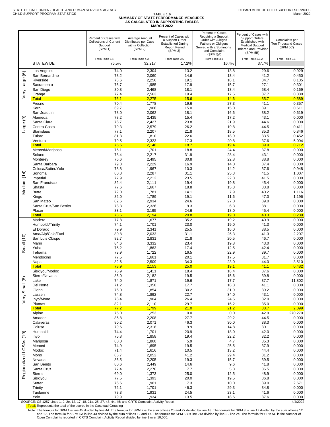|                         |                                                                                                         | Percent of Cases with<br><b>Collections of Current</b><br>Support<br>(SPM 1) | Average Amount<br>Distributed per Case<br>with a Collection<br>(SPM 2) | Percent of Cases with<br>a Support Order<br><b>Established During</b><br><b>Report Period</b><br>(SPM 3) | Percent of Cases<br>Requiring a Support<br>Order with Alleged<br>Fathers or Obligors<br>Served with a Summons<br>and Complaint<br>(SPM 5A) | Percent of Cases with<br><b>Support Orders</b><br>Established with<br><b>Medical Support</b><br>Ordered and Provided<br>(SPM 5B) | Complaints per<br>Ten Thousand Cases<br>(SPM 5C) |
|-------------------------|---------------------------------------------------------------------------------------------------------|------------------------------------------------------------------------------|------------------------------------------------------------------------|----------------------------------------------------------------------------------------------------------|--------------------------------------------------------------------------------------------------------------------------------------------|----------------------------------------------------------------------------------------------------------------------------------|--------------------------------------------------|
|                         | <b>STATEWIDE</b>                                                                                        | From Table 6.4<br>76.5%                                                      | From Table 4.3<br>\$2,217                                              | From Table 3.5<br>17.2%                                                                                  | From Table 3.3<br>16.4%                                                                                                                    | From Table 3.9.2<br>37.7%                                                                                                        | From Table 8.1                                   |
|                         |                                                                                                         | 74.0                                                                         |                                                                        | 13.2                                                                                                     | 13.8                                                                                                                                       | 29.6                                                                                                                             | 0.929                                            |
| $\circlede$             | Los Angeles<br>San Bernardino                                                                           | 78.2                                                                         | 2,304<br>2,060                                                         | 14.6                                                                                                     | 13.4                                                                                                                                       | 41.2                                                                                                                             | 0.450                                            |
|                         | Riverside                                                                                               | 73.6                                                                         | 2,256                                                                  | 19.1                                                                                                     | 18.1                                                                                                                                       | 34.7                                                                                                                             | 0.135                                            |
|                         | Sacramento                                                                                              | 76.7                                                                         | 1,985                                                                  | 17.9                                                                                                     | 15.7                                                                                                                                       | 27.1                                                                                                                             | 0.301                                            |
| Very Large              | San Diego<br>Orange                                                                                     | 80.8<br>77.4                                                                 | 2,468<br>2,563                                                         | 18.1<br>19.4                                                                                             | 13.4<br>17.6                                                                                                                               | 58.4<br>37.7                                                                                                                     | 0.169<br>0.880                                   |
|                         | <b>Total</b>                                                                                            | 76.1                                                                         | 2,275                                                                  | 15.6                                                                                                     | 14.6                                                                                                                                       | 35.7                                                                                                                             | 0.589                                            |
|                         | Fresno<br>Kern                                                                                          | 70.4<br>69.7                                                                 | 1,778<br>1,966                                                         | 19.6<br>15.0                                                                                             | 27.3<br>15.0                                                                                                                               | 41.1<br>39.1                                                                                                                     | 0.357<br>0.611                                   |
|                         | San Joaquin                                                                                             | 78.0                                                                         | 2,062                                                                  | 18.1                                                                                                     | 16.6                                                                                                                                       | 38.2                                                                                                                             | 0.619                                            |
| ම                       | Alameda                                                                                                 | 78.2                                                                         | 2,435                                                                  | 15.4                                                                                                     | 17.2                                                                                                                                       | 43.1                                                                                                                             | 0.000                                            |
|                         | Santa Clara                                                                                             | 78.7                                                                         | 2,427                                                                  | 23.8                                                                                                     | 21.9                                                                                                                                       | 44.6                                                                                                                             | 0.000                                            |
| Large                   | Contra Costa<br><b>Stanislaus</b>                                                                       | 79.3<br>77.1                                                                 | 2,579<br>2,207                                                         | 26.2<br>21.8                                                                                             | 19.8<br>18.5                                                                                                                               | 44.5<br>35.3                                                                                                                     | 0.411<br>0.846                                   |
|                         | Tulare                                                                                                  | 81.3                                                                         | 1,810                                                                  | 22.6                                                                                                     | 18.9                                                                                                                                       | 33.5                                                                                                                             | 0.452                                            |
|                         | Ventura                                                                                                 | 79.5                                                                         | 2,323                                                                  | 17.3                                                                                                     | 20.8                                                                                                                                       | 37.6                                                                                                                             | 5.094                                            |
|                         | <b>Total</b><br>Merced/Mariposa                                                                         | 75.6<br>75.1                                                                 | 2,146<br>1,701                                                         | 18.7<br>18.8                                                                                             | 19.4<br>24.4                                                                                                                               | 39.9<br>37.8                                                                                                                     | 0.712<br>0.000                                   |
|                         | Solano                                                                                                  | 78.4                                                                         | 2,217                                                                  | 31.9                                                                                                     | 28.4                                                                                                                                       | 43.1                                                                                                                             | 0.000                                            |
|                         | Monterey                                                                                                | 76.6                                                                         | 2,495                                                                  | 30.8                                                                                                     | 22.8                                                                                                                                       | 38.8                                                                                                                             | 0.000                                            |
|                         | Santa Barbara<br>Colusa/Sutter/Yolo                                                                     | 79.3<br>78.8                                                                 | 2,229<br>1,967                                                         | 16.9<br>10.3                                                                                             | 14.0<br>14.2                                                                                                                               | 37.4<br>37.6                                                                                                                     | 0.000<br>0.948                                   |
|                         | Sonoma                                                                                                  | 80.8                                                                         | 2,287                                                                  | 31.1                                                                                                     | 25.3                                                                                                                                       | 41.5                                                                                                                             | 1.007                                            |
| Medium (14)             | Imperial                                                                                                | 77.9                                                                         | 2,212                                                                  | 23.5                                                                                                     | 22.3                                                                                                                                       | 41.5                                                                                                                             | 0.000                                            |
|                         | San Francisco<br>Shasta                                                                                 | 82.4<br>77.6                                                                 | 2,111<br>1,667                                                         | 19.4<br>18.8                                                                                             | 19.8<br>15.3                                                                                                                               | 45.4<br>33.8                                                                                                                     | 0.000<br>0.000                                   |
|                         | <b>Butte</b>                                                                                            | 72.0                                                                         | 1,781                                                                  | 14.1                                                                                                     | 7.9                                                                                                                                        | 40.2                                                                                                                             | 1.116                                            |
|                         | Kings                                                                                                   | 82.0                                                                         | 1,789                                                                  | 19.1                                                                                                     | 11.6                                                                                                                                       | 47.0                                                                                                                             | 1.196                                            |
|                         | San Mateo                                                                                               | 82.6                                                                         | 2,934                                                                  | 24.6                                                                                                     | 27.0                                                                                                                                       | 39.0                                                                                                                             | 0.000                                            |
|                         | Santa Cruz/San Benito<br>Placer                                                                         | 78.3<br>83.1                                                                 | 2,326<br>3,195                                                         | 9.3<br>24.6                                                                                              | 6.3<br>18.0                                                                                                                                | 38.1<br>45.4                                                                                                                     | 0.000<br>0.000                                   |
|                         | <b>Total</b>                                                                                            | 78.6                                                                         | 2,194                                                                  | 20.8                                                                                                     | 19.0                                                                                                                                       | 40.3                                                                                                                             | 0.289                                            |
|                         | Madera                                                                                                  | 77.8                                                                         | 1,677                                                                  | 35.2                                                                                                     | 19.2                                                                                                                                       | 40.9                                                                                                                             | 0.000                                            |
|                         | Humboldt/Trinity<br>El Dorado                                                                           | 74.1<br>79.9                                                                 | 1,701<br>2,341                                                         | 23.0<br>25.5                                                                                             | 19.0<br>16.0                                                                                                                               | 41.3<br>38.5                                                                                                                     | 0.000<br>0.000                                   |
|                         | Ama/Alp/Cala/Tuol                                                                                       | 80.8                                                                         | 2,033                                                                  | 31.1                                                                                                     | 26.3                                                                                                                                       | 41.3                                                                                                                             | 2.207                                            |
| Small (10)              | San Luis Obispo                                                                                         | 82.7                                                                         | 2,831                                                                  | 21.8                                                                                                     | 20.5                                                                                                                                       | 46.7                                                                                                                             | 0.000                                            |
|                         | Marin<br>Yuba                                                                                           | 84.6<br>75.2                                                                 | 3,332<br>1,863                                                         | 23.4<br>17.4                                                                                             | 19.8<br>12.5                                                                                                                               | 43.0<br>42.4                                                                                                                     | 0.000<br>0.000                                   |
|                         | Tehama                                                                                                  | 73.9                                                                         | 1,722                                                                  | 16.5                                                                                                     | 22.9                                                                                                                                       | 39.7                                                                                                                             | 0.000                                            |
|                         | Mendocino                                                                                               | 77.5                                                                         | 1,661                                                                  | 20.1                                                                                                     | 17.5                                                                                                                                       | 31.7                                                                                                                             | 0.000                                            |
|                         | Napa<br><b>Total</b>                                                                                    | 82.6<br>78.9                                                                 | 2,509<br>2,153                                                         | 34.3<br>25.0                                                                                             | 23.0<br>19.1                                                                                                                               | 44.0<br>41.1                                                                                                                     | 3.510<br>0.482                                   |
|                         | Siskiyou/Modoc                                                                                          | 76.9                                                                         | 1,411                                                                  | 18.4                                                                                                     | 18.4                                                                                                                                       | 37.6                                                                                                                             | 0.000                                            |
|                         | Sierra/Nevada                                                                                           | 86.0                                                                         | 2,182                                                                  | 19.5                                                                                                     | 15.6                                                                                                                                       | 39.8                                                                                                                             | 0.000                                            |
|                         | Lake<br>Del Norte                                                                                       | 74.0<br>71.2                                                                 | 1,871<br>1,350                                                         | 19.6<br>17.7                                                                                             | 17.7<br>18.8                                                                                                                               | 37.7<br>41.1                                                                                                                     | 11.802<br>0.000                                  |
|                         | Glenn                                                                                                   | 76.0                                                                         | 1,854                                                                  | 30.2                                                                                                     | 31.9                                                                                                                                       | 39.2                                                                                                                             | 0.000                                            |
| Very Small (8)          | Lassen                                                                                                  | 74.8                                                                         | 1,892                                                                  | 22.7                                                                                                     | 34.0                                                                                                                                       | 43.1                                                                                                                             | 0.000                                            |
|                         | Inyo/Mono<br>Plumas                                                                                     | 78.4<br>82.1                                                                 | 1,904<br>2,110                                                         | 26.4<br>29.7                                                                                             | 24.5<br>16.2                                                                                                                               | 32.0<br>35.0                                                                                                                     | 0.000<br>0.000                                   |
|                         | <b>Total</b>                                                                                            | 77.2                                                                         | 1,799                                                                  | 21.0                                                                                                     | 21.2                                                                                                                                       | 38.7                                                                                                                             | 2.099                                            |
|                         | Alpine                                                                                                  | 75.0                                                                         | 1,253                                                                  | 0.0                                                                                                      | 0.0                                                                                                                                        | 42.9                                                                                                                             | 270.270                                          |
|                         | Amador<br>Calaveras                                                                                     | 85.8<br>80.2                                                                 | 2,208<br>2,071                                                         | 27.7<br>46.3                                                                                             | 29.2<br>30.0                                                                                                                               | 44.5<br>38.3                                                                                                                     | 0.000<br>0.000                                   |
|                         | Colusa                                                                                                  | 79.6                                                                         | 2,318                                                                  | 9.9                                                                                                      | 14.8                                                                                                                                       | 30.1                                                                                                                             | 0.000                                            |
|                         | Humboldt                                                                                                | 74.4                                                                         | 1,701                                                                  | 20.9                                                                                                     | 18.0                                                                                                                                       | 42.0                                                                                                                             | 0.000                                            |
|                         | Inyo<br>Mariposa                                                                                        | 75.8<br>80.0                                                                 | 1,858<br>1,860                                                         | 19.4<br>5.9                                                                                              | 22.2<br>4.7                                                                                                                                | 32.2<br>35.3                                                                                                                     | 0.000<br>0.000                                   |
|                         | Merced                                                                                                  | 74.9                                                                         | 1,695                                                                  | 19.5                                                                                                     | 25.5                                                                                                                                       | 37.9                                                                                                                             | 0.000                                            |
| Regionalized LCSAs (19) | Modoc                                                                                                   | 71.4                                                                         | 1,616                                                                  | 10.5                                                                                                     | 13.2                                                                                                                                       | 44.4                                                                                                                             | 0.000                                            |
|                         | Mono<br>Nevada                                                                                          | 85.7<br>86.5                                                                 | 2,052<br>2,205                                                         | 41.2<br>19.3                                                                                             | 29.4<br>15.7                                                                                                                               | 31.2<br>39.5                                                                                                                     | 0.000<br>0.000                                   |
|                         | San Benito                                                                                              | 80.6                                                                         | 2,449                                                                  | 14.6                                                                                                     | 9.6                                                                                                                                        | 41.8                                                                                                                             | 0.000                                            |
|                         | Santa Cruz                                                                                              | 77.4                                                                         | 2,276                                                                  | 7.7                                                                                                      | 5.3                                                                                                                                        | 36.5                                                                                                                             | 0.000                                            |
|                         | Sierra<br>Siskiyou                                                                                      | 69.0<br>77.5                                                                 | 1,373<br>1,393                                                         | 25.0<br>20.0                                                                                             | 12.5<br>19.5                                                                                                                               | 48.9<br>36.8                                                                                                                     | 0.000<br>0.000                                   |
|                         | Sutter                                                                                                  | 76.6                                                                         | 1,961                                                                  | 7.3                                                                                                      | 10.0                                                                                                                                       | 39.0                                                                                                                             | 2.671                                            |
|                         | Trinity                                                                                                 | 72.1                                                                         | 1,701                                                                  | 46.3                                                                                                     | 29.3                                                                                                                                       | 34.8                                                                                                                             | 0.000                                            |
|                         | Tuolumne<br>Yolo                                                                                        | 78.3<br>79.9                                                                 | 1,931<br>1,934                                                         | 24.5<br>13.5                                                                                             | 23.1<br>18.6                                                                                                                               | 41.6<br>37.6                                                                                                                     | 0.000<br>0.000                                   |
|                         | SOURCE: CS 1257 Lines 1, 2, 2e, 12, 17, 18, 21a, 25, 27, 43, 44, 45; and CRTS Complaint Activity Report |                                                                              |                                                                        |                                                                                                          |                                                                                                                                            |                                                                                                                                  | 4/4/2022                                         |

**Total:** Represents the total of the scores in the Caseload Grouping

21 Note: The formula for SPM 1 is line 45 divided by line 44. The formula for SPM 2 is the sum of lines 25 and 27 divided by line 18. The formula for SPM 3 is line 17 divided by the sum of lines 12<br>and 17. The formula for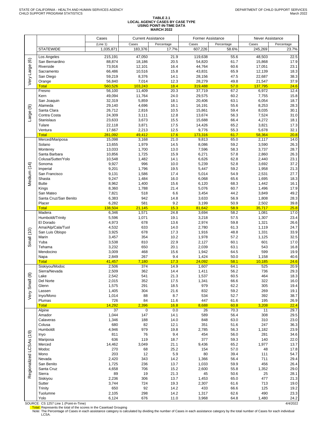# **TABLE 2.1 LOCAL AGENCY CASES BY CASE TYPE USING POINT-IN-TIME DATA MARCH 2022**

| (Line 1)<br>Cases<br>Cases<br>Cases<br>Percentage<br>Percentage<br>Percentage<br><b>STATEWIDE</b><br>1,035,871<br>183,376<br>17.7%<br>607,226<br>58.6%<br>245,269<br>47,050<br>21.9<br>55.6<br>48,503<br>Los Angeles<br>215,191<br>119,638<br>Very Large (6)<br>San Bernardino<br>88,874<br>20.5<br>54,820<br>61.7<br>15,868<br>18,186<br>Riverside<br>73,916<br>12,101<br>16.4<br>44,764<br>60.6<br>17,051<br>66,486<br>10,516<br>15.8<br>43,831<br>65.9<br>12,139<br>Sacramento<br>59,219<br>8,376<br>47.5<br>22,687<br>San Diego<br>14.1<br>28,156<br>56,840<br>7,014<br>12.3<br>28,279<br>49.8<br>21,547<br>Orange<br>57.0<br><b>Total</b><br>560,526<br>103,243<br>18.4<br>319,488<br>137.795<br>56,100<br>11,409<br>20.3<br>37,719<br>67.2<br>6,972<br>Fresno<br>49,094<br>11,764<br>24.0<br>29,575<br>60.2<br>7,755<br>Kern<br>32,319<br>5,859<br>18.1<br>20,406<br>63.1<br>6,054<br>San Joaquin<br>Alameda<br>29,140<br>4,696<br>16.1<br>16,191<br>55.6<br>8,253<br>ම<br>26,712<br>2,816<br>10.5<br>15,861<br>59.4<br>8,035<br>Santa Clara<br>Large<br>Contra Costa<br>24,309<br>12.8<br>13,674<br>56.3<br>7,524<br>3,111<br>23,633<br>3,673<br>15.5<br>15,688<br>66.4<br>4,272<br><b>Stanislaus</b><br>Tulare<br>22,118<br>3,871<br>17.5<br>14,426<br>65.2<br>3,821<br>9,776<br>Ventura<br>17,667<br>2,213<br>12.5<br>55.3<br>5,678<br>281,092<br>49,412<br>17.6<br>173,316<br>61.7<br>58,364<br><b>Total</b><br>Merced/Mariposa<br>15,098<br>21.0<br>9,813<br>65.0<br>2,117<br>3,168<br>Solano<br>13,655<br>1,979<br>14.5<br>8,086<br>59.2<br>3,590<br>13,033<br>1,700<br>13.0<br>7,596<br>58.3<br>3,737<br>Monterey<br>Santa Barbara<br>10,856<br>1,725<br>15.9<br>6,271<br>57.8<br>2,860<br>Colusa/Sutter/Yolo<br>10,548<br>1,482<br>14.1<br>6,626<br>62.8<br>2,440<br>52.8<br>Medium (14)<br>Sonoma<br>9,927<br>996<br>10.0<br>5,239<br>3,692<br>9,201<br>5,447<br>59.2<br>Imperial<br>1,796<br>19.5<br>1,958<br>9,131<br>1,586<br>5,014<br>54.9<br>2,531<br>San Francisco<br>17.4<br>9,247<br>65.6<br>1,695<br>Shasta<br>1,484<br>16.0<br>6,068<br><b>Butte</b><br>8,962<br>1,400<br>68.3<br>1,442<br>15.6<br>6,120<br>60.7<br>8,360<br>1,788<br>21.4<br>5,076<br>1,496<br>Kings<br>7,821<br>518<br>6.6<br>3,454<br>44.2<br>3,849<br>San Mateo<br>56.9<br>Santa Cruz/San Benito<br>6,383<br>942<br>14.8<br>3,633<br>1,808<br>9.2<br>Placer<br>6,282<br>581<br>3,199<br>50.9<br>2,502<br>58.9<br><b>Total</b><br>138,504<br>21,145<br>15.3<br>81,642<br>35,717<br>Madera<br>6,346<br>1,571<br>24.8<br>3,694<br>58.2<br>1,081<br>Humboldt/Trinity<br>5,596<br>1,071<br>57.5<br>19.1<br>3,218<br>1,307<br>59.8<br>El Dorado<br>4,973<br>678<br>13.6<br>2,974<br>1,321<br>4,532<br>633<br>14.0<br>2,780<br>61.3<br>Ama/Alp/Cala/Tuol<br>1,119<br>Small (10)<br>San Luis Obispo<br>3,925<br>678<br>17.3<br>48.8<br>1,331<br>1,916<br>3,457<br>354<br>10.2<br>1,978<br>57.2<br>1,125<br>Marin<br>Yuba<br>3,538<br>810<br>22.9<br>2,127<br>60.1<br>601<br>Tehama<br>3,232<br>20.1<br>2,039<br>63.1<br>650<br>543<br>Mendocino<br>3,009<br>468<br>15.6<br>1,942<br>64.5<br>599<br>2,849<br>267<br>9.4<br>1,424<br>50.0<br>Napa<br>1,158<br><b>Total</b><br>41,457<br>7,180<br>17.3<br>24,092<br>58.1<br>10,185<br>Siskiyou/Modoc<br>374<br>14.9<br>64.1<br>525<br>2,506<br>1,607<br>2,509<br>362<br>14.4<br>1,411<br>56.2<br>736<br>Sierra/Nevada<br>Very Small (8)<br>Lake<br>2,542<br>541<br>21.3<br>1,537<br>60.5<br>464<br>Del Norte<br>2,015<br>352<br>17.5<br>1,341<br>66.6<br>322<br>62.2<br>1,575<br>291<br>18.5<br>979<br>305<br>Glenn<br>832<br>1,405<br>304<br>21.6<br>59.2<br>269<br>Lassen<br>1,014<br>8.7<br>534<br>52.7<br>392<br>Inyo/Mono<br>88<br>726<br>84<br>11.6<br>447<br>61.6<br>195<br>Plumas<br><b>Total</b><br>14,292<br>2,396<br>16.8<br>8,688<br>60.8<br>3,208<br>37<br>$\overline{0}$<br>0.0<br>26<br>70.3<br>11<br>Alpine<br>1,044<br>147<br>14.1<br>589<br>56.4<br>308<br>Amador<br>1,346<br>188<br>14.0<br>848<br>63.0<br>310<br>Calaveras<br>680<br>12.1<br>351<br>51.6<br>247<br>Colusa<br>82<br>4,946<br>979<br>19.8<br>2,785<br>56.3<br>1,182<br>Humboldt<br>Regionalized LCSAs (19)<br>811<br>9.4<br>454<br>56.0<br>281<br>Inyo<br>76<br>636<br>119<br>18.7<br>377<br>59.3<br>140<br>Mariposa<br>14,462<br>3,049<br>65.2<br>1,977<br>Merced<br>21.1<br>9,436<br>Modoc<br>270<br>25.2<br>154<br>57.0<br>48<br>68<br>203<br>5.9<br>80<br>39.4<br>Mono<br>12<br>111<br>2,420<br>343<br>14.2<br>1,366<br>56.4<br>711<br>Nevada<br>1,725<br>236<br>13.7<br>59.9<br>456<br>San Benito<br>1,033<br>706<br>15.2<br>55.8<br>1,352<br>Santa Cruz<br>4,658<br>2,600<br>89<br>21.3<br>45<br>50.6<br>Sierra<br>19<br>25<br>1,453<br>65.0<br>Siskiyou<br>2,236<br>306<br>13.7<br>477<br>2,307<br>61.6<br>713<br>Sutter<br>3,744<br>724<br>19.3 |         | Cases | <b>Current Assistance</b> |      | <b>Former Assistance</b> |      | Never Assistance |                |
|-----------------------------------------------------------------------------------------------------------------------------------------------------------------------------------------------------------------------------------------------------------------------------------------------------------------------------------------------------------------------------------------------------------------------------------------------------------------------------------------------------------------------------------------------------------------------------------------------------------------------------------------------------------------------------------------------------------------------------------------------------------------------------------------------------------------------------------------------------------------------------------------------------------------------------------------------------------------------------------------------------------------------------------------------------------------------------------------------------------------------------------------------------------------------------------------------------------------------------------------------------------------------------------------------------------------------------------------------------------------------------------------------------------------------------------------------------------------------------------------------------------------------------------------------------------------------------------------------------------------------------------------------------------------------------------------------------------------------------------------------------------------------------------------------------------------------------------------------------------------------------------------------------------------------------------------------------------------------------------------------------------------------------------------------------------------------------------------------------------------------------------------------------------------------------------------------------------------------------------------------------------------------------------------------------------------------------------------------------------------------------------------------------------------------------------------------------------------------------------------------------------------------------------------------------------------------------------------------------------------------------------------------------------------------------------------------------------------------------------------------------------------------------------------------------------------------------------------------------------------------------------------------------------------------------------------------------------------------------------------------------------------------------------------------------------------------------------------------------------------------------------------------------------------------------------------------------------------------------------------------------------------------------------------------------------------------------------------------------------------------------------------------------------------------------------------------------------------------------------------------------------------------------------------------------------------------------------------------------------------------------------------------------------------------------------------------------------------------------------------------------------------------------------------------------------------------------------------------------------------------------------------------------------------------------------------------------------------------------------------------------------------------------------------------------------------------------------------------------------------------------------------------------------------------------------------------------------------------------------------------------------------------------------------------------------------------------------------------------------------------------------------------------------------------------------------------------------------------------------------------------------------------------------------------------------------------------------------------------------------------------------------------------------------------------------------------------------------------------------------------------------------------------|---------|-------|---------------------------|------|--------------------------|------|------------------|----------------|
|                                                                                                                                                                                                                                                                                                                                                                                                                                                                                                                                                                                                                                                                                                                                                                                                                                                                                                                                                                                                                                                                                                                                                                                                                                                                                                                                                                                                                                                                                                                                                                                                                                                                                                                                                                                                                                                                                                                                                                                                                                                                                                                                                                                                                                                                                                                                                                                                                                                                                                                                                                                                                                                                                                                                                                                                                                                                                                                                                                                                                                                                                                                                                                                                                                                                                                                                                                                                                                                                                                                                                                                                                                                                                                                                                                                                                                                                                                                                                                                                                                                                                                                                                                                                                                                                                                                                                                                                                                                                                                                                                                                                                                                                                                                                                                             |         |       |                           |      |                          |      |                  |                |
|                                                                                                                                                                                                                                                                                                                                                                                                                                                                                                                                                                                                                                                                                                                                                                                                                                                                                                                                                                                                                                                                                                                                                                                                                                                                                                                                                                                                                                                                                                                                                                                                                                                                                                                                                                                                                                                                                                                                                                                                                                                                                                                                                                                                                                                                                                                                                                                                                                                                                                                                                                                                                                                                                                                                                                                                                                                                                                                                                                                                                                                                                                                                                                                                                                                                                                                                                                                                                                                                                                                                                                                                                                                                                                                                                                                                                                                                                                                                                                                                                                                                                                                                                                                                                                                                                                                                                                                                                                                                                                                                                                                                                                                                                                                                                                             |         |       |                           |      |                          |      |                  | 23.7%          |
|                                                                                                                                                                                                                                                                                                                                                                                                                                                                                                                                                                                                                                                                                                                                                                                                                                                                                                                                                                                                                                                                                                                                                                                                                                                                                                                                                                                                                                                                                                                                                                                                                                                                                                                                                                                                                                                                                                                                                                                                                                                                                                                                                                                                                                                                                                                                                                                                                                                                                                                                                                                                                                                                                                                                                                                                                                                                                                                                                                                                                                                                                                                                                                                                                                                                                                                                                                                                                                                                                                                                                                                                                                                                                                                                                                                                                                                                                                                                                                                                                                                                                                                                                                                                                                                                                                                                                                                                                                                                                                                                                                                                                                                                                                                                                                             |         |       |                           |      |                          |      |                  | 22.5           |
|                                                                                                                                                                                                                                                                                                                                                                                                                                                                                                                                                                                                                                                                                                                                                                                                                                                                                                                                                                                                                                                                                                                                                                                                                                                                                                                                                                                                                                                                                                                                                                                                                                                                                                                                                                                                                                                                                                                                                                                                                                                                                                                                                                                                                                                                                                                                                                                                                                                                                                                                                                                                                                                                                                                                                                                                                                                                                                                                                                                                                                                                                                                                                                                                                                                                                                                                                                                                                                                                                                                                                                                                                                                                                                                                                                                                                                                                                                                                                                                                                                                                                                                                                                                                                                                                                                                                                                                                                                                                                                                                                                                                                                                                                                                                                                             |         |       |                           |      |                          |      |                  | 17.9<br>23.1   |
|                                                                                                                                                                                                                                                                                                                                                                                                                                                                                                                                                                                                                                                                                                                                                                                                                                                                                                                                                                                                                                                                                                                                                                                                                                                                                                                                                                                                                                                                                                                                                                                                                                                                                                                                                                                                                                                                                                                                                                                                                                                                                                                                                                                                                                                                                                                                                                                                                                                                                                                                                                                                                                                                                                                                                                                                                                                                                                                                                                                                                                                                                                                                                                                                                                                                                                                                                                                                                                                                                                                                                                                                                                                                                                                                                                                                                                                                                                                                                                                                                                                                                                                                                                                                                                                                                                                                                                                                                                                                                                                                                                                                                                                                                                                                                                             |         |       |                           |      |                          |      |                  | 18.3           |
|                                                                                                                                                                                                                                                                                                                                                                                                                                                                                                                                                                                                                                                                                                                                                                                                                                                                                                                                                                                                                                                                                                                                                                                                                                                                                                                                                                                                                                                                                                                                                                                                                                                                                                                                                                                                                                                                                                                                                                                                                                                                                                                                                                                                                                                                                                                                                                                                                                                                                                                                                                                                                                                                                                                                                                                                                                                                                                                                                                                                                                                                                                                                                                                                                                                                                                                                                                                                                                                                                                                                                                                                                                                                                                                                                                                                                                                                                                                                                                                                                                                                                                                                                                                                                                                                                                                                                                                                                                                                                                                                                                                                                                                                                                                                                                             |         |       |                           |      |                          |      |                  | 38.3           |
|                                                                                                                                                                                                                                                                                                                                                                                                                                                                                                                                                                                                                                                                                                                                                                                                                                                                                                                                                                                                                                                                                                                                                                                                                                                                                                                                                                                                                                                                                                                                                                                                                                                                                                                                                                                                                                                                                                                                                                                                                                                                                                                                                                                                                                                                                                                                                                                                                                                                                                                                                                                                                                                                                                                                                                                                                                                                                                                                                                                                                                                                                                                                                                                                                                                                                                                                                                                                                                                                                                                                                                                                                                                                                                                                                                                                                                                                                                                                                                                                                                                                                                                                                                                                                                                                                                                                                                                                                                                                                                                                                                                                                                                                                                                                                                             |         |       |                           |      |                          |      |                  | 37.9           |
|                                                                                                                                                                                                                                                                                                                                                                                                                                                                                                                                                                                                                                                                                                                                                                                                                                                                                                                                                                                                                                                                                                                                                                                                                                                                                                                                                                                                                                                                                                                                                                                                                                                                                                                                                                                                                                                                                                                                                                                                                                                                                                                                                                                                                                                                                                                                                                                                                                                                                                                                                                                                                                                                                                                                                                                                                                                                                                                                                                                                                                                                                                                                                                                                                                                                                                                                                                                                                                                                                                                                                                                                                                                                                                                                                                                                                                                                                                                                                                                                                                                                                                                                                                                                                                                                                                                                                                                                                                                                                                                                                                                                                                                                                                                                                                             |         |       |                           |      |                          |      |                  | 24.6           |
|                                                                                                                                                                                                                                                                                                                                                                                                                                                                                                                                                                                                                                                                                                                                                                                                                                                                                                                                                                                                                                                                                                                                                                                                                                                                                                                                                                                                                                                                                                                                                                                                                                                                                                                                                                                                                                                                                                                                                                                                                                                                                                                                                                                                                                                                                                                                                                                                                                                                                                                                                                                                                                                                                                                                                                                                                                                                                                                                                                                                                                                                                                                                                                                                                                                                                                                                                                                                                                                                                                                                                                                                                                                                                                                                                                                                                                                                                                                                                                                                                                                                                                                                                                                                                                                                                                                                                                                                                                                                                                                                                                                                                                                                                                                                                                             |         |       |                           |      |                          |      |                  | 12.4<br>15.8   |
|                                                                                                                                                                                                                                                                                                                                                                                                                                                                                                                                                                                                                                                                                                                                                                                                                                                                                                                                                                                                                                                                                                                                                                                                                                                                                                                                                                                                                                                                                                                                                                                                                                                                                                                                                                                                                                                                                                                                                                                                                                                                                                                                                                                                                                                                                                                                                                                                                                                                                                                                                                                                                                                                                                                                                                                                                                                                                                                                                                                                                                                                                                                                                                                                                                                                                                                                                                                                                                                                                                                                                                                                                                                                                                                                                                                                                                                                                                                                                                                                                                                                                                                                                                                                                                                                                                                                                                                                                                                                                                                                                                                                                                                                                                                                                                             |         |       |                           |      |                          |      |                  | 18.7           |
|                                                                                                                                                                                                                                                                                                                                                                                                                                                                                                                                                                                                                                                                                                                                                                                                                                                                                                                                                                                                                                                                                                                                                                                                                                                                                                                                                                                                                                                                                                                                                                                                                                                                                                                                                                                                                                                                                                                                                                                                                                                                                                                                                                                                                                                                                                                                                                                                                                                                                                                                                                                                                                                                                                                                                                                                                                                                                                                                                                                                                                                                                                                                                                                                                                                                                                                                                                                                                                                                                                                                                                                                                                                                                                                                                                                                                                                                                                                                                                                                                                                                                                                                                                                                                                                                                                                                                                                                                                                                                                                                                                                                                                                                                                                                                                             |         |       |                           |      |                          |      |                  | 28.3           |
|                                                                                                                                                                                                                                                                                                                                                                                                                                                                                                                                                                                                                                                                                                                                                                                                                                                                                                                                                                                                                                                                                                                                                                                                                                                                                                                                                                                                                                                                                                                                                                                                                                                                                                                                                                                                                                                                                                                                                                                                                                                                                                                                                                                                                                                                                                                                                                                                                                                                                                                                                                                                                                                                                                                                                                                                                                                                                                                                                                                                                                                                                                                                                                                                                                                                                                                                                                                                                                                                                                                                                                                                                                                                                                                                                                                                                                                                                                                                                                                                                                                                                                                                                                                                                                                                                                                                                                                                                                                                                                                                                                                                                                                                                                                                                                             |         |       |                           |      |                          |      |                  | 30.1           |
|                                                                                                                                                                                                                                                                                                                                                                                                                                                                                                                                                                                                                                                                                                                                                                                                                                                                                                                                                                                                                                                                                                                                                                                                                                                                                                                                                                                                                                                                                                                                                                                                                                                                                                                                                                                                                                                                                                                                                                                                                                                                                                                                                                                                                                                                                                                                                                                                                                                                                                                                                                                                                                                                                                                                                                                                                                                                                                                                                                                                                                                                                                                                                                                                                                                                                                                                                                                                                                                                                                                                                                                                                                                                                                                                                                                                                                                                                                                                                                                                                                                                                                                                                                                                                                                                                                                                                                                                                                                                                                                                                                                                                                                                                                                                                                             |         |       |                           |      |                          |      |                  | 31.0<br>18.1   |
|                                                                                                                                                                                                                                                                                                                                                                                                                                                                                                                                                                                                                                                                                                                                                                                                                                                                                                                                                                                                                                                                                                                                                                                                                                                                                                                                                                                                                                                                                                                                                                                                                                                                                                                                                                                                                                                                                                                                                                                                                                                                                                                                                                                                                                                                                                                                                                                                                                                                                                                                                                                                                                                                                                                                                                                                                                                                                                                                                                                                                                                                                                                                                                                                                                                                                                                                                                                                                                                                                                                                                                                                                                                                                                                                                                                                                                                                                                                                                                                                                                                                                                                                                                                                                                                                                                                                                                                                                                                                                                                                                                                                                                                                                                                                                                             |         |       |                           |      |                          |      |                  | 17.3           |
|                                                                                                                                                                                                                                                                                                                                                                                                                                                                                                                                                                                                                                                                                                                                                                                                                                                                                                                                                                                                                                                                                                                                                                                                                                                                                                                                                                                                                                                                                                                                                                                                                                                                                                                                                                                                                                                                                                                                                                                                                                                                                                                                                                                                                                                                                                                                                                                                                                                                                                                                                                                                                                                                                                                                                                                                                                                                                                                                                                                                                                                                                                                                                                                                                                                                                                                                                                                                                                                                                                                                                                                                                                                                                                                                                                                                                                                                                                                                                                                                                                                                                                                                                                                                                                                                                                                                                                                                                                                                                                                                                                                                                                                                                                                                                                             |         |       |                           |      |                          |      |                  | 32.1           |
|                                                                                                                                                                                                                                                                                                                                                                                                                                                                                                                                                                                                                                                                                                                                                                                                                                                                                                                                                                                                                                                                                                                                                                                                                                                                                                                                                                                                                                                                                                                                                                                                                                                                                                                                                                                                                                                                                                                                                                                                                                                                                                                                                                                                                                                                                                                                                                                                                                                                                                                                                                                                                                                                                                                                                                                                                                                                                                                                                                                                                                                                                                                                                                                                                                                                                                                                                                                                                                                                                                                                                                                                                                                                                                                                                                                                                                                                                                                                                                                                                                                                                                                                                                                                                                                                                                                                                                                                                                                                                                                                                                                                                                                                                                                                                                             |         |       |                           |      |                          |      |                  | 20.8           |
|                                                                                                                                                                                                                                                                                                                                                                                                                                                                                                                                                                                                                                                                                                                                                                                                                                                                                                                                                                                                                                                                                                                                                                                                                                                                                                                                                                                                                                                                                                                                                                                                                                                                                                                                                                                                                                                                                                                                                                                                                                                                                                                                                                                                                                                                                                                                                                                                                                                                                                                                                                                                                                                                                                                                                                                                                                                                                                                                                                                                                                                                                                                                                                                                                                                                                                                                                                                                                                                                                                                                                                                                                                                                                                                                                                                                                                                                                                                                                                                                                                                                                                                                                                                                                                                                                                                                                                                                                                                                                                                                                                                                                                                                                                                                                                             |         |       |                           |      |                          |      |                  | 14.0<br>26.3   |
|                                                                                                                                                                                                                                                                                                                                                                                                                                                                                                                                                                                                                                                                                                                                                                                                                                                                                                                                                                                                                                                                                                                                                                                                                                                                                                                                                                                                                                                                                                                                                                                                                                                                                                                                                                                                                                                                                                                                                                                                                                                                                                                                                                                                                                                                                                                                                                                                                                                                                                                                                                                                                                                                                                                                                                                                                                                                                                                                                                                                                                                                                                                                                                                                                                                                                                                                                                                                                                                                                                                                                                                                                                                                                                                                                                                                                                                                                                                                                                                                                                                                                                                                                                                                                                                                                                                                                                                                                                                                                                                                                                                                                                                                                                                                                                             |         |       |                           |      |                          |      |                  | 28.7           |
|                                                                                                                                                                                                                                                                                                                                                                                                                                                                                                                                                                                                                                                                                                                                                                                                                                                                                                                                                                                                                                                                                                                                                                                                                                                                                                                                                                                                                                                                                                                                                                                                                                                                                                                                                                                                                                                                                                                                                                                                                                                                                                                                                                                                                                                                                                                                                                                                                                                                                                                                                                                                                                                                                                                                                                                                                                                                                                                                                                                                                                                                                                                                                                                                                                                                                                                                                                                                                                                                                                                                                                                                                                                                                                                                                                                                                                                                                                                                                                                                                                                                                                                                                                                                                                                                                                                                                                                                                                                                                                                                                                                                                                                                                                                                                                             |         |       |                           |      |                          |      |                  | 26.3           |
|                                                                                                                                                                                                                                                                                                                                                                                                                                                                                                                                                                                                                                                                                                                                                                                                                                                                                                                                                                                                                                                                                                                                                                                                                                                                                                                                                                                                                                                                                                                                                                                                                                                                                                                                                                                                                                                                                                                                                                                                                                                                                                                                                                                                                                                                                                                                                                                                                                                                                                                                                                                                                                                                                                                                                                                                                                                                                                                                                                                                                                                                                                                                                                                                                                                                                                                                                                                                                                                                                                                                                                                                                                                                                                                                                                                                                                                                                                                                                                                                                                                                                                                                                                                                                                                                                                                                                                                                                                                                                                                                                                                                                                                                                                                                                                             |         |       |                           |      |                          |      |                  | 23.1           |
|                                                                                                                                                                                                                                                                                                                                                                                                                                                                                                                                                                                                                                                                                                                                                                                                                                                                                                                                                                                                                                                                                                                                                                                                                                                                                                                                                                                                                                                                                                                                                                                                                                                                                                                                                                                                                                                                                                                                                                                                                                                                                                                                                                                                                                                                                                                                                                                                                                                                                                                                                                                                                                                                                                                                                                                                                                                                                                                                                                                                                                                                                                                                                                                                                                                                                                                                                                                                                                                                                                                                                                                                                                                                                                                                                                                                                                                                                                                                                                                                                                                                                                                                                                                                                                                                                                                                                                                                                                                                                                                                                                                                                                                                                                                                                                             |         |       |                           |      |                          |      |                  | 37.2           |
|                                                                                                                                                                                                                                                                                                                                                                                                                                                                                                                                                                                                                                                                                                                                                                                                                                                                                                                                                                                                                                                                                                                                                                                                                                                                                                                                                                                                                                                                                                                                                                                                                                                                                                                                                                                                                                                                                                                                                                                                                                                                                                                                                                                                                                                                                                                                                                                                                                                                                                                                                                                                                                                                                                                                                                                                                                                                                                                                                                                                                                                                                                                                                                                                                                                                                                                                                                                                                                                                                                                                                                                                                                                                                                                                                                                                                                                                                                                                                                                                                                                                                                                                                                                                                                                                                                                                                                                                                                                                                                                                                                                                                                                                                                                                                                             |         |       |                           |      |                          |      |                  | 21.3<br>27.7   |
|                                                                                                                                                                                                                                                                                                                                                                                                                                                                                                                                                                                                                                                                                                                                                                                                                                                                                                                                                                                                                                                                                                                                                                                                                                                                                                                                                                                                                                                                                                                                                                                                                                                                                                                                                                                                                                                                                                                                                                                                                                                                                                                                                                                                                                                                                                                                                                                                                                                                                                                                                                                                                                                                                                                                                                                                                                                                                                                                                                                                                                                                                                                                                                                                                                                                                                                                                                                                                                                                                                                                                                                                                                                                                                                                                                                                                                                                                                                                                                                                                                                                                                                                                                                                                                                                                                                                                                                                                                                                                                                                                                                                                                                                                                                                                                             |         |       |                           |      |                          |      |                  | 18.3           |
|                                                                                                                                                                                                                                                                                                                                                                                                                                                                                                                                                                                                                                                                                                                                                                                                                                                                                                                                                                                                                                                                                                                                                                                                                                                                                                                                                                                                                                                                                                                                                                                                                                                                                                                                                                                                                                                                                                                                                                                                                                                                                                                                                                                                                                                                                                                                                                                                                                                                                                                                                                                                                                                                                                                                                                                                                                                                                                                                                                                                                                                                                                                                                                                                                                                                                                                                                                                                                                                                                                                                                                                                                                                                                                                                                                                                                                                                                                                                                                                                                                                                                                                                                                                                                                                                                                                                                                                                                                                                                                                                                                                                                                                                                                                                                                             |         |       |                           |      |                          |      |                  | 16.1           |
|                                                                                                                                                                                                                                                                                                                                                                                                                                                                                                                                                                                                                                                                                                                                                                                                                                                                                                                                                                                                                                                                                                                                                                                                                                                                                                                                                                                                                                                                                                                                                                                                                                                                                                                                                                                                                                                                                                                                                                                                                                                                                                                                                                                                                                                                                                                                                                                                                                                                                                                                                                                                                                                                                                                                                                                                                                                                                                                                                                                                                                                                                                                                                                                                                                                                                                                                                                                                                                                                                                                                                                                                                                                                                                                                                                                                                                                                                                                                                                                                                                                                                                                                                                                                                                                                                                                                                                                                                                                                                                                                                                                                                                                                                                                                                                             |         |       |                           |      |                          |      |                  | 17.9           |
|                                                                                                                                                                                                                                                                                                                                                                                                                                                                                                                                                                                                                                                                                                                                                                                                                                                                                                                                                                                                                                                                                                                                                                                                                                                                                                                                                                                                                                                                                                                                                                                                                                                                                                                                                                                                                                                                                                                                                                                                                                                                                                                                                                                                                                                                                                                                                                                                                                                                                                                                                                                                                                                                                                                                                                                                                                                                                                                                                                                                                                                                                                                                                                                                                                                                                                                                                                                                                                                                                                                                                                                                                                                                                                                                                                                                                                                                                                                                                                                                                                                                                                                                                                                                                                                                                                                                                                                                                                                                                                                                                                                                                                                                                                                                                                             |         |       |                           |      |                          |      |                  | 49.2           |
|                                                                                                                                                                                                                                                                                                                                                                                                                                                                                                                                                                                                                                                                                                                                                                                                                                                                                                                                                                                                                                                                                                                                                                                                                                                                                                                                                                                                                                                                                                                                                                                                                                                                                                                                                                                                                                                                                                                                                                                                                                                                                                                                                                                                                                                                                                                                                                                                                                                                                                                                                                                                                                                                                                                                                                                                                                                                                                                                                                                                                                                                                                                                                                                                                                                                                                                                                                                                                                                                                                                                                                                                                                                                                                                                                                                                                                                                                                                                                                                                                                                                                                                                                                                                                                                                                                                                                                                                                                                                                                                                                                                                                                                                                                                                                                             |         |       |                           |      |                          |      |                  | 28.3<br>39.8   |
|                                                                                                                                                                                                                                                                                                                                                                                                                                                                                                                                                                                                                                                                                                                                                                                                                                                                                                                                                                                                                                                                                                                                                                                                                                                                                                                                                                                                                                                                                                                                                                                                                                                                                                                                                                                                                                                                                                                                                                                                                                                                                                                                                                                                                                                                                                                                                                                                                                                                                                                                                                                                                                                                                                                                                                                                                                                                                                                                                                                                                                                                                                                                                                                                                                                                                                                                                                                                                                                                                                                                                                                                                                                                                                                                                                                                                                                                                                                                                                                                                                                                                                                                                                                                                                                                                                                                                                                                                                                                                                                                                                                                                                                                                                                                                                             |         |       |                           |      |                          |      |                  | 25.8           |
|                                                                                                                                                                                                                                                                                                                                                                                                                                                                                                                                                                                                                                                                                                                                                                                                                                                                                                                                                                                                                                                                                                                                                                                                                                                                                                                                                                                                                                                                                                                                                                                                                                                                                                                                                                                                                                                                                                                                                                                                                                                                                                                                                                                                                                                                                                                                                                                                                                                                                                                                                                                                                                                                                                                                                                                                                                                                                                                                                                                                                                                                                                                                                                                                                                                                                                                                                                                                                                                                                                                                                                                                                                                                                                                                                                                                                                                                                                                                                                                                                                                                                                                                                                                                                                                                                                                                                                                                                                                                                                                                                                                                                                                                                                                                                                             |         |       |                           |      |                          |      |                  | 17.0           |
|                                                                                                                                                                                                                                                                                                                                                                                                                                                                                                                                                                                                                                                                                                                                                                                                                                                                                                                                                                                                                                                                                                                                                                                                                                                                                                                                                                                                                                                                                                                                                                                                                                                                                                                                                                                                                                                                                                                                                                                                                                                                                                                                                                                                                                                                                                                                                                                                                                                                                                                                                                                                                                                                                                                                                                                                                                                                                                                                                                                                                                                                                                                                                                                                                                                                                                                                                                                                                                                                                                                                                                                                                                                                                                                                                                                                                                                                                                                                                                                                                                                                                                                                                                                                                                                                                                                                                                                                                                                                                                                                                                                                                                                                                                                                                                             |         |       |                           |      |                          |      |                  | 23.4           |
|                                                                                                                                                                                                                                                                                                                                                                                                                                                                                                                                                                                                                                                                                                                                                                                                                                                                                                                                                                                                                                                                                                                                                                                                                                                                                                                                                                                                                                                                                                                                                                                                                                                                                                                                                                                                                                                                                                                                                                                                                                                                                                                                                                                                                                                                                                                                                                                                                                                                                                                                                                                                                                                                                                                                                                                                                                                                                                                                                                                                                                                                                                                                                                                                                                                                                                                                                                                                                                                                                                                                                                                                                                                                                                                                                                                                                                                                                                                                                                                                                                                                                                                                                                                                                                                                                                                                                                                                                                                                                                                                                                                                                                                                                                                                                                             |         |       |                           |      |                          |      |                  | 26.6<br>24.7   |
|                                                                                                                                                                                                                                                                                                                                                                                                                                                                                                                                                                                                                                                                                                                                                                                                                                                                                                                                                                                                                                                                                                                                                                                                                                                                                                                                                                                                                                                                                                                                                                                                                                                                                                                                                                                                                                                                                                                                                                                                                                                                                                                                                                                                                                                                                                                                                                                                                                                                                                                                                                                                                                                                                                                                                                                                                                                                                                                                                                                                                                                                                                                                                                                                                                                                                                                                                                                                                                                                                                                                                                                                                                                                                                                                                                                                                                                                                                                                                                                                                                                                                                                                                                                                                                                                                                                                                                                                                                                                                                                                                                                                                                                                                                                                                                             |         |       |                           |      |                          |      |                  | 33.9           |
|                                                                                                                                                                                                                                                                                                                                                                                                                                                                                                                                                                                                                                                                                                                                                                                                                                                                                                                                                                                                                                                                                                                                                                                                                                                                                                                                                                                                                                                                                                                                                                                                                                                                                                                                                                                                                                                                                                                                                                                                                                                                                                                                                                                                                                                                                                                                                                                                                                                                                                                                                                                                                                                                                                                                                                                                                                                                                                                                                                                                                                                                                                                                                                                                                                                                                                                                                                                                                                                                                                                                                                                                                                                                                                                                                                                                                                                                                                                                                                                                                                                                                                                                                                                                                                                                                                                                                                                                                                                                                                                                                                                                                                                                                                                                                                             |         |       |                           |      |                          |      |                  | 32.5           |
|                                                                                                                                                                                                                                                                                                                                                                                                                                                                                                                                                                                                                                                                                                                                                                                                                                                                                                                                                                                                                                                                                                                                                                                                                                                                                                                                                                                                                                                                                                                                                                                                                                                                                                                                                                                                                                                                                                                                                                                                                                                                                                                                                                                                                                                                                                                                                                                                                                                                                                                                                                                                                                                                                                                                                                                                                                                                                                                                                                                                                                                                                                                                                                                                                                                                                                                                                                                                                                                                                                                                                                                                                                                                                                                                                                                                                                                                                                                                                                                                                                                                                                                                                                                                                                                                                                                                                                                                                                                                                                                                                                                                                                                                                                                                                                             |         |       |                           |      |                          |      |                  | 17.0           |
|                                                                                                                                                                                                                                                                                                                                                                                                                                                                                                                                                                                                                                                                                                                                                                                                                                                                                                                                                                                                                                                                                                                                                                                                                                                                                                                                                                                                                                                                                                                                                                                                                                                                                                                                                                                                                                                                                                                                                                                                                                                                                                                                                                                                                                                                                                                                                                                                                                                                                                                                                                                                                                                                                                                                                                                                                                                                                                                                                                                                                                                                                                                                                                                                                                                                                                                                                                                                                                                                                                                                                                                                                                                                                                                                                                                                                                                                                                                                                                                                                                                                                                                                                                                                                                                                                                                                                                                                                                                                                                                                                                                                                                                                                                                                                                             |         |       |                           |      |                          |      |                  | 16.8<br>19.9   |
|                                                                                                                                                                                                                                                                                                                                                                                                                                                                                                                                                                                                                                                                                                                                                                                                                                                                                                                                                                                                                                                                                                                                                                                                                                                                                                                                                                                                                                                                                                                                                                                                                                                                                                                                                                                                                                                                                                                                                                                                                                                                                                                                                                                                                                                                                                                                                                                                                                                                                                                                                                                                                                                                                                                                                                                                                                                                                                                                                                                                                                                                                                                                                                                                                                                                                                                                                                                                                                                                                                                                                                                                                                                                                                                                                                                                                                                                                                                                                                                                                                                                                                                                                                                                                                                                                                                                                                                                                                                                                                                                                                                                                                                                                                                                                                             |         |       |                           |      |                          |      |                  | 40.6           |
|                                                                                                                                                                                                                                                                                                                                                                                                                                                                                                                                                                                                                                                                                                                                                                                                                                                                                                                                                                                                                                                                                                                                                                                                                                                                                                                                                                                                                                                                                                                                                                                                                                                                                                                                                                                                                                                                                                                                                                                                                                                                                                                                                                                                                                                                                                                                                                                                                                                                                                                                                                                                                                                                                                                                                                                                                                                                                                                                                                                                                                                                                                                                                                                                                                                                                                                                                                                                                                                                                                                                                                                                                                                                                                                                                                                                                                                                                                                                                                                                                                                                                                                                                                                                                                                                                                                                                                                                                                                                                                                                                                                                                                                                                                                                                                             |         |       |                           |      |                          |      |                  | 24.6           |
|                                                                                                                                                                                                                                                                                                                                                                                                                                                                                                                                                                                                                                                                                                                                                                                                                                                                                                                                                                                                                                                                                                                                                                                                                                                                                                                                                                                                                                                                                                                                                                                                                                                                                                                                                                                                                                                                                                                                                                                                                                                                                                                                                                                                                                                                                                                                                                                                                                                                                                                                                                                                                                                                                                                                                                                                                                                                                                                                                                                                                                                                                                                                                                                                                                                                                                                                                                                                                                                                                                                                                                                                                                                                                                                                                                                                                                                                                                                                                                                                                                                                                                                                                                                                                                                                                                                                                                                                                                                                                                                                                                                                                                                                                                                                                                             |         |       |                           |      |                          |      |                  | 20.9           |
|                                                                                                                                                                                                                                                                                                                                                                                                                                                                                                                                                                                                                                                                                                                                                                                                                                                                                                                                                                                                                                                                                                                                                                                                                                                                                                                                                                                                                                                                                                                                                                                                                                                                                                                                                                                                                                                                                                                                                                                                                                                                                                                                                                                                                                                                                                                                                                                                                                                                                                                                                                                                                                                                                                                                                                                                                                                                                                                                                                                                                                                                                                                                                                                                                                                                                                                                                                                                                                                                                                                                                                                                                                                                                                                                                                                                                                                                                                                                                                                                                                                                                                                                                                                                                                                                                                                                                                                                                                                                                                                                                                                                                                                                                                                                                                             |         |       |                           |      |                          |      |                  | 29.3           |
|                                                                                                                                                                                                                                                                                                                                                                                                                                                                                                                                                                                                                                                                                                                                                                                                                                                                                                                                                                                                                                                                                                                                                                                                                                                                                                                                                                                                                                                                                                                                                                                                                                                                                                                                                                                                                                                                                                                                                                                                                                                                                                                                                                                                                                                                                                                                                                                                                                                                                                                                                                                                                                                                                                                                                                                                                                                                                                                                                                                                                                                                                                                                                                                                                                                                                                                                                                                                                                                                                                                                                                                                                                                                                                                                                                                                                                                                                                                                                                                                                                                                                                                                                                                                                                                                                                                                                                                                                                                                                                                                                                                                                                                                                                                                                                             |         |       |                           |      |                          |      |                  | 18.3<br>16.0   |
|                                                                                                                                                                                                                                                                                                                                                                                                                                                                                                                                                                                                                                                                                                                                                                                                                                                                                                                                                                                                                                                                                                                                                                                                                                                                                                                                                                                                                                                                                                                                                                                                                                                                                                                                                                                                                                                                                                                                                                                                                                                                                                                                                                                                                                                                                                                                                                                                                                                                                                                                                                                                                                                                                                                                                                                                                                                                                                                                                                                                                                                                                                                                                                                                                                                                                                                                                                                                                                                                                                                                                                                                                                                                                                                                                                                                                                                                                                                                                                                                                                                                                                                                                                                                                                                                                                                                                                                                                                                                                                                                                                                                                                                                                                                                                                             |         |       |                           |      |                          |      |                  | 19.4           |
|                                                                                                                                                                                                                                                                                                                                                                                                                                                                                                                                                                                                                                                                                                                                                                                                                                                                                                                                                                                                                                                                                                                                                                                                                                                                                                                                                                                                                                                                                                                                                                                                                                                                                                                                                                                                                                                                                                                                                                                                                                                                                                                                                                                                                                                                                                                                                                                                                                                                                                                                                                                                                                                                                                                                                                                                                                                                                                                                                                                                                                                                                                                                                                                                                                                                                                                                                                                                                                                                                                                                                                                                                                                                                                                                                                                                                                                                                                                                                                                                                                                                                                                                                                                                                                                                                                                                                                                                                                                                                                                                                                                                                                                                                                                                                                             |         |       |                           |      |                          |      |                  | 19.1           |
|                                                                                                                                                                                                                                                                                                                                                                                                                                                                                                                                                                                                                                                                                                                                                                                                                                                                                                                                                                                                                                                                                                                                                                                                                                                                                                                                                                                                                                                                                                                                                                                                                                                                                                                                                                                                                                                                                                                                                                                                                                                                                                                                                                                                                                                                                                                                                                                                                                                                                                                                                                                                                                                                                                                                                                                                                                                                                                                                                                                                                                                                                                                                                                                                                                                                                                                                                                                                                                                                                                                                                                                                                                                                                                                                                                                                                                                                                                                                                                                                                                                                                                                                                                                                                                                                                                                                                                                                                                                                                                                                                                                                                                                                                                                                                                             |         |       |                           |      |                          |      |                  | 38.7           |
|                                                                                                                                                                                                                                                                                                                                                                                                                                                                                                                                                                                                                                                                                                                                                                                                                                                                                                                                                                                                                                                                                                                                                                                                                                                                                                                                                                                                                                                                                                                                                                                                                                                                                                                                                                                                                                                                                                                                                                                                                                                                                                                                                                                                                                                                                                                                                                                                                                                                                                                                                                                                                                                                                                                                                                                                                                                                                                                                                                                                                                                                                                                                                                                                                                                                                                                                                                                                                                                                                                                                                                                                                                                                                                                                                                                                                                                                                                                                                                                                                                                                                                                                                                                                                                                                                                                                                                                                                                                                                                                                                                                                                                                                                                                                                                             |         |       |                           |      |                          |      |                  | 26.9<br>22.4   |
|                                                                                                                                                                                                                                                                                                                                                                                                                                                                                                                                                                                                                                                                                                                                                                                                                                                                                                                                                                                                                                                                                                                                                                                                                                                                                                                                                                                                                                                                                                                                                                                                                                                                                                                                                                                                                                                                                                                                                                                                                                                                                                                                                                                                                                                                                                                                                                                                                                                                                                                                                                                                                                                                                                                                                                                                                                                                                                                                                                                                                                                                                                                                                                                                                                                                                                                                                                                                                                                                                                                                                                                                                                                                                                                                                                                                                                                                                                                                                                                                                                                                                                                                                                                                                                                                                                                                                                                                                                                                                                                                                                                                                                                                                                                                                                             |         |       |                           |      |                          |      |                  | 29.7           |
|                                                                                                                                                                                                                                                                                                                                                                                                                                                                                                                                                                                                                                                                                                                                                                                                                                                                                                                                                                                                                                                                                                                                                                                                                                                                                                                                                                                                                                                                                                                                                                                                                                                                                                                                                                                                                                                                                                                                                                                                                                                                                                                                                                                                                                                                                                                                                                                                                                                                                                                                                                                                                                                                                                                                                                                                                                                                                                                                                                                                                                                                                                                                                                                                                                                                                                                                                                                                                                                                                                                                                                                                                                                                                                                                                                                                                                                                                                                                                                                                                                                                                                                                                                                                                                                                                                                                                                                                                                                                                                                                                                                                                                                                                                                                                                             |         |       |                           |      |                          |      |                  | 29.5           |
|                                                                                                                                                                                                                                                                                                                                                                                                                                                                                                                                                                                                                                                                                                                                                                                                                                                                                                                                                                                                                                                                                                                                                                                                                                                                                                                                                                                                                                                                                                                                                                                                                                                                                                                                                                                                                                                                                                                                                                                                                                                                                                                                                                                                                                                                                                                                                                                                                                                                                                                                                                                                                                                                                                                                                                                                                                                                                                                                                                                                                                                                                                                                                                                                                                                                                                                                                                                                                                                                                                                                                                                                                                                                                                                                                                                                                                                                                                                                                                                                                                                                                                                                                                                                                                                                                                                                                                                                                                                                                                                                                                                                                                                                                                                                                                             |         |       |                           |      |                          |      |                  | 23.0           |
|                                                                                                                                                                                                                                                                                                                                                                                                                                                                                                                                                                                                                                                                                                                                                                                                                                                                                                                                                                                                                                                                                                                                                                                                                                                                                                                                                                                                                                                                                                                                                                                                                                                                                                                                                                                                                                                                                                                                                                                                                                                                                                                                                                                                                                                                                                                                                                                                                                                                                                                                                                                                                                                                                                                                                                                                                                                                                                                                                                                                                                                                                                                                                                                                                                                                                                                                                                                                                                                                                                                                                                                                                                                                                                                                                                                                                                                                                                                                                                                                                                                                                                                                                                                                                                                                                                                                                                                                                                                                                                                                                                                                                                                                                                                                                                             |         |       |                           |      |                          |      |                  | 36.3<br>23.9   |
|                                                                                                                                                                                                                                                                                                                                                                                                                                                                                                                                                                                                                                                                                                                                                                                                                                                                                                                                                                                                                                                                                                                                                                                                                                                                                                                                                                                                                                                                                                                                                                                                                                                                                                                                                                                                                                                                                                                                                                                                                                                                                                                                                                                                                                                                                                                                                                                                                                                                                                                                                                                                                                                                                                                                                                                                                                                                                                                                                                                                                                                                                                                                                                                                                                                                                                                                                                                                                                                                                                                                                                                                                                                                                                                                                                                                                                                                                                                                                                                                                                                                                                                                                                                                                                                                                                                                                                                                                                                                                                                                                                                                                                                                                                                                                                             |         |       |                           |      |                          |      |                  | 34.6           |
|                                                                                                                                                                                                                                                                                                                                                                                                                                                                                                                                                                                                                                                                                                                                                                                                                                                                                                                                                                                                                                                                                                                                                                                                                                                                                                                                                                                                                                                                                                                                                                                                                                                                                                                                                                                                                                                                                                                                                                                                                                                                                                                                                                                                                                                                                                                                                                                                                                                                                                                                                                                                                                                                                                                                                                                                                                                                                                                                                                                                                                                                                                                                                                                                                                                                                                                                                                                                                                                                                                                                                                                                                                                                                                                                                                                                                                                                                                                                                                                                                                                                                                                                                                                                                                                                                                                                                                                                                                                                                                                                                                                                                                                                                                                                                                             |         |       |                           |      |                          |      |                  | 22.0           |
|                                                                                                                                                                                                                                                                                                                                                                                                                                                                                                                                                                                                                                                                                                                                                                                                                                                                                                                                                                                                                                                                                                                                                                                                                                                                                                                                                                                                                                                                                                                                                                                                                                                                                                                                                                                                                                                                                                                                                                                                                                                                                                                                                                                                                                                                                                                                                                                                                                                                                                                                                                                                                                                                                                                                                                                                                                                                                                                                                                                                                                                                                                                                                                                                                                                                                                                                                                                                                                                                                                                                                                                                                                                                                                                                                                                                                                                                                                                                                                                                                                                                                                                                                                                                                                                                                                                                                                                                                                                                                                                                                                                                                                                                                                                                                                             |         |       |                           |      |                          |      |                  | 13.7           |
|                                                                                                                                                                                                                                                                                                                                                                                                                                                                                                                                                                                                                                                                                                                                                                                                                                                                                                                                                                                                                                                                                                                                                                                                                                                                                                                                                                                                                                                                                                                                                                                                                                                                                                                                                                                                                                                                                                                                                                                                                                                                                                                                                                                                                                                                                                                                                                                                                                                                                                                                                                                                                                                                                                                                                                                                                                                                                                                                                                                                                                                                                                                                                                                                                                                                                                                                                                                                                                                                                                                                                                                                                                                                                                                                                                                                                                                                                                                                                                                                                                                                                                                                                                                                                                                                                                                                                                                                                                                                                                                                                                                                                                                                                                                                                                             |         |       |                           |      |                          |      |                  | 17.8           |
|                                                                                                                                                                                                                                                                                                                                                                                                                                                                                                                                                                                                                                                                                                                                                                                                                                                                                                                                                                                                                                                                                                                                                                                                                                                                                                                                                                                                                                                                                                                                                                                                                                                                                                                                                                                                                                                                                                                                                                                                                                                                                                                                                                                                                                                                                                                                                                                                                                                                                                                                                                                                                                                                                                                                                                                                                                                                                                                                                                                                                                                                                                                                                                                                                                                                                                                                                                                                                                                                                                                                                                                                                                                                                                                                                                                                                                                                                                                                                                                                                                                                                                                                                                                                                                                                                                                                                                                                                                                                                                                                                                                                                                                                                                                                                                             |         |       |                           |      |                          |      |                  | 54.7<br>29.4   |
|                                                                                                                                                                                                                                                                                                                                                                                                                                                                                                                                                                                                                                                                                                                                                                                                                                                                                                                                                                                                                                                                                                                                                                                                                                                                                                                                                                                                                                                                                                                                                                                                                                                                                                                                                                                                                                                                                                                                                                                                                                                                                                                                                                                                                                                                                                                                                                                                                                                                                                                                                                                                                                                                                                                                                                                                                                                                                                                                                                                                                                                                                                                                                                                                                                                                                                                                                                                                                                                                                                                                                                                                                                                                                                                                                                                                                                                                                                                                                                                                                                                                                                                                                                                                                                                                                                                                                                                                                                                                                                                                                                                                                                                                                                                                                                             |         |       |                           |      |                          |      |                  | 26.4           |
|                                                                                                                                                                                                                                                                                                                                                                                                                                                                                                                                                                                                                                                                                                                                                                                                                                                                                                                                                                                                                                                                                                                                                                                                                                                                                                                                                                                                                                                                                                                                                                                                                                                                                                                                                                                                                                                                                                                                                                                                                                                                                                                                                                                                                                                                                                                                                                                                                                                                                                                                                                                                                                                                                                                                                                                                                                                                                                                                                                                                                                                                                                                                                                                                                                                                                                                                                                                                                                                                                                                                                                                                                                                                                                                                                                                                                                                                                                                                                                                                                                                                                                                                                                                                                                                                                                                                                                                                                                                                                                                                                                                                                                                                                                                                                                             |         |       |                           |      |                          |      |                  | 29.0           |
|                                                                                                                                                                                                                                                                                                                                                                                                                                                                                                                                                                                                                                                                                                                                                                                                                                                                                                                                                                                                                                                                                                                                                                                                                                                                                                                                                                                                                                                                                                                                                                                                                                                                                                                                                                                                                                                                                                                                                                                                                                                                                                                                                                                                                                                                                                                                                                                                                                                                                                                                                                                                                                                                                                                                                                                                                                                                                                                                                                                                                                                                                                                                                                                                                                                                                                                                                                                                                                                                                                                                                                                                                                                                                                                                                                                                                                                                                                                                                                                                                                                                                                                                                                                                                                                                                                                                                                                                                                                                                                                                                                                                                                                                                                                                                                             |         |       |                           |      |                          |      |                  | 28.1           |
|                                                                                                                                                                                                                                                                                                                                                                                                                                                                                                                                                                                                                                                                                                                                                                                                                                                                                                                                                                                                                                                                                                                                                                                                                                                                                                                                                                                                                                                                                                                                                                                                                                                                                                                                                                                                                                                                                                                                                                                                                                                                                                                                                                                                                                                                                                                                                                                                                                                                                                                                                                                                                                                                                                                                                                                                                                                                                                                                                                                                                                                                                                                                                                                                                                                                                                                                                                                                                                                                                                                                                                                                                                                                                                                                                                                                                                                                                                                                                                                                                                                                                                                                                                                                                                                                                                                                                                                                                                                                                                                                                                                                                                                                                                                                                                             |         |       |                           |      |                          |      |                  | 21.3           |
|                                                                                                                                                                                                                                                                                                                                                                                                                                                                                                                                                                                                                                                                                                                                                                                                                                                                                                                                                                                                                                                                                                                                                                                                                                                                                                                                                                                                                                                                                                                                                                                                                                                                                                                                                                                                                                                                                                                                                                                                                                                                                                                                                                                                                                                                                                                                                                                                                                                                                                                                                                                                                                                                                                                                                                                                                                                                                                                                                                                                                                                                                                                                                                                                                                                                                                                                                                                                                                                                                                                                                                                                                                                                                                                                                                                                                                                                                                                                                                                                                                                                                                                                                                                                                                                                                                                                                                                                                                                                                                                                                                                                                                                                                                                                                                             | Trinity | 650   | 92                        | 14.2 | 433                      | 66.6 | 125              | 19.0<br>19.2   |
| 2,105<br>298<br>14.2<br>1,317<br>62.6<br>490<br>Tuolumne                                                                                                                                                                                                                                                                                                                                                                                                                                                                                                                                                                                                                                                                                                                                                                                                                                                                                                                                                                                                                                                                                                                                                                                                                                                                                                                                                                                                                                                                                                                                                                                                                                                                                                                                                                                                                                                                                                                                                                                                                                                                                                                                                                                                                                                                                                                                                                                                                                                                                                                                                                                                                                                                                                                                                                                                                                                                                                                                                                                                                                                                                                                                                                                                                                                                                                                                                                                                                                                                                                                                                                                                                                                                                                                                                                                                                                                                                                                                                                                                                                                                                                                                                                                                                                                                                                                                                                                                                                                                                                                                                                                                                                                                                                                    |         |       |                           |      |                          |      |                  | 23.3           |
| Yolo<br>6,124<br>676<br>3,968<br>64.8<br>11.0<br>1,480<br>COUDCE: CO 1257 Line 1 (Doint in Time                                                                                                                                                                                                                                                                                                                                                                                                                                                                                                                                                                                                                                                                                                                                                                                                                                                                                                                                                                                                                                                                                                                                                                                                                                                                                                                                                                                                                                                                                                                                                                                                                                                                                                                                                                                                                                                                                                                                                                                                                                                                                                                                                                                                                                                                                                                                                                                                                                                                                                                                                                                                                                                                                                                                                                                                                                                                                                                                                                                                                                                                                                                                                                                                                                                                                                                                                                                                                                                                                                                                                                                                                                                                                                                                                                                                                                                                                                                                                                                                                                                                                                                                                                                                                                                                                                                                                                                                                                                                                                                                                                                                                                                                             |         |       |                           |      |                          |      |                  | 24.2<br>110000 |

4/4/2022 - SOURCE: CS 1257 Line 1 (Point-in-Time)<br>Total: Represents the total of the scores in the Caseload Grouping<br>Note: The Percentage of Cases in each assistance category is calculated by dividing the number of Cases i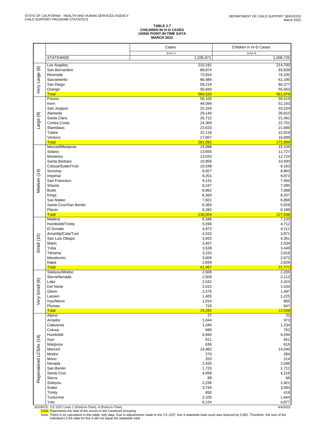# **TABLE 2.7 CHILDREN IN IV-D CASES USING POINT-IN-TIME DATA MARCH 2022**

|                         |                                    | Cases                 | Children in IV-D Cases |
|-------------------------|------------------------------------|-----------------------|------------------------|
|                         | <b>STATEWIDE</b>                   | (Line 1)<br>1,035,871 | (Line 4)<br>1,006,726  |
|                         |                                    |                       |                        |
|                         | Los Angeles<br>San Bernardino      | 215,191<br>88,874     | 214,700<br>93,509      |
|                         | Riverside                          | 73,916                | 76,335                 |
|                         | Sacramento                         | 66,486                | 61,195                 |
|                         | San Diego                          | 59,219                | 60,377                 |
| Very Large (6)          | Orange                             | 56,840                | 55,563                 |
|                         | <b>Total</b><br>Fresno             | 560,526<br>56,100     | 561,679<br>56,519      |
|                         | Kern                               | 49,094                | 51,163                 |
|                         | San Joaquin                        | 32,319                | 33,104                 |
|                         | Alameda                            | 29,140                | 26,610                 |
|                         | Santa Clara<br>Contra Costa        | 26,712<br>24,309      | 21,491<br>22,751       |
| Large (9)               | Stanislaus                         | 23,633                | 21,660                 |
|                         | Tulare                             | 22,118                | 22,919                 |
|                         | Ventura                            | 17,667                | 16,689                 |
|                         | <b>Total</b>                       | 281,092               | 272,906                |
|                         | Merced/Mariposa<br>Solano          | 15,098<br>13,655      | 15,156<br>11,727       |
|                         | Monterey                           | 13,033                | 12,724                 |
|                         | Santa Barbara                      | 10,856                | 10,930                 |
|                         | Colusa/Sutter/Yolo                 | 10,548                | 9,163                  |
|                         | Sonoma<br>Imperial                 | 9,927<br>9,201        | 8,863                  |
| Medium (14)             | San Francisco                      | 9,131                 | 9,873<br>7,450         |
|                         | Shasta                             | 9,247                 | 7,395                  |
|                         | <b>Butte</b>                       | 8,962                 | 7,068                  |
|                         | Kings                              | 8,360                 | 8,207                  |
|                         | San Mateo<br>Santa Cruz/San Benito | 7,821<br>6,383        | 6,866<br>5,928         |
|                         | Placer                             | 6,282                 | 6,188                  |
|                         | <b>Total</b>                       | 138,504               | 127,538                |
|                         | Madera                             | 6,346                 | 7,133                  |
|                         | Humboldt/Trinity<br>El Dorado      | 5,596<br>4,973        | 4,712<br>4,111         |
|                         | Ama/Alp/Cala/Tuol                  | 4,532                 | 3,871                  |
| Small (10)              | San Luis Obispo                    | 3,925                 | 4,351                  |
|                         | Marin                              | 3,457                 | 2,034                  |
|                         | Yuba<br>Tehama                     | 3,538<br>3,232        | 3,449<br>2,816         |
|                         | Mendocino                          | 3,009                 | 2,672                  |
|                         | Napa                               | 2,849                 | 2,628                  |
|                         | <b>Total</b>                       | 41,457                | 37,777                 |
|                         | Siskiyou/Modoc<br>Sierra/Nevada    | 2,506<br>2,509        | 2,205<br>2,112         |
| @                       | Lake                               | 2,542                 | 2,423                  |
|                         | Del Norte                          | 2,015                 | 1,534                  |
| Very Smal               | Glenn                              | 1,575                 | 1,497                  |
|                         | Lassen<br>Inyo/Mono                | 1,405<br>1,014        | 1,225<br>865           |
|                         | Plumas                             | 726                   | 647                    |
|                         | <b>Total</b>                       | 14,292                | 12,508                 |
|                         | Alpine                             | 37                    | 20                     |
|                         | Amador<br>Calaveras                | 1,044<br>1,346        | 973<br>1,234           |
|                         | Colusa                             | 680                   | 702                    |
|                         | Humboldt                           | 4,946                 | 4,294                  |
|                         | Inyo                               | 811                   | 651                    |
|                         | Mariposa<br>Merced                 | 636<br>14,462         | 616<br>14,540          |
|                         | Modoc                              | 270                   | 284                    |
|                         | Mono                               | 203                   | 214                    |
|                         | Nevada                             | 2,420                 | 2,046                  |
| Regionalized LCSAs (19) | San Benito                         | 1,725                 | 1,712                  |
|                         | Santa Cruz<br>Sierra               | 4,658<br>89           | 4,216<br>66            |
|                         | Siskiyou                           | 2,236                 | 1,921                  |
|                         | Sutter                             | 3,744                 | 3,584                  |
|                         | Trinity                            | 650                   | 418                    |
|                         | Tuolumne<br>Yolo                   | 2,105<br>6,124        | 1,644<br>4,877         |
|                         |                                    |                       |                        |

SOURCE: CS 1257 Lines 1 (Point-in-Time), 4 (Point-in-Time)<br>Total: Represents the total of the scores in the Caseload Grouping<br>Note: There is no calculation in this table, only data. Due to adjustments made to the CS 1257,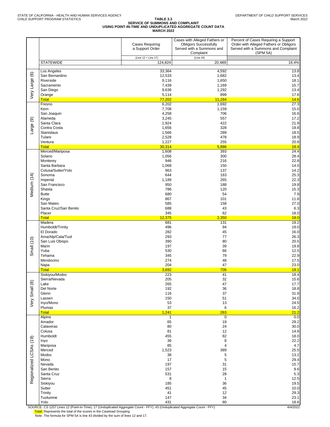#### **TABLE 3.3 SERVICE OF SUMMONS AND COMPLAINT USING POINT-IN-TIME AND UNDUPLICATED AGGREGATE COUNT DATA MARCH 2022**

|                         |                                      | <b>Cases Requiring</b><br>a Support Order | Cases with Alleged Fathers or<br><b>Obligors Successfully</b><br>Served with a Summons and<br>Complaint | Percent of Cases Requiring a Support<br>Order with Alleged Fathers or Obligors<br>Served with a Summons and Complaint<br>(SPM 5A) |
|-------------------------|--------------------------------------|-------------------------------------------|---------------------------------------------------------------------------------------------------------|-----------------------------------------------------------------------------------------------------------------------------------|
|                         | <b>STATEWIDE</b>                     | (Line 12 + Line 17)<br>124,824            | (Line 43)<br>20,489                                                                                     | 16.4%                                                                                                                             |
|                         |                                      |                                           |                                                                                                         |                                                                                                                                   |
| $\circlede$             | Los Angeles<br>San Bernardino        | 33,364<br>12,533                          | 4,592<br>1,682                                                                                          | 13.8<br>13.4                                                                                                                      |
|                         | Riverside                            | 9,116                                     | 1,650                                                                                                   | 18.1                                                                                                                              |
|                         | Sacramento                           | 7,439                                     | 1,169                                                                                                   | 15.7                                                                                                                              |
| Very Large              | San Diego<br>Orange                  | 9,636<br>5,114                            | 1,292<br>899                                                                                            | 13.4<br>17.6                                                                                                                      |
|                         | <b>Total</b>                         | 77,202                                    | 11,284                                                                                                  | 14.6                                                                                                                              |
|                         | Fresno                               | 6,202                                     | 1,692                                                                                                   | 27.3                                                                                                                              |
|                         | Kern<br>San Joaquin                  | 7,708<br>4,258                            | 1,159<br>706                                                                                            | 15.0<br>16.6                                                                                                                      |
| ම                       | Alameda                              | 3,245                                     | 557                                                                                                     | 17.2                                                                                                                              |
|                         | Santa Clara                          | 1,924                                     | 422                                                                                                     | 21.9                                                                                                                              |
| Large                   | Contra Costa<br>Stanislaus           | 1,656<br>1,566                            | 328<br>289                                                                                              | 19.8<br>18.5                                                                                                                      |
|                         | Tulare                               | 2,528                                     | 478                                                                                                     | 18.9                                                                                                                              |
|                         | Ventura                              | 1,227                                     | 255                                                                                                     | 20.8                                                                                                                              |
|                         | <b>Total</b><br>Merced/Mariposa      | 30,314<br>1,608                           | 5,886<br>393                                                                                            | 19.4<br>24.4                                                                                                                      |
|                         | Solano                               | 1,056                                     | 300                                                                                                     | 28.4                                                                                                                              |
|                         | Monterey<br>Santa Barbara            | 946                                       | 216                                                                                                     | 22.8                                                                                                                              |
|                         | Colusa/Sutter/Yolo                   | 1,068<br>963                              | 150<br>137                                                                                              | 14.0<br>14.2                                                                                                                      |
|                         | Sonoma                               | 644                                       | 163                                                                                                     | 25.3                                                                                                                              |
|                         | Imperial                             | 1,189                                     | 265                                                                                                     | 22.3                                                                                                                              |
| Medium (14)             | San Francisco<br>Shasta              | 950<br>786                                | 188<br>120                                                                                              | 19.8<br>15.3                                                                                                                      |
|                         | <b>Butte</b>                         | 680                                       | 54                                                                                                      | 7.9                                                                                                                               |
|                         | Kings<br>San Mateo                   | 867<br>585                                | 101<br>158                                                                                              | 11.6<br>27.0                                                                                                                      |
|                         | Santa Cruz/San Benito                | 688                                       | 43                                                                                                      | 6.3                                                                                                                               |
|                         | Placer                               | 345                                       | 62                                                                                                      | 18.0                                                                                                                              |
|                         | <b>Total</b><br>Madera               | 12,375<br>681                             | 2,350<br>131                                                                                            | 19.0<br>19.2                                                                                                                      |
|                         | Humboldt/Trinity                     | 496                                       | 94                                                                                                      | 19.0                                                                                                                              |
|                         | El Dorado                            | 282                                       | 45                                                                                                      | 16.0                                                                                                                              |
|                         | Ama/Alp/Cala/Tuol<br>San Luis Obispo | 293<br>390                                | 77<br>80                                                                                                | 26.3<br>20.5                                                                                                                      |
| Small (10)              | Marin                                | 197                                       | 39                                                                                                      | 19.8                                                                                                                              |
|                         | Yuba                                 | 530                                       | 66                                                                                                      | 12.5                                                                                                                              |
|                         | Tehama<br>Mendocino                  | 345<br>274                                | 79<br>48                                                                                                | 22.9<br>17.5                                                                                                                      |
|                         | Napa                                 | 204                                       | 47                                                                                                      | 23.0                                                                                                                              |
|                         | <b>Total</b><br>Siskiyou/Modoc       | 3,692<br>223                              | 706<br>41                                                                                               | 19.1<br>18.4                                                                                                                      |
|                         | Sierra/Nevada                        | 205                                       | 32                                                                                                      | 15.6                                                                                                                              |
| Very Small (8)          | Lake                                 | 265                                       | 47                                                                                                      | 17.7                                                                                                                              |
|                         | Del Norte<br>Glenn                   | 192<br>116                                | 36<br>37                                                                                                | 18.8<br>31.9                                                                                                                      |
|                         | Lassen                               | 150                                       | 51                                                                                                      | 34.0                                                                                                                              |
|                         | Inyo/Mono<br>Plumas                  | 53<br>37                                  | 13<br>6                                                                                                 | 24.5                                                                                                                              |
|                         | <b>Total</b>                         | 1,241                                     | 263                                                                                                     | 16.2<br>21.2                                                                                                                      |
|                         | Alpine                               | $\mathbf{1}$                              | 0                                                                                                       | 0.0                                                                                                                               |
|                         | Amador<br>Calaveras                  | 65<br>80                                  | 19<br>24                                                                                                | 29.2<br>30.0                                                                                                                      |
|                         | Colusa                               | 81                                        | 12                                                                                                      | 14.8                                                                                                                              |
|                         | Humboldt                             | 455                                       | 82                                                                                                      | 18.0                                                                                                                              |
|                         | Inyo<br>Mariposa                     | 36<br>85                                  | 8<br>4                                                                                                  | 22.2<br>4.7                                                                                                                       |
|                         | Merced                               | 1,523                                     | 389                                                                                                     | 25.5                                                                                                                              |
| Regionalized LCSAs (19) | Modoc<br>Mono                        | 38<br>17                                  | 5<br>5                                                                                                  | 13.2<br>29.4                                                                                                                      |
|                         | Nevada                               | 197                                       | 31                                                                                                      | 15.7                                                                                                                              |
|                         | San Benito                           | 157                                       | 15                                                                                                      | 9.6                                                                                                                               |
|                         | Santa Cruz<br>Sierra                 | 531<br>8                                  | 28<br>$\mathbf{1}$                                                                                      | $5.3\,$<br>12.5                                                                                                                   |
|                         | Siskiyou                             | 185                                       | 36                                                                                                      | 19.5                                                                                                                              |
|                         | Sutter                               | 451                                       | 45                                                                                                      | 10.0                                                                                                                              |
|                         | Trinity<br>Tuolumne                  | 41<br>147                                 | 12<br>34                                                                                                | 29.3<br>23.1                                                                                                                      |
|                         | Yolo                                 | 431                                       | 80                                                                                                      | 18.6                                                                                                                              |

SOURCE: CS 1257 Lines 12 (Point-in-Time), 17 (Unduplicated Aggregate Count - FFY), 43 (Unduplicated Aggregate Count - FFY)<br>Total: Represents the total of the scores in the Caseload Grouping

Note: The formula for SPM 5A is line 43 divided by the sum of lines 12 and 17.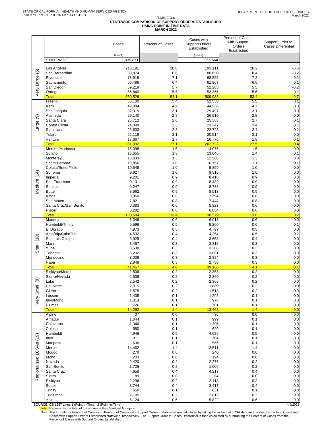#### TABLE 3.4<br>STATEWIDE COMPARISON OF SUPPORT ORDERS ESTABLISHED<br>USING POINT-IN-TIME DATA **MARCH 2022**

|                         |                                                                    | Cases                 | Percent of Cases | Cases with<br><b>Support Orders</b><br>Established | Percent of Cases<br>with Support<br>Orders<br>Established | Support Order to<br><b>Cases Differential</b> |
|-------------------------|--------------------------------------------------------------------|-----------------------|------------------|----------------------------------------------------|-----------------------------------------------------------|-----------------------------------------------|
|                         | <b>STATEWIDE</b>                                                   | (Line 1)<br>1,035,871 |                  | (Line 2)<br>955,664                                |                                                           |                                               |
|                         | Los Angeles                                                        | 215,191               | 20.8             | 193,111                                            | 20.2                                                      | $-0.6$                                        |
|                         | San Bernardino                                                     | 88,874                | 8.6              | 80,650                                             | 8.4                                                       | $-0.2$                                        |
|                         | Riverside                                                          | 73,916                | 7.1              | 68,555                                             | 7.2                                                       | 0.1                                           |
|                         | Sacramento                                                         | 66,486                | 6.4              | 61,967                                             | 6.5                                                       | 0.1                                           |
| Very Large (6)          | San Diego<br>Orange                                                | 59,219<br>56,840      | 5.7<br>5.5       | 52,285<br>53,365                                   | 5.5<br>5.6                                                | $-0.2$<br>0.1                                 |
|                         | <b>Total</b>                                                       | 560,526               | 54.1             | 509,933                                            | 53.4                                                      | $-0.7$                                        |
|                         | Fresno                                                             | 56,100                | 5.4              | 52,555                                             | 5.5                                                       | 0.1                                           |
|                         | Kern                                                               | 49,094                | 4.7              | 44,938                                             | 4.7                                                       | 0.0                                           |
|                         | San Joaquin                                                        | 32,319                | 3.1              | 29,497                                             | 3.1                                                       | 0.0                                           |
| ම                       | Alameda<br>Santa Clara                                             | 29,140<br>26,712      | 2.8<br>2.6       | 26,910<br>25,563                                   | 2.8<br>2.7                                                | 0.0<br>0.1                                    |
| Large                   | Contra Costa                                                       | 24,309                | 2.3              | 23,247                                             | 2.4                                                       | 0.1                                           |
|                         | <b>Stanislaus</b>                                                  | 23,633                | 2.3              | 22,723                                             | 2.4                                                       | 0.1                                           |
|                         | Tulare                                                             | 22,118                | 2.1              | 20,514                                             | 2.1                                                       | 0.0                                           |
|                         | Ventura<br><b>Total</b>                                            | 17,667<br>281,092     | 1.7<br>27.1      | 16,776<br>262,723                                  | 1.8<br>27.5                                               | 0.1<br>0.4                                    |
|                         | Merced/Mariposa                                                    | 15,098                | 1.5              | 14,076                                             | 1.5                                                       | 0.0                                           |
|                         | Solano                                                             | 13,655                | 1.3              | 13,046                                             | 1.4                                                       | 0.1                                           |
|                         | Monterey                                                           | 13,033                | 1.3              | 12,508                                             | 1.3                                                       | 0.0                                           |
|                         | Santa Barbara<br>Colusa/Sutter/Yolo                                | 10,856                | 1.0              | 10,157                                             | 1.1                                                       | 0.1                                           |
|                         | Sonoma                                                             | 10,548<br>9,927       | 1.0<br>1.0       | 9,859<br>9,510                                     | 1.0<br>1.0                                                | 0.0<br>0.0                                    |
| Medium (14)             | Imperial                                                           | 9,201                 | 0.9              | 8,418                                              | 0.9                                                       | 0.0                                           |
|                         | San Francisco                                                      | 9,131                 | 0.9              | 8,439                                              | 0.9                                                       | 0.0                                           |
|                         | Shasta                                                             | 9,247                 | 0.9              | 8,738                                              | 0.9                                                       | 0.0                                           |
|                         | <b>Butte</b><br>Kings                                              | 8,962<br>8,360        | 0.9<br>0.8       | 8,513<br>7,794                                     | 0.9<br>0.8                                                | 0.0<br>0.0                                    |
|                         | San Mateo                                                          | 7,821                 | 0.8              | 7,444                                              | 0.8                                                       | 0.0                                           |
|                         | Santa Cruz/San Benito                                              | 6,383                 | 0.6              | 5,823                                              | 0.6                                                       | 0.0                                           |
|                         | Placer                                                             | 6,282                 | 0.6              | 6,054                                              | 0.6                                                       | 0.0                                           |
|                         | <b>Total</b><br>Madera                                             | 138,504<br>6,346      | 13.4<br>0.6      | 130,379<br>6,013                                   | 13.6<br>0.6                                               | 0.2<br>0.0                                    |
|                         | Humboldt/Trinity                                                   | 5,596                 | 0.5              | 5,260                                              | 0.6                                                       | 0.1                                           |
|                         | El Dorado                                                          | 4,973                 | 0.5              | 4,797                                              | 0.5                                                       | 0.0                                           |
| (10)                    | Ama/Alp/Cala/Tuol                                                  | 4,532                 | 0.4              | 4,354                                              | 0.5                                                       | 0.1                                           |
|                         | San Luis Obispo<br>Marin                                           | 3,925<br>3,457        | 0.4<br>0.3       | 3,658<br>3,315                                     | 0.4<br>0.3                                                | 0.0<br>0.0                                    |
| Small                   | Yuba                                                               | 3,538                 | 0.3              | 3,206                                              | 0.3                                                       | 0.0                                           |
|                         | Tehama                                                             | 3,232                 | 0.3              | 3,001                                              | 0.3                                                       | 0.0                                           |
|                         | Mendocino                                                          | 3,009                 | 0.3              | 2,824                                              | 0.3                                                       | 0.0                                           |
|                         | Napa<br><b>Total</b>                                               | 2,849<br>41,457       | 0.3<br>4.0       | 2,738<br>39,166                                    | 0.3<br>4.1                                                | 0.0<br>0.1                                    |
|                         | Siskiyou/Modoc                                                     | 2,506                 | 0.2              | 2,353                                              | 0.2                                                       | 0.0                                           |
|                         | Sierra/Nevada                                                      | 2,509                 | 0.2              | 2,360                                              | 0.2                                                       | 0.0                                           |
|                         | Lake                                                               | 2,542                 | 0.2              | 2,366                                              | 0.2                                                       | $0.0\,$                                       |
|                         | Del Norte<br>Glenn                                                 | 2,015<br>1,575        | 0.2<br>0.2       | 1,889<br>1,518                                     | 0.2<br>0.2                                                | $0.0\,$<br>0.0                                |
|                         | Lassen                                                             | 1,405                 | 0.1              | 1,298                                              | 0.1                                                       | $0.0\,$                                       |
| Very Small (8)          | Inyo/Mono                                                          | 1,014                 | 0.1              | 978                                                | 0.1                                                       | $0.0\,$                                       |
|                         | Plumas                                                             | 726                   | 0.1              | 701                                                | 0.1                                                       | 0.0                                           |
|                         | <b>Total</b><br>Alpine                                             | 14,292<br>37          | 1.4<br>0.0       | 13,463<br>36                                       | 1.4<br>0.0                                                | 0.0<br>0.0                                    |
|                         | Amador                                                             | 1,044                 | 0.1              | 999                                                | 0.1                                                       | $0.0\,$                                       |
|                         | Calaveras                                                          | 1,346                 | 0.1              | 1,306                                              | 0.1                                                       | $0.0\,$                                       |
|                         | Colusa                                                             | 680                   | 0.1              | 620                                                | 0.1                                                       | $0.0\,$                                       |
|                         | Humboldt<br>Inyo                                                   | 4,946<br>811          | 0.5<br>0.1       | 4,629<br>784                                       | 0.5<br>0.1                                                | $0.0\,$<br>0.0                                |
|                         | Mariposa                                                           | 636                   | 0.1              | 565                                                | 0.1                                                       | $0.0\,$                                       |
|                         | Merced                                                             | 14,462                | 1.4              | 13,511                                             | 1.4                                                       | $0.0\,$                                       |
| Regionalized LCSAs (19) | Modoc                                                              | 270                   | 0.0              | 240                                                | 0.0                                                       | $0.0\,$                                       |
|                         | Mono<br>Nevada                                                     | 203<br>2,420          | 0.0<br>0.2       | 194<br>2,276                                       | 0.0<br>0.2                                                | 0.0<br>$0.0\,$                                |
|                         | San Benito                                                         | 1,725                 | 0.2              | 1,606                                              | 0.2                                                       | $0.0\,$                                       |
|                         | Santa Cruz                                                         | 4,658                 | 0.4              | 4,217                                              | 0.4                                                       | $0.0\,$                                       |
|                         | Sierra                                                             | 89                    | 0.0              | 84                                                 | 0.0                                                       | $0.0\,$                                       |
|                         | Siskiyou<br>Sutter                                                 | 2,236<br>3,744        | 0.2<br>0.4       | 2,113<br>3,417                                     | 0.2<br>0.4                                                | $0.0\,$<br>$0.0\,$                            |
|                         | Trinity                                                            | 650                   | 0.1              | 631                                                | 0.1                                                       | $0.0\,$                                       |
|                         | Tuolumne                                                           | 2,105                 | 0.2              | 2,013                                              | 0.2                                                       | $0.0\,$                                       |
|                         | Yolo<br>SOLIBCE: CS 1257 Lines 1 (Boint in Time) 2 (Boint in Time) | 6,124                 | 0.6              | 5,822                                              | 0.6                                                       | 0.0<br>AIA/2022                               |

SOURCE: CS 1257 Lines 1 (Point-in-Time), 2 (Point-in-Time)<br>Total: Represents the total of the scores in the Caseload Grouping<br>Note: The formula for Percent of Cases and Percent of Cases and Percent of Cases in Percent of C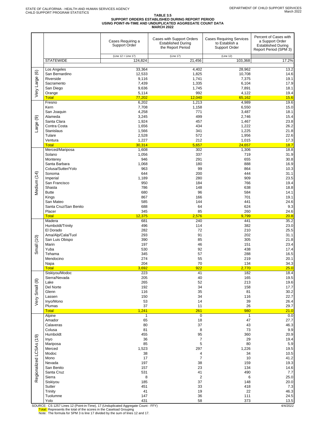# TABLE 3.5<br>SUPPORT ORDERS ESTABLISHED DURING REPORT PERIOD<br>USING POINT-IN-TIME AND UNDUPLICATED AGGREGATE COUNT DATA<br>MARCH 2022

|                         |                                                                        | Cases Requiring a<br><b>Support Order</b> | Cases with Support Orders<br><b>Established During</b><br>the Report Period | <b>Cases Requiring Services</b><br>to Establish a<br><b>Support Order</b> | Percent of Cases with<br>a Support Order<br><b>Established During</b><br>Report Period (SPM 3) |
|-------------------------|------------------------------------------------------------------------|-------------------------------------------|-----------------------------------------------------------------------------|---------------------------------------------------------------------------|------------------------------------------------------------------------------------------------|
|                         | <b>STATEWIDE</b>                                                       | (Line 12 + Line 17)<br>124,824            | (Line 17)<br>21,456                                                         | (Line 12)<br>103,368                                                      | 17.2%                                                                                          |
|                         |                                                                        |                                           |                                                                             |                                                                           |                                                                                                |
|                         | Los Angeles<br>San Bernardino                                          | 33,364<br>12,533                          | 4,402<br>1,825                                                              | 28,962<br>10,708                                                          | 13.2<br>14.6                                                                                   |
| Very Large (6)          | Riverside                                                              | 9,116                                     | 1,741                                                                       | 7,375                                                                     | 19.1                                                                                           |
|                         | Sacramento                                                             | 7,439                                     | 1,335                                                                       | 6,104                                                                     | 17.9                                                                                           |
|                         | San Diego                                                              | 9,636                                     | 1,745                                                                       | 7,891                                                                     | 18.1                                                                                           |
|                         | Orange<br><b>Total</b>                                                 | 5,114<br>77,202                           | 992<br>12,040                                                               | 4,122<br>65,162                                                           | 19.4<br>15.6                                                                                   |
|                         | Fresno                                                                 | 6,202                                     | 1,213                                                                       | 4,989                                                                     | 19.6                                                                                           |
|                         | Kern                                                                   | 7,708                                     | 1,158                                                                       | 6,550                                                                     | 15.0                                                                                           |
|                         | San Joaquin                                                            | 4,258                                     | 771                                                                         | 3,487                                                                     | 18.1                                                                                           |
| ම                       | Alameda<br>Santa Clara                                                 | 3,245<br>1,924                            | 499<br>457                                                                  | 2,746<br>1,467                                                            | 15.4<br>23.8                                                                                   |
| Large                   | Contra Costa                                                           | 1,656                                     | 434                                                                         | 1,222                                                                     | 26.2                                                                                           |
|                         | <b>Stanislaus</b>                                                      | 1,566                                     | 341                                                                         | 1,225                                                                     | 21.8                                                                                           |
|                         | Tulare                                                                 | 2,528                                     | 572                                                                         | 1,956                                                                     | 22.6                                                                                           |
|                         | Ventura<br><b>Total</b>                                                | 1,227<br>30,314                           | 212<br>5,657                                                                | 1,015<br>24,657                                                           | 17.3<br>18.7                                                                                   |
|                         | Merced/Mariposa                                                        | 1,608                                     | 302                                                                         | 1,306                                                                     | 18.8                                                                                           |
|                         | Solano                                                                 | 1,056                                     | 337                                                                         | 719                                                                       | 31.9                                                                                           |
|                         | Monterey                                                               | 946                                       | 291                                                                         | 655                                                                       | 30.8                                                                                           |
|                         | Santa Barbara<br>Colusa/Sutter/Yolo                                    | 1,068<br>963                              | 180<br>99                                                                   | 888<br>864                                                                | 16.9<br>10.3                                                                                   |
|                         | Sonoma                                                                 | 644                                       | 200                                                                         | 444                                                                       | 31.1                                                                                           |
| Medium (14)             | Imperial                                                               | 1,189                                     | 280                                                                         | 909                                                                       | 23.5                                                                                           |
|                         | San Francisco                                                          | 950                                       | 184                                                                         | 766                                                                       | 19.4                                                                                           |
|                         | Shasta<br><b>Butte</b>                                                 | 786<br>680                                | 148<br>96                                                                   | 638<br>584                                                                | 18.8<br>14.1                                                                                   |
|                         | Kings                                                                  | 867                                       | 166                                                                         | 701                                                                       | 19.1                                                                                           |
|                         | San Mateo                                                              | 585                                       | 144                                                                         | 441                                                                       | 24.6                                                                                           |
|                         | Santa Cruz/San Benito                                                  | 688                                       | 64                                                                          | 624                                                                       | 9.3                                                                                            |
|                         | Placer<br><b>Total</b>                                                 | 345<br>12,375                             | 85<br>2,576                                                                 | 260<br>9,799                                                              | 24.6<br>20.8                                                                                   |
|                         | Madera                                                                 | 681                                       | 240                                                                         | 441                                                                       | 35.2                                                                                           |
|                         | Humboldt/Trinity                                                       | 496                                       | 114                                                                         | 382                                                                       | 23.0                                                                                           |
|                         | El Dorado                                                              | 282                                       | 72                                                                          | 210                                                                       | 25.5                                                                                           |
|                         | Ama/Alp/Cala/Tuol<br>San Luis Obispo                                   | 293<br>390                                | 91<br>85                                                                    | 202<br>305                                                                | 31.1<br>21.8                                                                                   |
| Small (10)              | Marin                                                                  | 197                                       | 46                                                                          | 151                                                                       | 23.4                                                                                           |
|                         | Yuba                                                                   | 530                                       | 92                                                                          | 438                                                                       | 17.4                                                                                           |
|                         | Tehama                                                                 | 345                                       | 57                                                                          | 288                                                                       | 16.5                                                                                           |
|                         | Mendocino<br>Napa                                                      | 274<br>204                                | 55<br>70                                                                    | 219<br>134                                                                | 20.1<br>34.3                                                                                   |
|                         | <b>Total</b>                                                           | 3,692                                     | 922                                                                         | 2,770                                                                     | 25.0                                                                                           |
|                         | Siskiyou/Modoc                                                         | 223                                       | 41                                                                          | 182                                                                       | 18.4                                                                                           |
|                         | Sierra/Nevada                                                          | 205                                       | 40                                                                          | 165                                                                       | 19.5                                                                                           |
|                         | Lake<br>Del Norte                                                      | 265<br>192                                | 52<br>34                                                                    | 213<br>158                                                                | 19.6<br>17.7                                                                                   |
|                         | Glenn                                                                  | 116                                       | 35                                                                          | 81                                                                        | 30.2                                                                                           |
| Very Small (8)          | Lassen                                                                 | 150                                       | 34                                                                          | 116                                                                       | 22.7                                                                                           |
|                         | Inyo/Mono                                                              | 53                                        | 14                                                                          | 39                                                                        | 26.4                                                                                           |
|                         | Plumas<br><b>Total</b>                                                 | 37<br>1,241                               | 11<br>261                                                                   | 26<br>980                                                                 | 29.7<br>21.0                                                                                   |
|                         | Alpine                                                                 | 1                                         | $\overline{0}$                                                              | 1                                                                         | 0.0                                                                                            |
|                         | Amador                                                                 | 65                                        | 18                                                                          | 47                                                                        | 27.7                                                                                           |
|                         | Calaveras                                                              | 80                                        | 37                                                                          | 43                                                                        | 46.3                                                                                           |
|                         | Colusa<br>Humboldt                                                     | 81<br>455                                 | 8<br>95                                                                     | 73<br>360                                                                 | 9.9<br>20.9                                                                                    |
|                         | Inyo                                                                   | 36                                        | 7                                                                           | 29                                                                        | 19.4                                                                                           |
|                         | Mariposa                                                               | 85                                        | 5                                                                           | 80                                                                        | 5.9                                                                                            |
| Regionalized LCSAs (19) | Merced                                                                 | 1,523                                     | 297                                                                         | 1,226                                                                     | 19.5                                                                                           |
|                         | Modoc<br>Mono                                                          | 38<br>17                                  | 4<br>$\overline{7}$                                                         | 34<br>10                                                                  | 10.5<br>41.2                                                                                   |
|                         | Nevada                                                                 | 197                                       | 38                                                                          | 159                                                                       | 19.3                                                                                           |
|                         | San Benito                                                             | 157                                       | 23                                                                          | 134                                                                       | 14.6                                                                                           |
|                         | Santa Cruz                                                             | 531                                       | 41                                                                          | 490                                                                       | 7.7                                                                                            |
|                         | Sierra<br>Siskiyou                                                     | 8<br>185                                  | $\sqrt{2}$<br>37                                                            | 6<br>148                                                                  | 25.0<br>20.0                                                                                   |
|                         | Sutter                                                                 | 451                                       | 33                                                                          | 418                                                                       | 7.3                                                                                            |
|                         | Trinity                                                                | 41                                        | 19                                                                          | 22                                                                        | 46.3                                                                                           |
|                         | Tuolumne                                                               | 147                                       | 36                                                                          | 111                                                                       | 24.5                                                                                           |
|                         | Yolo<br>COUDCE: CC 4257 Lines 42 (Doint in Time), 47 (Unduralizated Am | 431                                       | 58<br><b>CCV</b>                                                            | 373                                                                       | 13.5<br>110000                                                                                 |

SOURCE: CS 1257 Lines 12 (Point-in-Time), 17 (Unduplicated Aggregate Count - FFY)<br>Total: Represents the total of the scores in the Caseload Grouping<br>Note: The formula for SPM 3 is line 17 divided by the sum of lines 12 and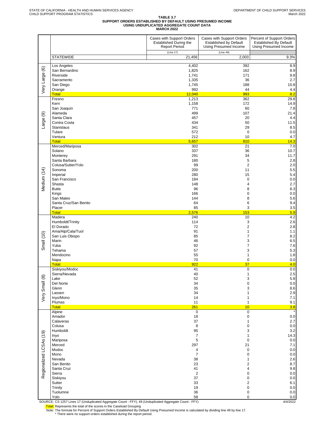# TABLE 3.7<br>SUPPORT ORDERS ESTABLISHED BY DEFAULT USING PRESUMED INCOME<br>USING UNDUPLICATED AGGREGATE COUNT DATA<br>MARCH 2022

|                         |                                                                                                        | Cases with Support Orders<br>Established During the<br><b>Report Period</b> | Cases with Support Orders<br><b>Established by Default</b><br>Using Presumed Income | Percent of Support Orders<br><b>Established By Default</b><br>Using Presumed Income |
|-------------------------|--------------------------------------------------------------------------------------------------------|-----------------------------------------------------------------------------|-------------------------------------------------------------------------------------|-------------------------------------------------------------------------------------|
|                         | <b>STATEWIDE</b>                                                                                       | (Line 17)<br>21,456                                                         | (Line 49)<br>2,003                                                                  | 9.3%                                                                                |
|                         |                                                                                                        |                                                                             |                                                                                     |                                                                                     |
|                         | Los Angeles<br>San Bernardino                                                                          | 4,402<br>1,825                                                              | 392<br>162                                                                          | 8.9<br>8.9                                                                          |
|                         | Riverside                                                                                              | 1,741                                                                       | 171                                                                                 | 9.8                                                                                 |
|                         | Sacramento                                                                                             | 1,335                                                                       | 36                                                                                  | 2.7                                                                                 |
| Very Large (6)          | San Diego<br>Orange                                                                                    | 1,745<br>992                                                                | 188<br>44                                                                           | 10.8<br>4.4                                                                         |
|                         | <b>Total</b>                                                                                           | 12,040                                                                      | 993                                                                                 | 8.2                                                                                 |
|                         | Fresno                                                                                                 | 1,213                                                                       | 362                                                                                 | 29.8                                                                                |
|                         | Kern<br>San Joaquin                                                                                    | 1,158<br>771                                                                | 172<br>60                                                                           | 14.9<br>7.8                                                                         |
|                         | Alameda                                                                                                | 499                                                                         | 107                                                                                 | 21.4                                                                                |
| Large (9)               | Santa Clara<br>Contra Costa                                                                            | 457<br>434                                                                  | 20<br>50                                                                            | 4.4<br>11.5                                                                         |
|                         | Stanislaus                                                                                             | 341                                                                         | 29                                                                                  | 8.5                                                                                 |
|                         | Tulare                                                                                                 | 572                                                                         | $\mathbf 0$                                                                         | 0.0                                                                                 |
|                         | Ventura<br><b>Total</b>                                                                                | 212<br>5.657                                                                | 10<br>810                                                                           | 4.7<br>14.3                                                                         |
|                         | Merced/Mariposa                                                                                        | 302                                                                         | 21                                                                                  | 7.0                                                                                 |
|                         | Solano                                                                                                 | 337                                                                         | 36                                                                                  | 10.7                                                                                |
|                         | Monterey<br>Santa Barbara                                                                              | 291<br>180                                                                  | 34<br>5                                                                             | 11.7<br>2.8                                                                         |
|                         | Colusa/Sutter/Yolo                                                                                     | 99                                                                          | $\overline{2}$                                                                      | 2.0                                                                                 |
|                         | Sonoma                                                                                                 | 200                                                                         | 11                                                                                  | 5.5                                                                                 |
| Medium (14)             | Imperial<br>San Francisco                                                                              | 280<br>184                                                                  | 15<br>0                                                                             | 5.4<br>0.0                                                                          |
|                         | Shasta                                                                                                 | 148                                                                         | 4                                                                                   | 2.7                                                                                 |
|                         | <b>Butte</b>                                                                                           | 96                                                                          | 8                                                                                   | 8.3                                                                                 |
|                         | Kings<br>San Mateo                                                                                     | 166<br>144                                                                  | 0<br>8                                                                              | 0.0<br>5.6                                                                          |
|                         | Santa Cruz/San Benito                                                                                  | 64                                                                          | 6                                                                                   | 9.4                                                                                 |
|                         | Placer                                                                                                 | 85                                                                          | 3                                                                                   | 3.5                                                                                 |
|                         | <b>Total</b><br>Madera                                                                                 | 2,576<br>240                                                                | 153<br>10                                                                           | 5.9<br>4.2                                                                          |
|                         | Humboldt/Trinity                                                                                       | 114                                                                         | 3                                                                                   | 2.6                                                                                 |
|                         | El Dorado<br>Ama/Alp/Cala/Tuol                                                                         | 72<br>91                                                                    | $\overline{c}$<br>1                                                                 | 2.8<br>1.1                                                                          |
| Small (10)              | San Luis Obispo                                                                                        | 85                                                                          | 7                                                                                   | 8.2                                                                                 |
|                         | Marin                                                                                                  | 46                                                                          | 3                                                                                   | 6.5                                                                                 |
|                         | Yuba<br>Tehama                                                                                         | 92<br>57                                                                    | 7<br>3                                                                              | 7.6<br>5.3                                                                          |
|                         | Mendocino                                                                                              | 55                                                                          | 1                                                                                   | 1.8                                                                                 |
|                         | Napa                                                                                                   | 70                                                                          | $\mathbf 0$                                                                         | 0.0                                                                                 |
|                         | <b>Total</b><br>Siskiyou/Modoc                                                                         | 922<br>41                                                                   | 37<br>$\pmb{0}$                                                                     | 4.0<br>0.0                                                                          |
|                         | Sierra/Nevada                                                                                          | 40                                                                          | $\mathbf{1}$                                                                        | 2.5                                                                                 |
|                         | Lake                                                                                                   | 52                                                                          | 3                                                                                   | 5.8                                                                                 |
| Very Small (8)          | Del Norte<br>Glenn                                                                                     | 34<br>35                                                                    | 0<br>3                                                                              | 0.0<br>8.6                                                                          |
|                         | Lassen                                                                                                 | 34                                                                          | 1                                                                                   | 2.9                                                                                 |
|                         | Inyo/Mono<br>Plumas                                                                                    | 14<br>11                                                                    | 1<br>1                                                                              | 7.1<br>9.1                                                                          |
|                         | <b>Total</b>                                                                                           | 261                                                                         | 10                                                                                  | 3.8                                                                                 |
|                         | Alpine                                                                                                 | $\pmb{0}$                                                                   | 0                                                                                   |                                                                                     |
|                         | Amador<br>Calaveras                                                                                    | 18<br>37                                                                    | 0<br>1                                                                              | 0.0<br>2.7                                                                          |
|                         | Colusa                                                                                                 | 8                                                                           | 0                                                                                   | 0.0                                                                                 |
|                         | Humboldt                                                                                               | 95                                                                          | 3                                                                                   | 3.2                                                                                 |
|                         | Inyo<br>Mariposa                                                                                       | 7<br>5                                                                      | 1<br>0                                                                              | 14.3<br>0.0                                                                         |
| Regionalized LCSAs (19) | Merced                                                                                                 | 297                                                                         | 21                                                                                  | 7.1                                                                                 |
|                         | Modoc<br>Mono                                                                                          | 4<br>7                                                                      | $\pmb{0}$<br>0                                                                      | 0.0<br>$0.0\,$                                                                      |
|                         | Nevada                                                                                                 | 38                                                                          | 1                                                                                   | 2.6                                                                                 |
|                         | San Benito                                                                                             | 23                                                                          | 2                                                                                   | 8.7                                                                                 |
|                         | Santa Cruz<br>Sierra                                                                                   | 41<br>$\overline{c}$                                                        | 4<br>0                                                                              | 9.8<br>0.0                                                                          |
|                         | Siskiyou                                                                                               | 37                                                                          | 0                                                                                   | 0.0                                                                                 |
|                         | Sutter                                                                                                 | 33                                                                          | 2                                                                                   | 6.1                                                                                 |
|                         | Trinity<br>Tuolumne                                                                                    | 19<br>36                                                                    | 0<br>0                                                                              | 0.0<br>0.0                                                                          |
|                         | Yolo                                                                                                   | 58                                                                          | 0                                                                                   | 0.0                                                                                 |
|                         | SOURCE: CS 1257 Lines 17 (Unduplicated Aggregate Count - FFY), 49 (Unduplicated Aggregate Count - FFY) |                                                                             |                                                                                     | 4/4/2022                                                                            |

<mark>Total:</mark> Represents the total of the scores in the Caseload Grouping<br>Note: The formula for Percent of Support Orders Established By Default Using Presumed Income is calculated by dividing line 49 by line 17.<br>\* There were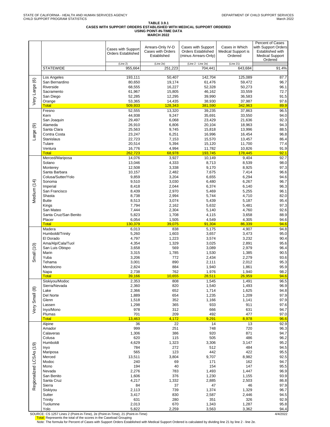# TABLE 3.9.1<br>CASES WITH SUPPORT ORDERS ESTABLISHED WITH MEDICAL SUPPORT ORDERED<br>USING POINT-IN-TIME DATA<br>MARCH 2022

|                         |                                    | <b>Cases with Support</b><br><b>Orders Established</b> | Arrears-Only IV-D<br>Cases with Orders<br>Established | Cases with Support<br><b>Orders Established</b><br>(minus Arrears-Only) | Cases in Which<br><b>Medical Support is</b><br>Ordered | Percent of Cases<br>with Support Orders<br>Established with<br><b>Medical Support</b><br>Ordered |
|-------------------------|------------------------------------|--------------------------------------------------------|-------------------------------------------------------|-------------------------------------------------------------------------|--------------------------------------------------------|--------------------------------------------------------------------------------------------------|
|                         | <b>STATEWIDE</b>                   | (Line 2)<br>955,664                                    | (Line 2e)<br>251,223                                  | (Line 2 - Line 2e)<br>704,441                                           | (Line 21)<br>643,684                                   | 91.4%                                                                                            |
|                         |                                    |                                                        |                                                       |                                                                         |                                                        |                                                                                                  |
|                         | Los Angeles<br>San Bernardino      | 193,111<br>80,650                                      | 50,407<br>19,174                                      | 142,704<br>61,476                                                       | 125,089<br>59,472                                      | 87.7<br>96.7                                                                                     |
|                         | Riverside                          | 68,555                                                 | 16,227                                                | 52,328                                                                  | 50,273                                                 | 96.1                                                                                             |
|                         | Sacramento                         | 61,967                                                 | 15,805                                                | 46,162                                                                  | 33,559                                                 | 72.7                                                                                             |
| Very Large (6)          | San Diego                          | 52,285<br>53,365                                       | 12,295<br>14,435                                      | 39,990<br>38,930                                                        | 36,583<br>37,987                                       | 91.5<br>97.6                                                                                     |
|                         | Orange<br><b>Total</b>             | 509,933                                                | 128,343                                               | 381,590                                                                 | 342,963                                                | 89.9                                                                                             |
|                         | Fresno                             | 52,555                                                 | 13,320                                                | 39.235                                                                  | 37,863                                                 | 96.5                                                                                             |
|                         | Kern                               | 44,938                                                 | 9,247                                                 | 35,691                                                                  | 33,550                                                 | 94.0                                                                                             |
|                         | San Joaquin<br>Alameda             | 29,497<br>26,910                                       | 6,068<br>6,806                                        | 23,429<br>20,104                                                        | 21,636<br>18,963                                       | 92.3<br>94.3                                                                                     |
| Large (9)               | Santa Clara                        | 25,563                                                 | 9,745                                                 | 15,818                                                                  | 13,996                                                 | 88.5                                                                                             |
|                         | Contra Costa                       | 23,247                                                 | 6,251                                                 | 16,996                                                                  | 16,454                                                 | 96.8                                                                                             |
|                         | <b>Stanislaus</b>                  | 22,723                                                 | 7,153                                                 | 15,570                                                                  | 13,457                                                 | 86.4                                                                                             |
|                         | Tulare<br>Ventura                  | 20,514<br>16,776                                       | 5,394<br>4,994                                        | 15,120<br>11,782                                                        | 11,700<br>10,826                                       | 77.4<br>91.9                                                                                     |
|                         | Total                              | 262,723                                                | 68,978                                                | 193,745                                                                 | 178,445                                                | 92.1                                                                                             |
|                         | Merced/Mariposa                    | 14,076                                                 | 3,927                                                 | 10,149                                                                  | 9,404                                                  | 92.7                                                                                             |
|                         | Solano<br>Monterey                 | 13,046<br>12,508                                       | 4,333<br>3,338                                        | 8,713<br>9,170                                                          | 8,539<br>8,925                                         | 98.0<br>97.3                                                                                     |
|                         | Santa Barbara                      | 10,157                                                 | 2,482                                                 | 7,675                                                                   | 7,414                                                  | 96.6                                                                                             |
|                         | Colusa/Sutter/Yolo                 | 9,859                                                  | 3,204                                                 | 6,655                                                                   | 6,294                                                  | 94.6                                                                                             |
|                         | Sonoma                             | 9,510                                                  | 3,030                                                 | 6,480                                                                   | 6,267                                                  | 96.7                                                                                             |
| Medium (14)             | Imperial<br>San Francisco          | 8,418<br>8,439                                         | 2,044<br>2,970                                        | 6,374<br>5,469                                                          | 6,140<br>5,255                                         | 96.3<br>96.1                                                                                     |
|                         | Shasta                             | 8,738                                                  | 2,994                                                 | 5,744                                                                   | 4,710                                                  | 82.0                                                                                             |
|                         | <b>Butte</b>                       | 8,513                                                  | 3,074                                                 | 5,439                                                                   | 5,187                                                  | 95.4                                                                                             |
|                         | Kings                              | 7,794                                                  | 2,162                                                 | 5,632                                                                   | 5,481                                                  | 97.3                                                                                             |
|                         | San Mateo<br>Santa Cruz/San Benito | 7,444<br>5,823                                         | 2,304<br>1,708                                        | 5,140<br>4,115                                                          | 4,760<br>3,658                                         | 92.6<br>88.9                                                                                     |
|                         | Placer                             | 6,054                                                  | 1,505                                                 | 4,549                                                                   | 4,305                                                  | 94.6                                                                                             |
|                         | <b>Total</b>                       | 130,379                                                | 39,075                                                | 91,304                                                                  | 86,339                                                 | 94.6                                                                                             |
|                         | Madera<br>Humboldt/Trinity         | 6,013<br>5,260                                         | 838<br>1,603                                          | 5,175<br>3,657                                                          | 4,907<br>3,473                                         | 94.8<br>95.0                                                                                     |
|                         | El Dorado                          | 4,797                                                  | 1,223                                                 | 3,574                                                                   | 3,232                                                  | 90.4                                                                                             |
|                         | Ama/Alp/Cala/Tuol                  | 4,354                                                  | 1,329                                                 | 3,025                                                                   | 2,891                                                  | 95.6                                                                                             |
|                         | San Luis Obispo                    | 3,658                                                  | 569                                                   | 3,089                                                                   | 2,979                                                  | 96.4                                                                                             |
| Small (10)              | Marin<br>Yuba                      | 3,315<br>3,206                                         | 1,785<br>772                                          | 1,530<br>2,434                                                          | 1,385<br>2,279                                         | 90.5<br>93.6                                                                                     |
|                         | Tehama                             | 3,001                                                  | 890                                                   | 2,111                                                                   | 2,012                                                  | 95.3                                                                                             |
|                         | Mendocino                          | 2,824                                                  | 884                                                   | 1,940                                                                   | 1,861                                                  | 95.9                                                                                             |
|                         | Napa<br><b>Total</b>               | 2,738<br>39,166                                        | 762<br>10,655                                         | 1,976<br>28,511                                                         | 1,940<br>26,959                                        | 98.2<br>94.6                                                                                     |
|                         | Siskiyou/Modoc                     | 2,353                                                  | 808                                                   | 1,545                                                                   | 1,491                                                  | 96.5                                                                                             |
|                         | Sierra/Nevada                      | 2,360                                                  | 820                                                   | 1,540                                                                   | 1,493                                                  | 96.9                                                                                             |
| $\circledast$           | Lake<br>Del Norte                  | 2,366<br>1,889                                         | 652<br>654                                            | 1,714<br>1,235                                                          | 1,625<br>1,209                                         | 94.8<br>97.9                                                                                     |
|                         | Glenn                              | 1,518                                                  | 352                                                   | 1,166                                                                   | 1,141                                                  | 97.9                                                                                             |
|                         | Lassen                             | 1,298                                                  | 365                                                   | 933                                                                     | 911                                                    | 97.6                                                                                             |
| Very Small              | Inyo/Mono                          | 978                                                    | 312                                                   | 666                                                                     | 631                                                    | 94.7                                                                                             |
|                         | Plumas<br><b>Total</b>             | 701<br>13,463                                          | 209<br>4,172                                          | 492<br>9,291                                                            | 477<br>8,978                                           | 97.0<br>96.6                                                                                     |
|                         | Alpine                             | 36                                                     | $\overline{22}$                                       | 14                                                                      | 13                                                     | 92.9                                                                                             |
|                         | Amador                             | 999                                                    | 251                                                   | 748                                                                     | 720                                                    | 96.3                                                                                             |
|                         | Calaveras<br>Colusa                | 1,306<br>620                                           | 386<br>115                                            | 920<br>505                                                              | 871<br>486                                             | 94.7<br>96.2                                                                                     |
|                         | Humboldt                           | 4,629                                                  | 1,323                                                 | 3,306                                                                   | 3,147                                                  | 95.2                                                                                             |
|                         | Inyo                               | 784                                                    | 272                                                   | 512                                                                     | 484                                                    | 94.5                                                                                             |
|                         | Mariposa                           | 565                                                    | 123                                                   | 442                                                                     | 422                                                    | 95.5                                                                                             |
|                         | Merced<br>Modoc                    | 13,511<br>240                                          | 3,804<br>69                                           | 9,707<br>171                                                            | 8,982<br>162                                           | 92.5<br>94.7                                                                                     |
|                         | Mono                               | 194                                                    | 40                                                    | 154                                                                     | 147                                                    | 95.5                                                                                             |
|                         | Nevada                             | 2,276                                                  | 783                                                   | 1,493                                                                   | 1,447                                                  | 96.9                                                                                             |
|                         | San Benito                         | 1,606                                                  | 376                                                   | 1,230                                                                   | 1,155                                                  | 93.9                                                                                             |
| Regionalized LCSAs (19) | Santa Cruz<br>Sierra               | 4,217<br>84                                            | 1,332<br>37                                           | 2,885<br>47                                                             | 2,503<br>46                                            | 86.8<br>97.9                                                                                     |
|                         | Siskiyou                           | 2,113                                                  | 739                                                   | 1,374                                                                   | 1,329                                                  | 96.7                                                                                             |
|                         | Sutter                             | 3,417                                                  | 830                                                   | 2,587                                                                   | 2,446                                                  | 94.5                                                                                             |
|                         | Trinity<br>Tuolumne                | 631<br>2,013                                           | 280<br>670                                            | 351<br>1,343                                                            | 326<br>1,287                                           | 92.9<br>95.8                                                                                     |
|                         | Yolo                               | 5,822                                                  | 2,259                                                 | 3,563                                                                   | 3,362                                                  | 94.4                                                                                             |

SOURCE: CS 1257 Lines 2 (Point-in-Time), 2e (Point-in-Time), 21 (Point-in-Time)<br>Total: Represents the total of the scores in the Caseload Grouping<br>Note: The formula for Percent of Cases with Support Orders Established with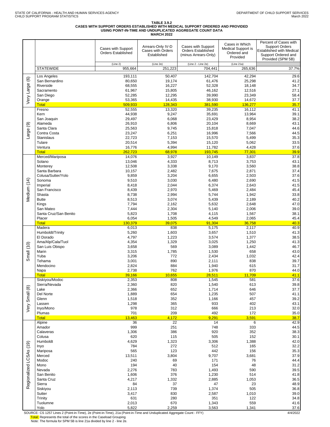DEPARTMENT OF CHILD SUPPORT SERVICES March 2022

# TABLE 3.9.2<br>CASES WITH SUPPORT ORDERS ESTABLISHED WITH MEDICAL SUPPORT ORDERED AND PROVIDED<br>USING POINT-IN-TIME AND UNDUPLICATED AGGREGATE COUNT DATA<br>MARCH 2022

|                              |                                                                                                                  | Cases with Support<br><b>Orders Established</b>                                         | Arrears-Only IV-D<br>Cases with Orders<br>Established                          | Cases with Support<br><b>Orders Established</b><br>(minus Arrears-Only)                 | Cases in Which<br>Medical Support is<br>Ordered and<br>Provided                 | Percent of Cases with<br><b>Support Orders</b><br>Established with Medical<br>Support Ordered and<br>Provided (SPM 5B) |
|------------------------------|------------------------------------------------------------------------------------------------------------------|-----------------------------------------------------------------------------------------|--------------------------------------------------------------------------------|-----------------------------------------------------------------------------------------|---------------------------------------------------------------------------------|------------------------------------------------------------------------------------------------------------------------|
|                              | <b>STATEWIDE</b>                                                                                                 | (Line 2)<br>955,664                                                                     | (Line 2e)<br>251,223                                                           | (Line 2 - Line 2e)<br>704,441                                                           | (Line 21a)<br>265,636                                                           | 37.7%                                                                                                                  |
| $\circledcirc$<br>Very Large | Los Angeles<br>San Bernardino<br>Riverside<br>Sacramento<br>San Diego<br>Orange                                  | 193,111<br>80,650<br>68,555<br>61,967<br>52,285<br>53,365                               | 50,407<br>19,174<br>16,227<br>15,805<br>12,295<br>14,435                       | 142,704<br>61,476<br>52,328<br>46,162<br>39,990<br>38,930                               | 42,294<br>25,298<br>18,148<br>12,516<br>23,349<br>14,672                        | 29.6<br>41.2<br>34.7<br>27.1<br>58.4<br>37.7                                                                           |
|                              | <b>Total</b>                                                                                                     | 509,933                                                                                 | 128,343                                                                        | 381,590                                                                                 | 136,277                                                                         | 35.7                                                                                                                   |
|                              | Fresno                                                                                                           | 52,555                                                                                  | 13,320                                                                         | 39,235                                                                                  | 16,112                                                                          | 41.1                                                                                                                   |
| ම<br>Large                   | Kern<br>San Joaquin<br>Alameda<br>Santa Clara<br>Contra Costa<br>Stanislaus<br>Tulare<br>Ventura<br><b>Total</b> | 44,938<br>29,497<br>26,910<br>25,563<br>23,247<br>22,723<br>20,514<br>16,776<br>262.723 | 9,247<br>6,068<br>6,806<br>9,745<br>6,251<br>7,153<br>5,394<br>4,994<br>68,978 | 35,691<br>23,429<br>20,104<br>15,818<br>16,996<br>15,570<br>15,120<br>11,782<br>193,745 | 13,964<br>8,954<br>8,669<br>7,047<br>7,566<br>5,499<br>5,062<br>4,428<br>77,301 | 39.1<br>38.2<br>43.1<br>44.6<br>44.5<br>35.3<br>33.5<br>37.6<br>39.9                                                   |
|                              | Merced/Mariposa                                                                                                  | 14,076                                                                                  | 3,927                                                                          | 10,149                                                                                  | 3,837                                                                           | 37.8                                                                                                                   |
|                              | Solano                                                                                                           | 13,046                                                                                  | 4,333                                                                          | 8,713                                                                                   | 3,753                                                                           | 43.1                                                                                                                   |
| Medium (14)                  | Monterey                                                                                                         | 12,508                                                                                  | 3,338                                                                          | 9,170                                                                                   | 3,560                                                                           | 38.8                                                                                                                   |
|                              | Santa Barbara                                                                                                    | 10,157                                                                                  | 2,482                                                                          | 7,675                                                                                   | 2,871                                                                           | 37.4                                                                                                                   |
|                              | Colusa/Sutter/Yolo                                                                                               | 9,859                                                                                   | 3,204                                                                          | 6,655                                                                                   | 2,503                                                                           | 37.6                                                                                                                   |
|                              | Sonoma                                                                                                           | 9,510                                                                                   | 3,030                                                                          | 6,480                                                                                   | 2,690                                                                           | 41.5                                                                                                                   |
|                              | Imperial                                                                                                         | 8,418                                                                                   | 2,044                                                                          | 6,374                                                                                   | 2,643                                                                           | 41.5                                                                                                                   |
|                              | San Francisco                                                                                                    | 8,439                                                                                   | 2,970                                                                          | 5,469                                                                                   | 2,484                                                                           | 45.4                                                                                                                   |
|                              | Shasta                                                                                                           | 8,738                                                                                   | 2,994                                                                          | 5,744                                                                                   | 1,942                                                                           | 33.8                                                                                                                   |
|                              | <b>Butte</b>                                                                                                     | 8,513                                                                                   | 3,074                                                                          | 5,439                                                                                   | 2,189                                                                           | 40.2                                                                                                                   |
|                              | Kings                                                                                                            | 7,794                                                                                   | 2,162                                                                          | 5,632                                                                                   | 2,648                                                                           | 47.0                                                                                                                   |
|                              | San Mateo                                                                                                        | 7,444                                                                                   | 2,304                                                                          | 5,140                                                                                   | 2,006                                                                           | 39.0                                                                                                                   |
|                              | Santa Cruz/San Benito                                                                                            | 5,823                                                                                   | 1,708                                                                          | 4,115                                                                                   | 1,567                                                                           | 38.1                                                                                                                   |
|                              | Placer                                                                                                           | 6,054                                                                                   | 1,505                                                                          | 4,549                                                                                   | 2,065                                                                           | 45.4                                                                                                                   |
|                              | <b>Total</b>                                                                                                     | 130,379                                                                                 | 39,075                                                                         | 91,304                                                                                  | 36,758                                                                          | 40.3                                                                                                                   |
| Small (10)                   | Madera                                                                                                           | 6,013                                                                                   | 838                                                                            | 5,175                                                                                   | 2,117                                                                           | 40.9                                                                                                                   |
|                              | Humboldt/Trinity                                                                                                 | 5,260                                                                                   | 1,603                                                                          | 3,657                                                                                   | 1,510                                                                           | 41.3                                                                                                                   |
|                              | El Dorado                                                                                                        | 4,797                                                                                   | 1,223                                                                          | 3,574                                                                                   | 1,377                                                                           | 38.5                                                                                                                   |
|                              | Ama/Alp/Cala/Tuol                                                                                                | 4,354                                                                                   | 1,329                                                                          | 3,025                                                                                   | 1,250                                                                           | 41.3                                                                                                                   |
|                              | San Luis Obispo                                                                                                  | 3,658                                                                                   | 569                                                                            | 3,089                                                                                   | 1,442                                                                           | 46.7                                                                                                                   |
|                              | Marin                                                                                                            | 3,315                                                                                   | 1,785                                                                          | 1,530                                                                                   | 658                                                                             | 43.0                                                                                                                   |
|                              | Yuba                                                                                                             | 3,206                                                                                   | 772                                                                            | 2,434                                                                                   | 1,032                                                                           | 42.4                                                                                                                   |
|                              | Tehama                                                                                                           | 3,001                                                                                   | 890                                                                            | 2,111                                                                                   | 838                                                                             | 39.7                                                                                                                   |
|                              | Mendocino                                                                                                        | 2,824                                                                                   | 884                                                                            | 1,940                                                                                   | 615                                                                             | 31.7                                                                                                                   |
|                              | Napa                                                                                                             | 2,738                                                                                   | 762                                                                            | 1,976                                                                                   | 870                                                                             | 44.0                                                                                                                   |
|                              | <b>Total</b>                                                                                                     | 39,166                                                                                  | 10,655                                                                         | 28,511                                                                                  | 11,709                                                                          | 41.1                                                                                                                   |
|                              | Siskiyou/Modoc                                                                                                   | 2,353                                                                                   | 808                                                                            | 1,545                                                                                   | 581                                                                             | 37.6                                                                                                                   |
|                              | Sierra/Nevada                                                                                                    | 2,360                                                                                   | 820                                                                            | 1,540                                                                                   | 613                                                                             | 39.8                                                                                                                   |
| Small (8)<br>Very            | Lake<br>Del Norte<br>Glenn<br>Lassen<br>Inyo/Mono<br>Plumas                                                      | 2,366<br>1,889<br>1,518<br>1,298<br>978<br>701                                          | 652<br>654<br>352<br>365<br>312<br>209                                         | 1,714<br>1,235<br>1,166<br>933<br>666<br>492                                            | 646<br>507<br>457<br>402<br>213<br>172                                          | 37.7<br>41.1<br>39.2<br>43.1<br>32.0<br>35.0                                                                           |
|                              | <b>Total</b>                                                                                                     | 13,463                                                                                  | 4,172                                                                          | 9,291                                                                                   | 3,591                                                                           | 38.7                                                                                                                   |
|                              | Alpine                                                                                                           | 36                                                                                      | 22                                                                             | 14                                                                                      | 6                                                                               | 42.9                                                                                                                   |
|                              | Amador                                                                                                           | 999                                                                                     | 251                                                                            | 748                                                                                     | 333                                                                             | 44.5                                                                                                                   |
| Regionalized LCSAs (19)      | Calaveras                                                                                                        | 1,306                                                                                   | 386                                                                            | 920                                                                                     | 352                                                                             | 38.3                                                                                                                   |
|                              | Colusa                                                                                                           | 620                                                                                     | 115                                                                            | 505                                                                                     | 152                                                                             | 30.1                                                                                                                   |
|                              | Humboldt                                                                                                         | 4,629                                                                                   | 1,323                                                                          | 3,306                                                                                   | 1,388                                                                           | 42.0                                                                                                                   |
|                              | Inyo                                                                                                             | 784                                                                                     | 272                                                                            | 512                                                                                     | 165                                                                             | 32.2                                                                                                                   |
|                              | Mariposa                                                                                                         | 565                                                                                     | 123                                                                            | 442                                                                                     | 156                                                                             | 35.3                                                                                                                   |
|                              | Merced                                                                                                           | 13,511                                                                                  | 3,804                                                                          | 9,707                                                                                   | 3,681                                                                           | 37.9                                                                                                                   |
|                              | Modoc                                                                                                            | 240                                                                                     | 69                                                                             | 171                                                                                     | 76                                                                              | 44.4                                                                                                                   |
|                              | Mono                                                                                                             | 194                                                                                     | 40                                                                             | 154                                                                                     | 48                                                                              | 31.2                                                                                                                   |
|                              | Nevada                                                                                                           | 2,276                                                                                   | 783                                                                            | 1,493                                                                                   | 590                                                                             | 39.5                                                                                                                   |
|                              | San Benito                                                                                                       | 1,606                                                                                   | 376                                                                            | 1,230                                                                                   | 514                                                                             | 41.8                                                                                                                   |
|                              | Santa Cruz                                                                                                       | 4,217                                                                                   | 1,332                                                                          | 2,885                                                                                   | 1,053                                                                           | 36.5                                                                                                                   |
|                              | Sierra                                                                                                           | 84                                                                                      | 37                                                                             | 47                                                                                      | 23                                                                              | 48.9                                                                                                                   |
|                              | Siskiyou                                                                                                         | 2,113                                                                                   | 739                                                                            | 1,374                                                                                   | 505                                                                             | 36.8                                                                                                                   |
|                              | Sutter                                                                                                           | 3,417                                                                                   | 830                                                                            | 2,587                                                                                   | 1,010                                                                           | 39.0                                                                                                                   |
|                              | Trinity                                                                                                          | 631                                                                                     | 280                                                                            | 351                                                                                     | 122                                                                             | 34.8                                                                                                                   |
|                              | Tuolumne                                                                                                         | 2,013                                                                                   | 670                                                                            | 1,343                                                                                   | 559                                                                             | 41.6                                                                                                                   |
|                              | Yolo                                                                                                             | 5,822                                                                                   | 2,259                                                                          | 3,563                                                                                   | 1,341                                                                           | 37.6                                                                                                                   |

SOURCE: CS 1257 Lines 2 (Point-in-Time), 2e (Point-in-Time), 21a (Point-in-Time and Unduplicated Aggregate Count - FFY)<br><mark>Total:</mark> Represents the total of the scores in the Caseload Grouping<br>Note: The formula for SPM 5B is l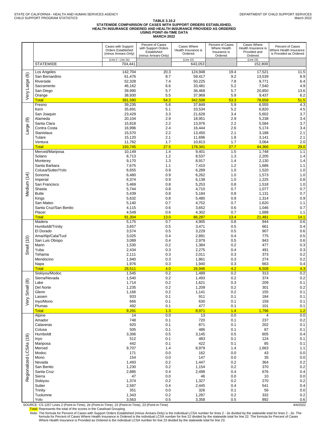### TABLE 3.10.2<br>STATEWIDE COMPARISON OF CASES WITH SUPPORT ORDERS ESTABLISHED,<br>HEALTH INSURANCE ORDERED AND HEALTH INSURANCE PROVIDED AS ORDERED **USING POINT-IN-TIME DATA MARCH 2022**

|                              |                                                                                                                                                                                                                        | Cases with Support<br>Orders Established<br>(minus Arrears-Only)                                                                                  | Percent of Cases<br>with Support Orders<br>Established<br>(minus Arrears-Only)                                                    | Cases Where<br>Health Insurance is<br>Ordered                                                                                                     | Percent of Cases<br>Where Health<br>Insurance is<br>Ordered                                                                       | Cases Where<br>Health Insurance is<br>Provided and<br>Ordered                                                                        | Percent of Cases<br>Where Health Insurance<br>is Provided as Ordered                                                                          |
|------------------------------|------------------------------------------------------------------------------------------------------------------------------------------------------------------------------------------------------------------------|---------------------------------------------------------------------------------------------------------------------------------------------------|-----------------------------------------------------------------------------------------------------------------------------------|---------------------------------------------------------------------------------------------------------------------------------------------------|-----------------------------------------------------------------------------------------------------------------------------------|--------------------------------------------------------------------------------------------------------------------------------------|-----------------------------------------------------------------------------------------------------------------------------------------------|
|                              | <b>STATEWIDE</b>                                                                                                                                                                                                       | (Line 2 - Line 2e)<br>704,441                                                                                                                     |                                                                                                                                   | (Line 22)<br>643,053                                                                                                                              |                                                                                                                                   | (Line 23)<br>152,809                                                                                                                 |                                                                                                                                               |
| $\circlede$<br>Large (       | Los Angeles<br>San Bernardino<br>Riverside<br>Sacramento                                                                                                                                                               | 142.704<br>61,476<br>52,328<br>46,162                                                                                                             | 20.3<br>8.7<br>7.4<br>6.6                                                                                                         | 124,948<br>59,417<br>50,225<br>33,481                                                                                                             | 19.4<br>9.2<br>7.8<br>5.2                                                                                                         | 17,521<br>13,539<br>9,771<br>7,540                                                                                                   | 11.5<br>8.9<br>6.4<br>4.9                                                                                                                     |
| ΘŊ                           | San Diego<br>Orange                                                                                                                                                                                                    | 39,990<br>38,930                                                                                                                                  | 5.7<br>5.5                                                                                                                        | 36,468<br>37,969                                                                                                                                  | 5.7<br>5.9                                                                                                                        | 20,850<br>9,437                                                                                                                      | 13.6<br>6.2                                                                                                                                   |
| ම<br>Large                   | <b>Total</b><br>Fresno<br>Kern<br>San Joaquin<br>Alameda<br>Santa Clara<br>Contra Costa<br>Stanislaus<br>Tulare<br>Ventura<br><b>Total</b>                                                                             | 381,590<br>39,235<br>35,691<br>23,429<br>20,104<br>15,818<br>16,996<br>15,570<br>15,120<br>11,782<br>193,745                                      | 54.2<br>5.6<br>5.1<br>3.3<br>2.9<br>2.2<br>2.4<br>2.2<br>2.1<br>1.7<br>27.5                                                       | 342,508<br>37,849<br>33,534<br>21,628<br>18,951<br>13,976<br>16,444<br>13,450<br>11,696<br>10,813<br>178,341                                      | 53.3<br>5.9<br>5.2<br>3.4<br>2.9<br>2.2<br>2.6<br>2.1<br>1.8<br>1.7<br>27.7                                                       | 78,658<br>6,555<br>6,820<br>5,602<br>5,238<br>5,584<br>5,174<br>3,188<br>3,141<br>3,064<br>44,366                                    | 51.5<br>4.3<br>4.5<br>3.7<br>3.4<br>3.7<br>3.4<br>2.1<br>2.1<br>2.0<br>29.0                                                                   |
| Medium (14)                  | Merced/Mariposa<br>Solano<br>Monterey<br>Santa Barbara<br>Colusa/Sutter/Yolo<br>Sonoma<br>Imperial<br>San Francisco<br>Shasta<br><b>Butte</b><br>Kings<br>San Mateo<br>Santa Cruz/San Benito<br>Placer<br><b>Total</b> | 10,149<br>8,713<br>9,170<br>7,675<br>6,655<br>6,480<br>6,374<br>5,469<br>5,744<br>5,439<br>5,632<br>5,140<br>4,115<br>4,549<br>91,304             | 1.4<br>1.2<br>1.3<br>1.1<br>0.9<br>0.9<br>0.9<br>0.8<br>0.8<br>0.8<br>0.8<br>0.7<br>0.6<br>0.6<br>13.0                            | 9,401<br>8,537<br>8,917<br>7,410<br>6,289<br>6,262<br>6,138<br>5,253<br>4,710<br>5,184<br>5,480<br>4,752<br>3,652<br>4,302<br>86,287              | 1.5<br>1.3<br>1.4<br>1.2<br>1.0<br>1.0<br>1.0<br>0.8<br>0.7<br>0.8<br>0.9<br>0.7<br>0.6<br>0.7<br>13.4                            | 1,748<br>2,205<br>2,130<br>1,686<br>1,520<br>1,573<br>1,225<br>1,518<br>1,077<br>1,131<br>1,314<br>1,620<br>1,046<br>1,688<br>21,481 | 1.1<br>1.4<br>1.4<br>1.1<br>1.0<br>1.0<br>0.8<br>1.0<br>0.7<br>0.7<br>0.9<br>1.1<br>0.7<br>1.1<br>14.1                                        |
| (10)<br>Small                | Madera<br>Humboldt/Trinity<br>El Dorado<br>Ama/Alp/Cala/Tuol<br>San Luis Obispo<br>Marin<br>Yuba<br>Tehama<br>Mendocino<br>Napa<br><b>Total</b>                                                                        | 5,175<br>3,657<br>3,574<br>3,025<br>3,089<br>1,530<br>2,434<br>2,111<br>1,940<br>1,976<br>28,511                                                  | 0.7<br>0.5<br>0.5<br>0.4<br>0.4<br>0.2<br>0.3<br>0.3<br>0.3<br>0.3<br>4.0                                                         | 4,905<br>3,471<br>3,229<br>2,891<br>2,979<br>1,384<br>2,275<br>2,011<br>1,861<br>1,940<br>26,946                                                  | 0.8<br>0.5<br>0.5<br>0.4<br>0.5<br>0.2<br>0.4<br>0.3<br>0.3<br>0.3<br>4.2                                                         | 944<br>661<br>907<br>775<br>943<br>477<br>491<br>373<br>274<br>663<br>6,508                                                          | 0.6<br>0.4<br>0.6<br>0.5<br>0.6<br>0.3<br>0.3<br>0.2<br>0.2<br>0.4<br>4.3                                                                     |
| $\circledR$<br>Small<br>Very | Siskiyou/Modoc<br>Sierra/Nevada<br>Lake<br>Del Norte<br>Glenn<br>Lassen<br>Inyo/Mono<br>Plumas<br><b>Total</b>                                                                                                         | 1,545<br>1,540<br>1,714<br>1,235<br>1,166<br>933<br>666<br>492<br>9,291                                                                           | 0.2<br>0.2<br>0.2<br>0.2<br>0.2<br>0.1<br>0.1<br>0.1<br>1.3                                                                       | 1,489<br>1,493<br>1,621<br>1,209<br>1,141<br>911<br>630<br>477<br>8,971                                                                           | 0.2<br>0.2<br>0.3<br>0.2<br>0.2<br>0.1<br>0.1<br>0.1<br>1.4                                                                       | 313<br>374<br>209<br>301<br>155<br>184<br>159<br>101<br>1,796                                                                        | 0.2<br>0.2<br>0.1<br>0.2<br>0.1<br>0.1<br>0.1<br>0.1<br>1.2                                                                                   |
| (19)<br>Regionalized LCSAs   | Alpine<br>Amador<br>Calaveras<br>Colusa<br>Humboldt<br>Inyo<br>Mariposa<br>Merced<br>Modoc<br>Mono<br>Nevada<br>San Benito<br>Santa Cruz<br>Sierra<br>Siskiyou<br>Sutter<br>Trinity<br>Tuolumne<br>Yolo                | 14<br>748<br>920<br>505<br>3,306<br>512<br>442<br>9,707<br>171<br>154<br>1,493<br>1,230<br>2,885<br>47<br>1,374<br>2,587<br>351<br>1,343<br>3,563 | 0.0<br>0.1<br>0.1<br>0.1<br>0.5<br>0.1<br>0.1<br>1.4<br>0.0<br>0.0<br>0.2<br>0.2<br>0.4<br>0.0<br>0.2<br>0.4<br>0.0<br>0.2<br>0.5 | 13<br>720<br>871<br>486<br>3,145<br>483<br>422<br>8,979<br>162<br>147<br>1,447<br>1,154<br>2,498<br>46<br>1,327<br>2,445<br>326<br>1,287<br>3,358 | 0.0<br>0.1<br>0.1<br>0.1<br>0.5<br>0.1<br>0.1<br>1.4<br>0.0<br>0.0<br>0.2<br>0.2<br>0.4<br>0.0<br>0.2<br>0.4<br>0.1<br>0.2<br>0.5 | 4<br>237<br>202<br>87<br>605<br>124<br>85<br>1,663<br>43<br>35<br>364<br>370<br>676<br>10<br>270<br>541<br>56<br>332<br>892          | 0.0<br>$0.2\,$<br>0.1<br>0.1<br>0.4<br>0.1<br>0.1<br>1.1<br>0.0<br>0.0<br>$0.2\,$<br>0.2<br>0.4<br>0.0<br>$0.2\,$<br>0.4<br>0.0<br>0.2<br>0.6 |

SOURCE: CS 1257 Lines 2 (Point-in-Time), 2e (Point-in-Time), 22 (Point-in-Time), 22 (Point-in-Time), 22 (Point-in-Time), 23 (Point-in-Time), 23 (Point-in-Time), 23 (Point-in-Time), 23 (Point-in-Time)<br>Total: Represents the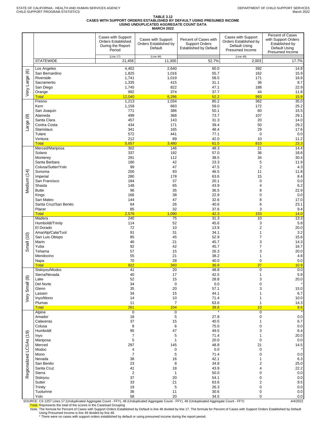# TABLE 3.12<br>CASES WITH SUPPORT ORDERS ESTABLISHED BY DEFAULT USING PRESUMED INCOME<br>USING UNDUPLICATED AGGREGATE COUNT DATA<br>MARCH 2022

|                         |                               |                                                                                | MANGU ZUZZ                                             |                                                                                 |                                                                                 |                                                                                               |
|-------------------------|-------------------------------|--------------------------------------------------------------------------------|--------------------------------------------------------|---------------------------------------------------------------------------------|---------------------------------------------------------------------------------|-----------------------------------------------------------------------------------------------|
|                         |                               | Cases with Support<br><b>Orders Established</b><br>During the Report<br>Period | Cases with Support<br>Orders Established by<br>Default | Percent of Cases with<br><b>Support Orders</b><br><b>Established by Default</b> | Cases with Support<br>Orders Established by<br>Default Using<br>Presumed Income | Percent of Cases<br>with Support Orders<br>Established by<br>Default Using<br>Presumed Income |
|                         | <b>STATEWIDE</b>              | (Line 17)                                                                      | (Line 48)<br>11,300                                    | 52.7%                                                                           | (Line 49)                                                                       |                                                                                               |
|                         |                               | 21,456                                                                         |                                                        |                                                                                 | 2,003                                                                           | 17.7%                                                                                         |
| $\circledcirc$          | Los Angeles<br>San Bernardino | 4,402<br>1,825                                                                 | 2,640<br>1,016                                         | 60.0<br>55.7                                                                    | 392<br>162                                                                      | 14.8<br>15.9                                                                                  |
|                         | Riverside                     | 1,741                                                                          | 1,019                                                  | 58.5                                                                            | 171                                                                             | 16.8                                                                                          |
|                         | Sacramento                    | 1,335                                                                          | 415<br>822                                             | 31.1                                                                            | 36                                                                              | 8.7                                                                                           |
| Very Large              | San Diego<br>Orange           | 1,745<br>992                                                                   | 374                                                    | 47.1<br>37.7                                                                    | 188<br>44                                                                       | 22.9<br>11.8                                                                                  |
|                         | <b>Total</b>                  | 12,040                                                                         | 6,286                                                  | 52.2                                                                            | 993                                                                             | 15.8                                                                                          |
|                         | Fresno<br>Kern                | 1,213<br>1,158                                                                 | 1,034<br>683                                           | 85.2<br>59.0                                                                    | 362<br>172                                                                      | 35.0<br>25.2                                                                                  |
|                         | San Joaquin                   | 771                                                                            | 386                                                    | 50.1                                                                            | 60                                                                              | 15.5                                                                                          |
| ම                       | Alameda                       | 499                                                                            | 368                                                    | 73.7                                                                            | 107                                                                             | 29.1                                                                                          |
| arge                    | Santa Clara<br>Contra Costa   | 457<br>434                                                                     | 143<br>171                                             | 31.3<br>39.4                                                                    | 20<br>50                                                                        | 14.0<br>29.2                                                                                  |
|                         | <b>Stanislaus</b>             | 341                                                                            | 165                                                    | 48.4                                                                            | 29                                                                              | 17.6                                                                                          |
|                         | Tulare<br>Ventura             | 572<br>212                                                                     | 441<br>89                                              | 77.1<br>42.0                                                                    | $\mathbf 0$<br>10                                                               | 0.0<br>11.2                                                                                   |
|                         | <b>Total</b>                  | 5,657                                                                          | 3,480                                                  | 61.5                                                                            | 810                                                                             | 23.3                                                                                          |
|                         | Merced/Mariposa               | 302                                                                            | 146                                                    | 48.3                                                                            | 21                                                                              | 14.4                                                                                          |
|                         | Solano<br>Monterey            | 337<br>291                                                                     | 192<br>112                                             | 57.0<br>38.5                                                                    | 36<br>34                                                                        | 18.8<br>30.4                                                                                  |
|                         | Santa Barbara                 | 180                                                                            | 42                                                     | 23.3                                                                            | 5                                                                               | 11.9                                                                                          |
|                         | Colusa/Sutter/Yolo            | 99                                                                             | 47                                                     | 47.5                                                                            | $\boldsymbol{2}$                                                                | 4.3                                                                                           |
| Medium (14)             | Sonoma<br>Imperial            | 200<br>280                                                                     | 93<br>178                                              | 46.5<br>63.6                                                                    | 11<br>15                                                                        | 11.8<br>8.4                                                                                   |
|                         | San Francisco                 | 184                                                                            | 37                                                     | 20.1                                                                            | 0                                                                               | 0.0                                                                                           |
|                         | Shasta                        | 148                                                                            | 65                                                     | 43.9                                                                            | $\overline{4}$                                                                  | 6.2                                                                                           |
|                         | <b>Butte</b><br>Kings         | 96<br>166                                                                      | 35<br>38                                               | 36.5<br>22.9                                                                    | 8<br>$\mathbf 0$                                                                | 22.9<br>0.0                                                                                   |
|                         | San Mateo                     | 144                                                                            | 47                                                     | 32.6                                                                            | 8                                                                               | 17.0                                                                                          |
|                         | Santa Cruz/San Benito         | 64                                                                             | 26                                                     | 40.6                                                                            | 6                                                                               | 23.1                                                                                          |
|                         | Placer<br><b>Total</b>        | 85<br>2,576                                                                    | 32<br>1,090                                            | 37.6<br>42.3                                                                    | 3<br>153                                                                        | 9.4<br>14.0                                                                                   |
|                         | Madera                        | 240                                                                            | 75                                                     | 31.3                                                                            | 10                                                                              | 13.3                                                                                          |
|                         | Humboldt/Trinity<br>El Dorado | 114<br>72                                                                      | 52<br>10                                               | 45.6<br>13.9                                                                    | 3<br>$\boldsymbol{2}$                                                           | 5.8<br>20.0                                                                                   |
|                         | Ama/Alp/Cala/Tuol             | 91                                                                             | 31                                                     | 34.1                                                                            | $\mathbf{1}$                                                                    | 3.2                                                                                           |
| Small $(10)$            | San Luis Obispo<br>Marin      | 85<br>46                                                                       | 45<br>21                                               | 52.9<br>45.7                                                                    | $\overline{7}$<br>3                                                             | 15.6<br>14.3                                                                                  |
|                         | Yuba                          | 92                                                                             | 42                                                     | 45.7                                                                            | $\overline{7}$                                                                  | 16.7                                                                                          |
|                         | Tehama                        | 57                                                                             | 15                                                     | 26.3                                                                            | 3                                                                               | 20.0                                                                                          |
|                         | Mendocino<br>Napa             | 55<br>70                                                                       | 21<br>28                                               | 38.2<br>40.0                                                                    | $\mathbf{1}$<br>0                                                               | 4.8<br>0.0                                                                                    |
|                         | <b>Total</b>                  | 922                                                                            | 340                                                    | 36.9                                                                            | 37                                                                              | 10.9                                                                                          |
|                         | Siskiyou/Modoc                | 41                                                                             | 20                                                     | 48.8                                                                            | $\mathbf 0$                                                                     | 0.0                                                                                           |
|                         | Sierra/Nevada<br>Lake         | 40<br>52                                                                       | 17<br>15                                               | 42.5<br>28.8                                                                    | 3                                                                               | $5.9\,$<br>20.0                                                                               |
|                         | Del Norte                     | 34                                                                             | $\mathbf 0$                                            | 0.0                                                                             | 0                                                                               |                                                                                               |
|                         | Glenn<br>Lassen               | 35<br>34                                                                       | 20<br>15                                               | 57.1<br>44.1                                                                    | 3<br>1                                                                          | 15.0<br>6.7                                                                                   |
| Very Small (8)          | Inyo/Mono                     | 14                                                                             | $10$                                                   | 71.4                                                                            | 1                                                                               | 10.0                                                                                          |
|                         | Plumas                        | 11                                                                             | $\overline{7}$                                         | 63.6                                                                            | 1                                                                               | 14.3                                                                                          |
|                         | <b>Total</b><br>Alpine        | 261<br>$\mathbf 0$                                                             | 104<br>0                                               | 39.8                                                                            | 10<br>0                                                                         | 9.6                                                                                           |
|                         | Amador                        | 18                                                                             | $\,$ 5 $\,$                                            | 27.8                                                                            | $\pmb{0}$                                                                       | 0.0                                                                                           |
|                         | Calaveras<br>Colusa           | 37<br>8                                                                        | 15<br>6                                                | 40.5<br>75.0                                                                    | 1<br>0                                                                          | $6.7\,$<br>0.0                                                                                |
|                         | Humboldt                      | 95                                                                             | 47                                                     | 49.5                                                                            | 3                                                                               | 6.4                                                                                           |
|                         | Inyo                          | $\overline{7}$                                                                 | 5                                                      | 71.4                                                                            | 1                                                                               | 20.0                                                                                          |
|                         | Mariposa<br>Merced            | 5<br>297                                                                       | 1<br>145                                               | 20.0<br>48.8                                                                    | 0<br>21                                                                         | 0.0<br>$14.5$                                                                                 |
| Regionalized LCSAs (19) | Modoc                         | 4                                                                              | $\mathbf 0$                                            | 0.0                                                                             | 0                                                                               |                                                                                               |
|                         | Mono                          | $\overline{7}$                                                                 | 5                                                      | 71.4                                                                            | 0                                                                               | 0.0                                                                                           |
|                         | Nevada<br>San Benito          | 38<br>23                                                                       | 16<br>8                                                | 42.1<br>34.8                                                                    | 1<br>2                                                                          | 6.3<br>25.0                                                                                   |
|                         | Santa Cruz                    | 41                                                                             | 18                                                     | 43.9                                                                            | 4                                                                               | 22.2                                                                                          |
|                         | Sierra<br>Siskiyou            | $\mathbf 2$<br>37                                                              | $\mathbf{1}$<br>20                                     | 50.0<br>54.1                                                                    | 0<br>0                                                                          | 0.0<br>0.0                                                                                    |
|                         | Sutter                        | 33                                                                             | 21                                                     | 63.6                                                                            | 2                                                                               | 9.5                                                                                           |
|                         | Trinity                       | 19                                                                             | $\sqrt{5}$                                             | 26.3                                                                            | 0                                                                               | 0.0                                                                                           |
|                         | Tuolumne<br>Yolo              | 36<br>58                                                                       | 11<br>20                                               | 30.6<br>34.5                                                                    | 0<br>$\mathbf 0$                                                                | 0.0<br>0.0                                                                                    |
|                         |                               |                                                                                |                                                        |                                                                                 |                                                                                 |                                                                                               |

SOURCE: CS 1257 Lines 17 (Unduplicated Aggregate Count - FFY), 48 (Unduplicated Aggregate Count - FFY), 49 (Unduplicated Aggregate Count - FFY)<br>
Total: Represents the total of the scores in the Caseload Grouping<br>
Note: The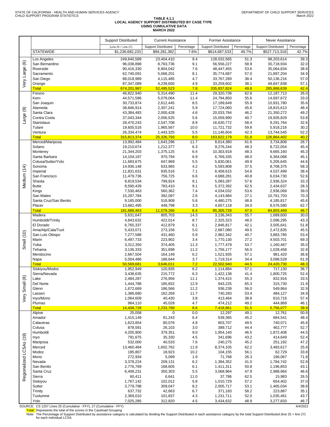# **TABLE 4.1.1 LOCAL AGENCY SUPPORT DISTRIBUTED BY CASE TYPE USING CUMULATIVE DATA MARCH 2022**

|                         |                               | <b>Support Distributed</b> | <b>Current Assistance</b> |              | <b>Former Assistance</b>   |              | Never Assistance           |              |
|-------------------------|-------------------------------|----------------------------|---------------------------|--------------|----------------------------|--------------|----------------------------|--------------|
|                         |                               | (Line 25 + Line 27)        | Support Distributed       | Percentage   | <b>Support Distributed</b> | Percentage   | <b>Support Distributed</b> | Percentage   |
|                         | <b>STATEWIDE</b>              | \$1,236,682,233            | \$94,281,382              | 7.6%         | \$614,687,533              | 49.7%        | \$527,713,318              | 42.7%        |
| $\circledcirc$          | Los Angeles<br>San Bernardino | 249,640,589<br>96,038,898  | 23,404,410<br>8,763,736   | 9.4<br>9.1   | 128,032,565<br>56,556,227  | 51.3<br>58.9 | 98,203,614<br>30,718,934   | 39.3<br>32.0 |
|                         | Riverside                     | 90,416,330                 | 6,904,042                 | 7.6          | 48,447,455                 | 53.6         | 35,064,834                 | 38.8         |
|                         | Sacramento                    | 62,740,091                 | 5,068,201                 | 8.1          | 35,774,687                 | 57.0         | 21,897,204                 | 34.9         |
| Very Large              | San Diego<br>Orange           | 88,018,989<br>87,347,089   | 4,115,485<br>4,239,650    | 4.7<br>4.9   | 33,767,289<br>33,259,602   | 38.4<br>38.1 | 50,136,216<br>49,847,838   | 57.0<br>57.1 |
|                         | <b>Total</b>                  | 674,201,987                | 52,495,523                | 7.8          | 335,837,824                | 49.8         | 285,868,639                | 42.4         |
|                         | Fresno                        | 46,822,940                 | 5,314,490                 | 11.4         | 29,320,738                 | 62.6         | 12,187,713                 | 26.0         |
|                         | Kern                          | 44,571,586                 | 5,079,064                 | 11.4<br>8.5  | 24,794,850                 | 55.6<br>55.9 | 14,697,672                 | 33.0<br>35.6 |
|                         | San Joaquin<br>Alameda        | 30,733,874<br>38,846,914   | 2,612,445<br>2,307,241    | 5.9          | 17,189,649<br>17,724,060   | 45.6         | 10,931,780<br>18,815,613   | 48.4         |
| ම                       | Santa Clara                   | 43,384,483                 | 2,000,428                 | 4.6          | 20,033,784                 | 46.2         | 21,350,272                 | 49.2         |
| Large                   | Contra Costa                  | 37,043,344                 | 2,056,525                 | 5.6          | 15,059,990                 | 40.7         | 19,926,829                 | 53.8         |
|                         | Stanislaus<br>Tulare          | 28,470,243<br>19,605,516   | 2,547,708<br>1,965,567    | 8.9<br>10.0  | 16,630,772<br>11,721,732   | 58.4<br>59.8 | 9,291,764<br>5,918,216     | 32.6<br>30.2 |
|                         | Ventura                       | 26,334,474                 | 1,443,325                 | 5.5          | 11,146,604                 | 42.3         | 13,744,545                 | 52.2         |
|                         | <b>Total</b>                  | 315,813,374                | 25,326,793                | 8.0          | 163,622,179                | 51.8         | 126,864,402                | 40.2         |
|                         | Merced/Mariposa               | 13,992,484                 | 1,643,296                 | 11.7         | 8,614,380                  | 61.6         | 3,734,808                  | 26.7         |
|                         | Solano<br>Monterey            | 19,210,674<br>21,344,203   | 1,212,377<br>1,375,125    | 6.3<br>6.4   | 9,276,244<br>10,303,918    | 48.3<br>48.3 | 8,722,054<br>9,665,160     | 45.4<br>45.3 |
|                         | Santa Barbara                 | 14,104,197                 | 970,794                   | 6.9          | 6,769,335                  | 48.0         | 6,364,068                  | 45.1         |
|                         | Colusa/Sutter/Yolo            | 11,683,675                 | 647,969                   | 5.5          | 5,830,061                  | 49.9         | 5,205,645                  | 44.6         |
| Vledium (14)            | Sonoma<br>Imperial            | 14,936,148<br>11,831,631   | 633,965                   | 4.2<br>7.1   | 5,593,808                  | 37.5         | 8,708,375                  | 58.3<br>38.4 |
|                         | San Francisco                 | 11,479,736                 | 835,516<br>756,725        | 6.6          | 6,458,615<br>4,688,281     | 54.6<br>40.8 | 4,537,499<br>6,034,730     | 52.6         |
|                         | Shasta                        | 8,819,534                  | 799,924                   | 9.1          | 5,083,287                  | 57.6         | 2,936,324                  | 33.3         |
|                         | <b>Butte</b>                  | 8,590,439                  | 783,410                   | 9.1          | 5,372,392                  | 62.5         | 2,434,637                  | 28.3         |
|                         | Kings<br>San Mateo            | 7,530,463<br>15,297,784    | 560,362<br>392,097        | 7.4<br>2.6   | 4,034,032<br>4,143,984     | 53.6<br>27.1 | 2,936,069<br>10,761,703    | 39.0<br>70.3 |
|                         | Santa Cruz/San Benito         | 9,185,000                  | 518,908                   | 5.6          | 4,480,275                  | 48.8         | 4,185,817                  | 45.6         |
|                         | Placer                        | 13,682,495                 | 448,798                   | 3.3          | 4,657,118                  | 34.0         | 8,576,580                  | 62.7         |
|                         | <b>Total</b>                  | 181,688,463                | 11,579,266                | 6.4          | 85,305,728                 | 47.0         | 84,803,469                 | 46.7         |
|                         | Madera<br>Humboldt/Trinity    | 5,631,647<br>4,843,632     | 805,703<br>422,014        | 14.3<br>8.7  | 3,136,343<br>2,325,323     | 55.7<br>48.0 | 1,689,600<br>2,096,295     | 30.0<br>43.3 |
|                         | El Dorado                     | 6,765,337                  | 412,879                   | 6.1          | 2,846,817                  | 42.1         | 3,505,641                  | 51.8         |
|                         | Ama/Alp/Cala/Tuol             | 5,433,071                  | 273,156                   | 5.0          | 2,687,080                  | 49.5         | 2,472,835                  | 45.5         |
|                         | San Luis Obispo<br>Marin      | 7,277,588<br>6,497,733     | 431,460<br>223,902        | 5.9<br>3.4   | 2,962,342<br>1,770,130     | 40.7<br>27.2 | 3,883,785<br>4,503,701     | 53.4<br>69.3 |
| Small (10)              | Yuba                          | 3,312,350                  | 374,405                   | 11.3         | 1,777,479                  | 53.7         | 1,160,467                  | 35.0         |
|                         | Tehama                        | 3,136,333                  | 351,698                   | 11.2         | 1,756,177                  | 56.0         | 1,028,458                  | 32.8         |
|                         | Mendocino                     | 2,667,504                  | 164,149                   | 6.2          | 1,521,935                  | 57.1         | 981,420                    | 36.8         |
|                         | Napa<br><b>Total</b>          | 5,004,486<br>50,569,681    | 186,644<br>3,646,011      | 3.7<br>7.2   | 1,719,314<br>22,502,940    | 34.4<br>44.5 | 3,098,528<br>24,420,730    | 61.9<br>48.3 |
|                         | Siskiyou/Modoc                | 1,952,949                  | 120,935                   | 6.2          | 1,114,884                  | 57.1         | 717,130                    | 36.7         |
|                         | Sierra/Nevada                 | 3,438,635                  | 215,772                   | 6.3          | 1,422,138                  | 41.4         | 1,800,725                  | 52.4         |
| Very Small (8)          | Lake<br>Del Norte             | 2,484,287                  | 276,956<br>185,832        | 11.1<br>12.9 | 1,374,415<br>943,225       | 55.3<br>65.3 | 832,916<br>315,730         | 33.5<br>21.9 |
|                         | Glenn                         | 1,444,788<br>1,672,669     | 186,566                   | 11.2         | 936,239                    | 56.0         | 549,864                    | 32.9         |
|                         | Lassen                        | 1,386,680                  | 162,269                   | 11.7         | 740,283                    | 53.4         | 484,127                    | 34.9         |
|                         | Inyo/Mono                     | 1,064,609                  | 40,430                    | 3.8          | 413,464                    | 38.8         | 610,716                    | 57.4         |
|                         | Plumas<br><b>Total</b>        | 964,110<br>14,408,728      | 45,028<br>1,233,789       | 4.7<br>8.6   | 474,212<br>7,418,861       | 49.2<br>51.5 | 444,869<br>5,756,077       | 46.1<br>39.9 |
|                         | Alpine                        | 25,058                     | $\mathbf 0$               | 0.0          | 12,297                     | 49.1         | 12,761                     | 50.9         |
|                         | Amador                        | 1,415,149                  | 91,243                    | 6.4          | 639,365                    | 45.2         | 684,541                    | 48.4         |
|                         | Calaveras                     | 1,623,854                  | 80,076                    | 4.9          | 803,707                    | 49.5<br>44.4 | 740,071                    | 45.6<br>52.7 |
|                         | Colusa<br>Humboldt            | 878,591<br>4,205,900       | 26,103<br>379,351         | 3.0<br>9.0   | 389,712<br>1,954,140       | 46.5         | 462,777<br>1,872,408       | 44.5         |
|                         | Inyo                          | 791,675                    | 35,330                    | 4.5          | 341,696                    | 43.2         | 414,649                    | 52.4         |
|                         | Mariposa                      | 532,000                    | 40,533                    | 7.6          | 240,275                    | 45.2         | 251,192                    | 47.2         |
|                         | Merced<br>Modoc               | 13,460,484<br>185,807      | 1,602,762                 | 11.9<br>10.2 | 8,374,105<br>104,155       | 62.2<br>56.1 | 3,483,617<br>62,729        | 25.9<br>33.8 |
| Regionalized LCSAs (19) | Mono                          | 272,934                    | 18,923<br>5,099           | 1.9          | 71,768                     | 26.3         | 196,067                    | 71.8         |
|                         | Nevada                        | 3,378,224                  | 209,131                   | 6.2          | 1,384,352                  | 41.0         | 1,784,742                  | 52.8         |
|                         | San Benito                    | 2,776,769                  | 168,605                   | 6.1          | 1,411,311                  | 50.8         | 1,196,853                  | 43.1         |
|                         | Santa Cruz<br>Sierra          | 6,408,231<br>60,411        | 350,303<br>6,641          | 5.5<br>11.0  | 3,068,964<br>37,786        | 47.9<br>62.5 | 2,988,964<br>15,983        | 46.6<br>26.5 |
|                         | Siskiyou                      | 1,767,142                  | 102,012                   | 5.8          | 1,010,729                  | 57.2         | 654,402                    | 37.0         |
|                         | Sutter                        | 3,779,798                  | 309,047                   | 8.2          | 2,005,717                  | 53.1         | 1,465,034                  | 38.8         |
|                         | Trinity                       | 637,732                    | 42,663                    | 6.7          | 371,183                    | 58.2         | 223,887                    | 35.1         |
|                         | Tuolumne<br>Yolo              | 2,369,010<br>7,025,285     | 101,837<br>312,820        | 4.3<br>4.5   | 1,231,711<br>3,434,632     | 52.0<br>48.9 | 1,035,461<br>3,277,833     | 43.7<br>46.7 |
|                         |                               |                            |                           |              |                            |              |                            | 10000        |

SOURCE: CS 1257 Lines 25 (Cumulative - FFY), 27 (Cumulative - FFY)<br>Total: Represents the total of the scores in the Caseload Grouping<br>Note: The Percentage of Support Distributed by assistance category is calculated by divi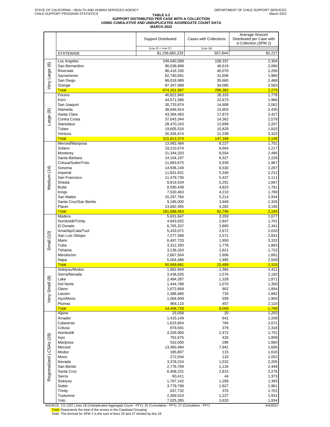# TABLE 4.3<br>SUPPORT DISTRIBUTED PER CASE WITH A COLLECTION<br>USING CUMULATIVE AND UNDUPLICATED AGGREGATE COUNT DATA<br>MARCH 2022

|                         |                                                                                                         | <b>Support Distributed</b> | <b>Cases with Collections</b> | Average Amount<br>Distributed per Case with<br>a Collection (SPM 2) |
|-------------------------|---------------------------------------------------------------------------------------------------------|----------------------------|-------------------------------|---------------------------------------------------------------------|
|                         |                                                                                                         | (Line 25 + Line 27)        | (Line 18)                     |                                                                     |
|                         | <b>STATEWIDE</b>                                                                                        | \$1,236,682,233            | 557,844                       | \$2,217                                                             |
|                         | Los Angeles                                                                                             | 249,640,589                | 108,337                       | 2,304                                                               |
|                         | San Bernardino                                                                                          | 96,038,898                 | 46,619                        | 2,060                                                               |
|                         | Riverside                                                                                               | 90,416,330                 | 40,070                        | 2,256                                                               |
|                         | Sacramento<br>San Diego                                                                                 | 62,740,091<br>88,018,989   | 31,606<br>35,665              | 1,985<br>2,468                                                      |
| Very Large (6)          | Orange                                                                                                  | 87,347,089                 | 34,085                        | 2,563                                                               |
|                         | <b>Total</b>                                                                                            | 674,201,987                | 296,382                       | 2,275                                                               |
|                         | Fresno                                                                                                  | 46,822,940                 | 26,333                        | 1,778                                                               |
|                         | Kern                                                                                                    | 44,571,586                 | 22,673                        | 1,966                                                               |
|                         | San Joaquin<br>Alameda                                                                                  | 30,733,874                 | 14,908                        | 2,062                                                               |
|                         | Santa Clara                                                                                             | 38,846,914<br>43,384,483   | 15,953<br>17,873              | 2,435<br>2,427                                                      |
| Large (9)               | Contra Costa                                                                                            | 37,043,344                 | 14,362                        | 2,579                                                               |
|                         | Stanislaus                                                                                              | 28,470,243                 | 12,899                        | 2,207                                                               |
|                         | Tulare                                                                                                  | 19,605,516                 | 10,829                        | 1,810                                                               |
|                         | Ventura                                                                                                 | 26,334,474                 | 11,338                        | 2,323                                                               |
|                         | <b>Total</b><br>Merced/Mariposa                                                                         | 315,813,374<br>13,992,484  | 147,168<br>8,227              | 2,146<br>1,701                                                      |
|                         | Solano                                                                                                  | 19,210,674                 | 8,664                         | 2,217                                                               |
|                         | Monterey                                                                                                | 21,344,203                 | 8,554                         | 2,495                                                               |
|                         | Santa Barbara                                                                                           | 14,104,197                 | 6,327                         | 2,229                                                               |
|                         | Colusa/Sutter/Yolo                                                                                      | 11,683,675                 | 5,939                         | 1,967                                                               |
| Medium (14)             | Sonoma                                                                                                  | 14,936,148                 | 6,530                         | 2,287                                                               |
|                         | Imperial<br>San Francisco                                                                               | 11,831,631<br>11,479,736   | 5,349<br>5,437                | 2,212<br>2,111                                                      |
|                         | Shasta                                                                                                  | 8,819,534                  | 5,291                         | 1,667                                                               |
|                         | <b>Butte</b>                                                                                            | 8,590,439                  | 4,823                         | 1,781                                                               |
|                         | Kings                                                                                                   | 7,530,463                  | 4,210                         | 1,789                                                               |
|                         | San Mateo                                                                                               | 15,297,784                 | 5,214                         | 2,934                                                               |
|                         | Santa Cruz/San Benito<br>Placer                                                                         | 9,185,000                  | 3,949                         | 2,326                                                               |
|                         | <b>Total</b>                                                                                            | 13,682,495<br>181,688,463  | 4,282<br>82,796               | 3,195<br>2,194                                                      |
|                         | Madera                                                                                                  | 5,631,647                  | 3,359                         | 1,677                                                               |
|                         | Humboldt/Trinity                                                                                        | 4,843,632                  | 2,847                         | 1,701                                                               |
|                         | El Dorado                                                                                               | 6,765,337                  | 2,890                         | 2,341                                                               |
|                         | Ama/Alp/Cala/Tuol<br>San Luis Obispo                                                                    | 5,433,071<br>7,277,588     | 2,672<br>2,571                | 2,033<br>2,831                                                      |
| Small (10)              | Marin                                                                                                   | 6,497,733                  | 1,950                         | 3,332                                                               |
|                         | Yuba                                                                                                    | 3,312,350                  | 1,778                         | 1,863                                                               |
|                         | Tehama                                                                                                  | 3,136,333                  | 1,821                         | 1,722                                                               |
|                         | Mendocino                                                                                               | 2,667,504                  | 1,606                         | 1,661                                                               |
|                         | Napa<br><b>Total</b>                                                                                    | 5,004,486<br>50,569,681    | 1,995<br>23,489               | 2,509<br>2,153                                                      |
|                         | Siskiyou/Modoc                                                                                          | 1,952,949                  | 1,384                         | 1,411                                                               |
|                         | Sierra/Nevada                                                                                           | 3,438,635                  | 1,576                         | 2,182                                                               |
|                         | Lake                                                                                                    | 2,484,287                  | 1,328                         | 1,871                                                               |
|                         | Del Norte                                                                                               | 1,444,788                  | 1,070                         | 1,350                                                               |
| Very Small (8)          | Glenn<br>Lassen                                                                                         | 1,672,669<br>1,386,680     | 902<br>733                    | 1,854<br>1,892                                                      |
|                         | Inyo/Mono                                                                                               | 1,064,609                  | 559                           | 1,904                                                               |
|                         | Plumas                                                                                                  | 964,110                    | 457                           | 2,110                                                               |
|                         | <b>Total</b>                                                                                            | 14,408,728                 | 8,009                         | 1,799                                                               |
|                         | Alpine                                                                                                  | 25,058                     | 20                            | 1,253                                                               |
|                         | Amador<br>Calaveras                                                                                     | 1,415,149<br>1,623,854     | 641<br>784                    | 2,208<br>2,071                                                      |
|                         | Colusa                                                                                                  | 878,591                    | 379                           | 2,318                                                               |
|                         | Humboldt                                                                                                | 4,205,900                  | 2,472                         | 1,701                                                               |
|                         | Inyo                                                                                                    | 791,675                    | 426                           | 1,858                                                               |
|                         | Mariposa                                                                                                | 532,000                    | 286                           | 1,860                                                               |
| Regionalized LCSAs (19) | Merced<br>Modoc                                                                                         | 13,460,484<br>185,807      | 7,941<br>115                  | 1,695<br>1,616                                                      |
|                         | Mono                                                                                                    | 272,934                    | 133                           | 2,052                                                               |
|                         | Nevada                                                                                                  | 3,378,224                  | 1,532                         | 2,205                                                               |
|                         | San Benito                                                                                              | 2,776,769                  | 1,134                         | 2,449                                                               |
|                         | Santa Cruz                                                                                              | 6,408,231                  | 2,815                         | 2,276                                                               |
|                         | Sierra<br>Siskiyou                                                                                      | 60,411<br>1,767,142        | 44<br>1,269                   | 1,373<br>1,393                                                      |
|                         | Sutter                                                                                                  | 3,779,798                  | 1,927                         | 1,961                                                               |
|                         | Trinity                                                                                                 | 637,732                    | 375                           | 1,701                                                               |
|                         | Tuolumne                                                                                                | 2,369,010                  | 1,227                         | 1,931                                                               |
|                         | Yolo<br>COUDCE: CO. 1257 Lines 18 (Unduplicated Aggregate Count EEV) 25 (Cumulative EEV) 27 (Cumulative | 7,025,285                  | 3,633<br><b>EEV</b>           | 1,934<br>1/1/2022                                                   |

SOURCE: CS 1257 Lines 18 (Unduplicated Aggregate Count - FFY), 25 (Cumulative - FFY), 27 (Cumulative - FFY)<br><mark>Total:</mark> Represents the total of the scores in the Caseload Grouping<br>Note: The formula for SPM 2 is the sum of lin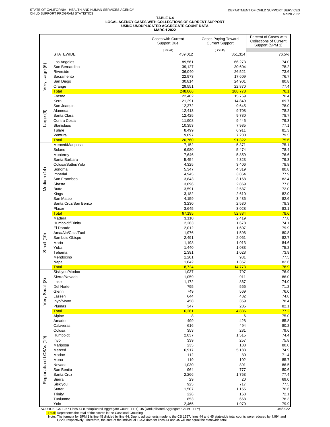#### TABLE 6.4<br>LOCAL AGENCY CASES WITH COLLECTIONS OF CURRENT SUPPORT<br>USING UNDUPLICATED AGGREGATE COUNT DATA **MARCH 2022**

|                         |                                      | Cases with Current<br>Support Due | Cases Paying Toward<br><b>Current Support</b> | Percent of Cases with<br><b>Collections of Current</b><br>Support (SPM 1) |
|-------------------------|--------------------------------------|-----------------------------------|-----------------------------------------------|---------------------------------------------------------------------------|
|                         | <b>STATEWIDE</b>                     | (Line 44)<br>459,012              | (Line 45)<br>351,314                          | 76.5%                                                                     |
|                         | Los Angeles                          | 89,561                            | 66,273                                        | 74.0                                                                      |
| Very Large (6)          | San Bernardino                       | 39,127                            | 30,604                                        | 78.2                                                                      |
|                         | Riverside<br>Sacramento              | 36,040<br>22,973                  | 26,521<br>17,609                              | 73.6<br>76.7                                                              |
|                         | San Diego                            | 30,814                            | 24,901                                        | 80.8                                                                      |
|                         | Orange                               | 29,551                            | 22,870                                        | 77.4                                                                      |
|                         | <b>Total</b><br>Fresno               | 248,066<br>22,402                 | 188,778<br>15,769                             | 76.1<br>70.4                                                              |
|                         | Kern                                 | 21,291                            | 14,849                                        | 69.7                                                                      |
|                         | San Joaquin                          | 12,372                            | 9,645                                         | 78.0                                                                      |
|                         | Alameda<br>Santa Clara               | 12,413<br>12,425                  | 9,708<br>9,780                                | 78.2<br>78.7                                                              |
| Large (9)               | Contra Costa                         | 11,908                            | 9,445                                         | 79.3                                                                      |
|                         | Stanislaus                           | 10,353                            | 7,985                                         | 77.1                                                                      |
|                         | Tulare<br>Ventura                    | 8,499<br>9,097                    | 6,911                                         | 81.3                                                                      |
|                         | <b>Total</b>                         | 120,760                           | 7,230<br>91,322                               | 79.5<br>75.6                                                              |
|                         | Merced/Mariposa                      | 7,152                             | 5,371                                         | 75.1                                                                      |
|                         | Solano                               | 6,980                             | 5,474                                         | 78.4                                                                      |
|                         | Monterey<br>Santa Barbara            | 7,646<br>5,454                    | 5,859<br>4,323                                | 76.6<br>79.3                                                              |
|                         | Colusa/Sutter/Yolo                   | 4,325                             | 3,406                                         | 78.8                                                                      |
|                         | Sonoma                               | 5,347                             | 4,319                                         | 80.8                                                                      |
| Medium (14)             | Imperial<br>San Francisco            | 4,945<br>3,843                    | 3,854<br>3,168                                | 77.9<br>82.4                                                              |
|                         | Shasta                               | 3,696                             | 2,869                                         | 77.6                                                                      |
|                         | <b>Butte</b>                         | 3,591                             | 2,587                                         | 72.0                                                                      |
|                         | Kings<br>San Mateo                   | 3,182<br>4,159                    | 2,610<br>3,436                                | 82.0<br>82.6                                                              |
|                         | Santa Cruz/San Benito                | 3,230                             | 2,530                                         | 78.3                                                                      |
|                         | Placer                               | 3,645                             | 3,028                                         | 83.1                                                                      |
|                         | <b>Total</b><br>Madera               | 67,195<br>3,110                   | 52,834<br>2,419                               | 78.6<br>77.8                                                              |
|                         | Humboldt/Trinity                     | 2,263                             | 1,678                                         | 74.1                                                                      |
|                         | El Dorado                            | 2,012                             | 1,607                                         | 79.9                                                                      |
|                         | Ama/Alp/Cala/Tuol<br>San Luis Obispo | 1,976<br>2,491                    | 1,596<br>2,061                                | 80.8<br>82.7                                                              |
| Small (10)              | Marin                                | 1,198                             | 1,013                                         | 84.6                                                                      |
|                         | Yuba                                 | 1,440                             | 1,083                                         | 75.2                                                                      |
|                         | Tehama<br>Mendocino                  | 1,391<br>1,201                    | 1,028<br>931                                  | 73.9<br>77.5                                                              |
|                         | Napa                                 | 1,642                             | 1,357                                         | 82.6                                                                      |
|                         | <b>Total</b>                         | 18,724                            | 14,773                                        | 78.9                                                                      |
|                         | Siskiyou/Modoc<br>Sierra/Nevada      | 1,037                             | 797<br>911                                    | 76.9<br>86.0                                                              |
|                         | Lake                                 | 1,059<br>1,172                    | 867                                           | 74.0                                                                      |
|                         | Del Norte                            | 795                               | 566                                           | 71.2                                                                      |
|                         | Glenn<br>Lassen                      | 749<br>644                        | 569<br>482                                    | 76.0<br>74.8                                                              |
| Very Small (8)          | Inyo/Mono                            | 458                               | 359                                           | 78.4                                                                      |
|                         | Plumas                               | 347                               | 285                                           | 82.1                                                                      |
|                         | <b>Total</b><br>Alpine               | 6,261<br>8                        | 4,836<br>6                                    | 77.2<br>75.0                                                              |
|                         | Amador                               | 499                               | 428                                           | 85.8                                                                      |
|                         | Calaveras                            | 616                               | 494                                           | 80.2                                                                      |
|                         | Colusa<br>Humboldt                   | 353<br>2,037                      | 281<br>1,515                                  | 79.6<br>74.4                                                              |
|                         | Inyo                                 | 339                               | 257                                           | 75.8                                                                      |
|                         | Mariposa                             | 235                               | 188                                           | 80.0                                                                      |
|                         | Merced<br>Modoc                      | 6,917<br>112                      | 5,183<br>80                                   | 74.9<br>71.4                                                              |
| Regionalized LCSAs (19) | Mono                                 | 119                               | 102                                           | 85.7                                                                      |
|                         | Nevada                               | 1,030                             | 891                                           | 86.5                                                                      |
|                         | San Benito<br>Santa Cruz             | 964                               | 777<br>1,753                                  | 80.6<br>77.4                                                              |
|                         | Sierra                               | 2,266<br>29                       | 20                                            | 69.0                                                                      |
|                         | Siskiyou                             | 925                               | 717                                           | 77.5                                                                      |
|                         | Sutter                               | 1,507                             | 1,155                                         | 76.6                                                                      |
|                         | Trinity<br>Tuolumne                  | 226<br>853                        | 163<br>668                                    | 72.1<br>78.3                                                              |
|                         | Yolo                                 | 2,465                             | 1,970                                         | 79.9                                                                      |

SOURCE: CS 1257 Lines 44 (Unduplicated Aggregate Count - FFY), 45 (Unduplicated Aggregate Count - FFY)<br>Total: Represents the total of the scores in the Caseload Grouping<br>Note: The formula for SPM 1 is line 45 divided by li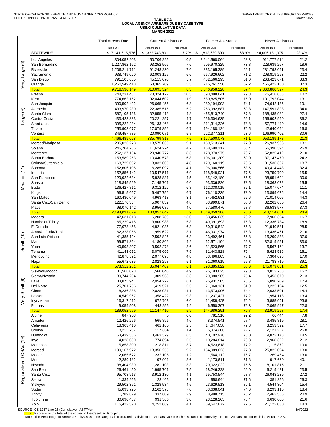#### **TABLE 7.2 LOCAL AGENCY ARREARS DUE BY CASE TYPE USING CUMULATIVE DATA MARCH 2022**

| (Line 26)<br>Arrears Due<br>Percentage<br>Arrears Due<br>Percentage<br>Arrears Due<br><b>STATEWIDE</b><br>\$1,322,743,801<br>7.7%<br>\$11,812,689,800<br>68.9%<br>\$4,006,181,975<br>\$17,141,615,576<br>450,706,225<br>Los Angeles<br>4,304,052,203<br>10.5<br>2,941,568,064<br>68.3<br>911,777,914<br>$\circlede$<br>San Bernardino<br>7.6<br>1,227,862,162<br>93,252,566<br>905,970,329<br>73.8<br>228,639,267<br>Very Large<br>Riverside<br>7.6<br>1,206,211,711<br>91,248,230<br>833,165,389<br>69.1<br>281,798,091<br>6.6<br>Sacramento<br>938,749,020<br>62,003,125<br>667,926,602<br>71.2<br>208,819,293<br>5.7<br>61.0<br>San Diego<br>791,105,635<br>45,115,670<br>482,566,293<br>263,423,671<br>5.5<br>57.2<br>Orange<br>1,250,549,418<br>68,365,709<br>715,761,550<br>466,422,160<br><b>Total</b><br>9,718,530,149<br>810,691,524<br>8.3<br>6,546,958,228<br>67.4<br>2,360,880,397<br>Fresno<br>79.3<br>748,231,481<br>78,324,177<br>10.5<br>593,488,641<br>76,418,663<br>Kern<br>774,662,152<br>92,044,602<br>11.9<br>580,825,505<br>75.0<br>101,792,044<br>6.8<br>289,194,903<br>San Joaquin<br>390,502,492<br>26,665,455<br>74.1<br>74,642,135<br>5.2<br>Alameda<br>433,970,230<br>22,385,515<br>263,992,887<br>60.8<br>147,591,828<br>ම<br>Santa Clara<br>4.8<br>67.8<br>687,105,136<br>32,855,413<br>465,813,740<br>188,435,982<br>Large<br>Contra Costa<br>20,221,257<br>4.7<br>256,304,635<br>59.1<br>433,428,883<br>156,902,990<br><b>Stanislaus</b><br>395,222,234<br>6.6<br>78.8<br>26,133,468<br>311,314,326<br>57,774,440<br>Tulare<br>17,079,859<br>6.7<br>76.5<br>253,908,677<br>194, 188, 124<br>42,640,694<br>Ventura<br>20,090,071<br>5.7<br>222,377,311<br>63.6<br>349,457,785<br>106,990,402<br>335,799,818<br>7.5<br>3,177,500,073<br><b>Total</b><br>4,466,489,068<br>71.1<br>953,189,178 | Never Assistance    |  |
|----------------------------------------------------------------------------------------------------------------------------------------------------------------------------------------------------------------------------------------------------------------------------------------------------------------------------------------------------------------------------------------------------------------------------------------------------------------------------------------------------------------------------------------------------------------------------------------------------------------------------------------------------------------------------------------------------------------------------------------------------------------------------------------------------------------------------------------------------------------------------------------------------------------------------------------------------------------------------------------------------------------------------------------------------------------------------------------------------------------------------------------------------------------------------------------------------------------------------------------------------------------------------------------------------------------------------------------------------------------------------------------------------------------------------------------------------------------------------------------------------------------------------------------------------------------------------------------------------------------------------------------------------------------------------------------------------------------------------------------------------------------------------------------------------------------------------|---------------------|--|
|                                                                                                                                                                                                                                                                                                                                                                                                                                                                                                                                                                                                                                                                                                                                                                                                                                                                                                                                                                                                                                                                                                                                                                                                                                                                                                                                                                                                                                                                                                                                                                                                                                                                                                                                                                                                                            | Percentage<br>23.4% |  |
|                                                                                                                                                                                                                                                                                                                                                                                                                                                                                                                                                                                                                                                                                                                                                                                                                                                                                                                                                                                                                                                                                                                                                                                                                                                                                                                                                                                                                                                                                                                                                                                                                                                                                                                                                                                                                            | 21.2                |  |
|                                                                                                                                                                                                                                                                                                                                                                                                                                                                                                                                                                                                                                                                                                                                                                                                                                                                                                                                                                                                                                                                                                                                                                                                                                                                                                                                                                                                                                                                                                                                                                                                                                                                                                                                                                                                                            | 18.6                |  |
|                                                                                                                                                                                                                                                                                                                                                                                                                                                                                                                                                                                                                                                                                                                                                                                                                                                                                                                                                                                                                                                                                                                                                                                                                                                                                                                                                                                                                                                                                                                                                                                                                                                                                                                                                                                                                            | 23.4<br>22.2        |  |
|                                                                                                                                                                                                                                                                                                                                                                                                                                                                                                                                                                                                                                                                                                                                                                                                                                                                                                                                                                                                                                                                                                                                                                                                                                                                                                                                                                                                                                                                                                                                                                                                                                                                                                                                                                                                                            | 33.3                |  |
|                                                                                                                                                                                                                                                                                                                                                                                                                                                                                                                                                                                                                                                                                                                                                                                                                                                                                                                                                                                                                                                                                                                                                                                                                                                                                                                                                                                                                                                                                                                                                                                                                                                                                                                                                                                                                            | 37.3                |  |
|                                                                                                                                                                                                                                                                                                                                                                                                                                                                                                                                                                                                                                                                                                                                                                                                                                                                                                                                                                                                                                                                                                                                                                                                                                                                                                                                                                                                                                                                                                                                                                                                                                                                                                                                                                                                                            | 24.3<br>10.2        |  |
|                                                                                                                                                                                                                                                                                                                                                                                                                                                                                                                                                                                                                                                                                                                                                                                                                                                                                                                                                                                                                                                                                                                                                                                                                                                                                                                                                                                                                                                                                                                                                                                                                                                                                                                                                                                                                            | 13.1                |  |
|                                                                                                                                                                                                                                                                                                                                                                                                                                                                                                                                                                                                                                                                                                                                                                                                                                                                                                                                                                                                                                                                                                                                                                                                                                                                                                                                                                                                                                                                                                                                                                                                                                                                                                                                                                                                                            | 19.1                |  |
|                                                                                                                                                                                                                                                                                                                                                                                                                                                                                                                                                                                                                                                                                                                                                                                                                                                                                                                                                                                                                                                                                                                                                                                                                                                                                                                                                                                                                                                                                                                                                                                                                                                                                                                                                                                                                            | 34.0                |  |
|                                                                                                                                                                                                                                                                                                                                                                                                                                                                                                                                                                                                                                                                                                                                                                                                                                                                                                                                                                                                                                                                                                                                                                                                                                                                                                                                                                                                                                                                                                                                                                                                                                                                                                                                                                                                                            | 27.4<br>36.2        |  |
|                                                                                                                                                                                                                                                                                                                                                                                                                                                                                                                                                                                                                                                                                                                                                                                                                                                                                                                                                                                                                                                                                                                                                                                                                                                                                                                                                                                                                                                                                                                                                                                                                                                                                                                                                                                                                            | 14.6                |  |
|                                                                                                                                                                                                                                                                                                                                                                                                                                                                                                                                                                                                                                                                                                                                                                                                                                                                                                                                                                                                                                                                                                                                                                                                                                                                                                                                                                                                                                                                                                                                                                                                                                                                                                                                                                                                                            | 16.8                |  |
|                                                                                                                                                                                                                                                                                                                                                                                                                                                                                                                                                                                                                                                                                                                                                                                                                                                                                                                                                                                                                                                                                                                                                                                                                                                                                                                                                                                                                                                                                                                                                                                                                                                                                                                                                                                                                            | 30.6<br>21.3        |  |
| Merced/Mariposa<br>18,575,066<br>9.1<br>159,513,241<br>77.8<br>205,026,273<br>26,937,966                                                                                                                                                                                                                                                                                                                                                                                                                                                                                                                                                                                                                                                                                                                                                                                                                                                                                                                                                                                                                                                                                                                                                                                                                                                                                                                                                                                                                                                                                                                                                                                                                                                                                                                                   | 13.1                |  |
| 4.7<br>68.4<br>Solano<br>246,704,785<br>11,624,274<br>168,690,117<br>66,390,394                                                                                                                                                                                                                                                                                                                                                                                                                                                                                                                                                                                                                                                                                                                                                                                                                                                                                                                                                                                                                                                                                                                                                                                                                                                                                                                                                                                                                                                                                                                                                                                                                                                                                                                                            | 26.9                |  |
| 8.3<br>70.7<br>Monterey<br>252, 137, 164<br>20,940,777<br>178,370,975<br>52,825,412                                                                                                                                                                                                                                                                                                                                                                                                                                                                                                                                                                                                                                                                                                                                                                                                                                                                                                                                                                                                                                                                                                                                                                                                                                                                                                                                                                                                                                                                                                                                                                                                                                                                                                                                        | 21.0                |  |
| Santa Barbara<br>6.8<br>69.0<br>153,589,253<br>10,440,573<br>106,001,209<br>37, 147, 470<br>Colusa/Sutter/Yolo<br>8,032,606<br>4.8<br>76.5<br>168,729,092<br>129,160,119<br>31,536,367                                                                                                                                                                                                                                                                                                                                                                                                                                                                                                                                                                                                                                                                                                                                                                                                                                                                                                                                                                                                                                                                                                                                                                                                                                                                                                                                                                                                                                                                                                                                                                                                                                     | 24.2<br>18.7        |  |
| 6,285,097<br>4.1<br>96,906,566<br>Sonoma<br>152,606,105<br>63.5<br>49,414,443                                                                                                                                                                                                                                                                                                                                                                                                                                                                                                                                                                                                                                                                                                                                                                                                                                                                                                                                                                                                                                                                                                                                                                                                                                                                                                                                                                                                                                                                                                                                                                                                                                                                                                                                              | 32.4                |  |
| Medium (14)<br>Imperial<br>6.9<br>77.6<br>23,759,709<br>152,856,142<br>10,547,511<br>118,548,921                                                                                                                                                                                                                                                                                                                                                                                                                                                                                                                                                                                                                                                                                                                                                                                                                                                                                                                                                                                                                                                                                                                                                                                                                                                                                                                                                                                                                                                                                                                                                                                                                                                                                                                           | 15.5                |  |
| 4.5<br>65.5<br>San Francisco<br>129,922,634<br>5,828,831<br>85,142,180<br>38,951,624                                                                                                                                                                                                                                                                                                                                                                                                                                                                                                                                                                                                                                                                                                                                                                                                                                                                                                                                                                                                                                                                                                                                                                                                                                                                                                                                                                                                                                                                                                                                                                                                                                                                                                                                       | 30.0                |  |
| 7,145,701<br>6.0<br>93,336,826<br>78.5<br>Shasta<br>118,845,599<br>18,363,072<br>82.1<br><b>Butte</b><br>136,427,811<br>9,312,122<br>6.8<br>112,038,015<br>15,077,674                                                                                                                                                                                                                                                                                                                                                                                                                                                                                                                                                                                                                                                                                                                                                                                                                                                                                                                                                                                                                                                                                                                                                                                                                                                                                                                                                                                                                                                                                                                                                                                                                                                      | 15.5<br>11.1        |  |
| 6,497,752<br>6.7<br>78.9<br>Kings<br>96,515,667<br>76,118,239<br>13,899,676                                                                                                                                                                                                                                                                                                                                                                                                                                                                                                                                                                                                                                                                                                                                                                                                                                                                                                                                                                                                                                                                                                                                                                                                                                                                                                                                                                                                                                                                                                                                                                                                                                                                                                                                                | 14.4                |  |
| San Mateo<br>3.1<br>52.6<br>160,430,049<br>4,963,413<br>84,452,631<br>71,014,005                                                                                                                                                                                                                                                                                                                                                                                                                                                                                                                                                                                                                                                                                                                                                                                                                                                                                                                                                                                                                                                                                                                                                                                                                                                                                                                                                                                                                                                                                                                                                                                                                                                                                                                                           | 44.3                |  |
| 68.8<br>Santa Cruz/San Benito<br>122, 170, 364<br>5,907,832<br>4.8<br>83,999,871<br>32,262,660<br>58.7<br>Placer<br>98,070,142<br>3,956,089<br>4.0<br>57,580,476<br>36,533,577                                                                                                                                                                                                                                                                                                                                                                                                                                                                                                                                                                                                                                                                                                                                                                                                                                                                                                                                                                                                                                                                                                                                                                                                                                                                                                                                                                                                                                                                                                                                                                                                                                             | 26.4<br>37.3        |  |
| 1,549,859,386<br><b>Total</b><br>2,194,031,079<br>130,057,642<br>5.9<br>70.6<br>514,114,051                                                                                                                                                                                                                                                                                                                                                                                                                                                                                                                                                                                                                                                                                                                                                                                                                                                                                                                                                                                                                                                                                                                                                                                                                                                                                                                                                                                                                                                                                                                                                                                                                                                                                                                                | 23.4                |  |
| Madera<br>47,631,818<br>6,208,789<br>13.0<br>33,456,635<br>70.2<br>7,966,394                                                                                                                                                                                                                                                                                                                                                                                                                                                                                                                                                                                                                                                                                                                                                                                                                                                                                                                                                                                                                                                                                                                                                                                                                                                                                                                                                                                                                                                                                                                                                                                                                                                                                                                                               | 16.7                |  |
| Humboldt/Trinity<br>3,800,988<br>5.8<br>49,091,693<br>75.3<br>65,229,415<br>12,336,734                                                                                                                                                                                                                                                                                                                                                                                                                                                                                                                                                                                                                                                                                                                                                                                                                                                                                                                                                                                                                                                                                                                                                                                                                                                                                                                                                                                                                                                                                                                                                                                                                                                                                                                                     | 18.9                |  |
| 6.3<br>65.3<br>El Dorado<br>77,078,458<br>4,821,035<br>50,316,842<br>21,940,581<br>Ama/Alp/Cala/Tuol<br>62,328,056<br>1,959,622<br>3.1<br>46,931,974<br>75.3<br>13,436,461                                                                                                                                                                                                                                                                                                                                                                                                                                                                                                                                                                                                                                                                                                                                                                                                                                                                                                                                                                                                                                                                                                                                                                                                                                                                                                                                                                                                                                                                                                                                                                                                                                                 | 28.5<br>21.6        |  |
| Small $(10)$<br>2,592,826<br>6.3<br>23,492,461<br>56.8<br>San Luis Obispo<br>41,385,124<br>15,299,838                                                                                                                                                                                                                                                                                                                                                                                                                                                                                                                                                                                                                                                                                                                                                                                                                                                                                                                                                                                                                                                                                                                                                                                                                                                                                                                                                                                                                                                                                                                                                                                                                                                                                                                      | 37.0                |  |
| 4.2<br>62.8<br>Marin<br>99,571,864<br>4,180,809<br>62,571,104<br>32,819,951                                                                                                                                                                                                                                                                                                                                                                                                                                                                                                                                                                                                                                                                                                                                                                                                                                                                                                                                                                                                                                                                                                                                                                                                                                                                                                                                                                                                                                                                                                                                                                                                                                                                                                                                                | 33.0                |  |
| Yuba<br>8.6<br>77.7<br>40,593,307<br>3,502,278<br>31,523,865<br>5,567,164<br>Tehama<br>7.5<br>76.4<br>41,143,011<br>3,075,666<br>31,443,828<br>6,623,516                                                                                                                                                                                                                                                                                                                                                                                                                                                                                                                                                                                                                                                                                                                                                                                                                                                                                                                                                                                                                                                                                                                                                                                                                                                                                                                                                                                                                                                                                                                                                                                                                                                                   | 13.7<br>16.1        |  |
| Mendocino<br>78.1<br>42,878,591<br>2,077,095<br>4.8<br>33,496,803<br>7,304,693                                                                                                                                                                                                                                                                                                                                                                                                                                                                                                                                                                                                                                                                                                                                                                                                                                                                                                                                                                                                                                                                                                                                                                                                                                                                                                                                                                                                                                                                                                                                                                                                                                                                                                                                             | 17.0                |  |
| 2,828,298<br>5.1<br>55.8<br>Napa<br>55,672,635<br>31,060,619<br>21,783,719                                                                                                                                                                                                                                                                                                                                                                                                                                                                                                                                                                                                                                                                                                                                                                                                                                                                                                                                                                                                                                                                                                                                                                                                                                                                                                                                                                                                                                                                                                                                                                                                                                                                                                                                                 | 39.1                |  |
| <b>Total</b><br>573,512,281<br>35,047,407<br>6.1<br>393,385,822<br>68.6<br>145,079,051<br>Siskiyou/Modoc                                                                                                                                                                                                                                                                                                                                                                                                                                                                                                                                                                                                                                                                                                                                                                                                                                                                                                                                                                                                                                                                                                                                                                                                                                                                                                                                                                                                                                                                                                                                                                                                                                                                                                                   | 25.3<br>15.2        |  |
| 4.9<br>79.8<br>31,568,023<br>1,560,640<br>25,193,625<br>4,813,758<br>Sierra/Nevada<br>39,744,204<br>1,309,568<br>3.3<br>29,980,965<br>75.4<br>8,453,670                                                                                                                                                                                                                                                                                                                                                                                                                                                                                                                                                                                                                                                                                                                                                                                                                                                                                                                                                                                                                                                                                                                                                                                                                                                                                                                                                                                                                                                                                                                                                                                                                                                                    | 21.3                |  |
| Lake<br>33,875,941<br>2,054,227<br>6.1<br>25,931,505<br>76.5<br>5,890,209                                                                                                                                                                                                                                                                                                                                                                                                                                                                                                                                                                                                                                                                                                                                                                                                                                                                                                                                                                                                                                                                                                                                                                                                                                                                                                                                                                                                                                                                                                                                                                                                                                                                                                                                                  | 17.4                |  |
| Small (8)<br>Del Norte<br>25,701,756<br>1,419,521<br>5.5<br>21,060,131<br>81.9<br>3,222,104                                                                                                                                                                                                                                                                                                                                                                                                                                                                                                                                                                                                                                                                                                                                                                                                                                                                                                                                                                                                                                                                                                                                                                                                                                                                                                                                                                                                                                                                                                                                                                                                                                                                                                                                | 12.5                |  |
| Glenn<br>18,236,388<br>2,028,981<br>11.1<br>13,573,906<br>74.4<br>2,633,501<br>14,549,967<br>1,358,422<br>9.3<br>11,237,427<br>77.2<br>1,954,118<br>Lassen                                                                                                                                                                                                                                                                                                                                                                                                                                                                                                                                                                                                                                                                                                                                                                                                                                                                                                                                                                                                                                                                                                                                                                                                                                                                                                                                                                                                                                                                                                                                                                                                                                                                 | 14.4<br>13.4        |  |
| Very<br>70.2<br>Inyo/Mono<br>16,317,212<br>972,795<br>6.0<br>11,458,425<br>3,885,991                                                                                                                                                                                                                                                                                                                                                                                                                                                                                                                                                                                                                                                                                                                                                                                                                                                                                                                                                                                                                                                                                                                                                                                                                                                                                                                                                                                                                                                                                                                                                                                                                                                                                                                                       | 23.8                |  |
| 4.9<br>6,550,307<br>72.3<br>Plumas<br>9,059,508<br>443,255<br>2,065,947                                                                                                                                                                                                                                                                                                                                                                                                                                                                                                                                                                                                                                                                                                                                                                                                                                                                                                                                                                                                                                                                                                                                                                                                                                                                                                                                                                                                                                                                                                                                                                                                                                                                                                                                                    | 22.8                |  |
| 5.9<br>189,052,999<br>11,147,410<br>144,986,291<br><u>76.7</u><br>32,919,298<br><u>Total</u><br>0.0<br>Alpine<br>847,953<br>0<br>781,510<br>92.2<br>66,444                                                                                                                                                                                                                                                                                                                                                                                                                                                                                                                                                                                                                                                                                                                                                                                                                                                                                                                                                                                                                                                                                                                                                                                                                                                                                                                                                                                                                                                                                                                                                                                                                                                                 | 17.4<br>7.8         |  |
| 565,896<br>4.6<br>67.4<br>Amador<br>12,426,256<br>8,374,541<br>3,485,819                                                                                                                                                                                                                                                                                                                                                                                                                                                                                                                                                                                                                                                                                                                                                                                                                                                                                                                                                                                                                                                                                                                                                                                                                                                                                                                                                                                                                                                                                                                                                                                                                                                                                                                                                   | 28.1                |  |
| Calaveras<br>18,363,410<br>462,160<br>2.5<br>14,647,658<br>79.8<br>3,253,592                                                                                                                                                                                                                                                                                                                                                                                                                                                                                                                                                                                                                                                                                                                                                                                                                                                                                                                                                                                                                                                                                                                                                                                                                                                                                                                                                                                                                                                                                                                                                                                                                                                                                                                                               | 17.7                |  |
| Colusa<br>8,212,797<br>117,364<br>1.4<br>5,974,206<br>72.7<br>2,121,227                                                                                                                                                                                                                                                                                                                                                                                                                                                                                                                                                                                                                                                                                                                                                                                                                                                                                                                                                                                                                                                                                                                                                                                                                                                                                                                                                                                                                                                                                                                                                                                                                                                                                                                                                    | 25.8                |  |
| Humboldt<br>53,439,536<br>3,463,379<br>6.5<br>40,102,978<br>75.0<br>9,873,178<br>14,028,030<br>774,894<br>5.5<br>10,284,814<br>73.3<br>2,968,322<br>Inyo                                                                                                                                                                                                                                                                                                                                                                                                                                                                                                                                                                                                                                                                                                                                                                                                                                                                                                                                                                                                                                                                                                                                                                                                                                                                                                                                                                                                                                                                                                                                                                                                                                                                   | 18.5<br>21.2        |  |
| 3.7<br>4,523,618<br>5,858,300<br>218,811<br>77.2<br>1,115,872<br>Mariposa                                                                                                                                                                                                                                                                                                                                                                                                                                                                                                                                                                                                                                                                                                                                                                                                                                                                                                                                                                                                                                                                                                                                                                                                                                                                                                                                                                                                                                                                                                                                                                                                                                                                                                                                                  | 19.0                |  |
| 9.2<br>77.8<br>25,822,094<br>Merced<br>199,167,972<br>18,356,255<br>154,989,623                                                                                                                                                                                                                                                                                                                                                                                                                                                                                                                                                                                                                                                                                                                                                                                                                                                                                                                                                                                                                                                                                                                                                                                                                                                                                                                                                                                                                                                                                                                                                                                                                                                                                                                                            | 13.0                |  |
| Regionalized LCSAs (19)<br>75.7<br>Modoc<br>2,065,672<br>232,106<br>11.2<br>1,564,112<br>269,454<br>51.3<br>917,669<br>Mono<br>2,289,182<br>197,901<br>8.6<br>1,173,611                                                                                                                                                                                                                                                                                                                                                                                                                                                                                                                                                                                                                                                                                                                                                                                                                                                                                                                                                                                                                                                                                                                                                                                                                                                                                                                                                                                                                                                                                                                                                                                                                                                    | 13.0<br>40.1        |  |
| 75.6<br>Nevada<br>38,404,939<br>1,281,103<br>3.3<br>29,022,022<br>8,101,815                                                                                                                                                                                                                                                                                                                                                                                                                                                                                                                                                                                                                                                                                                                                                                                                                                                                                                                                                                                                                                                                                                                                                                                                                                                                                                                                                                                                                                                                                                                                                                                                                                                                                                                                                | 21.1                |  |
| San Benito<br>26,461,450<br>1,995,701<br>7.5<br>18,246,328<br>69.0<br>6,219,421                                                                                                                                                                                                                                                                                                                                                                                                                                                                                                                                                                                                                                                                                                                                                                                                                                                                                                                                                                                                                                                                                                                                                                                                                                                                                                                                                                                                                                                                                                                                                                                                                                                                                                                                            | 23.5                |  |
| Santa Cruz<br>4.1<br>95,708,913<br>3,912,130<br>65,753,544<br>68.7<br>26,043,239                                                                                                                                                                                                                                                                                                                                                                                                                                                                                                                                                                                                                                                                                                                                                                                                                                                                                                                                                                                                                                                                                                                                                                                                                                                                                                                                                                                                                                                                                                                                                                                                                                                                                                                                           | 27.2                |  |
| Sierra<br>1,339,265<br>28,465<br>2.1<br>958,944<br>71.6<br>351,856<br>Siskiyou<br>29,502,351<br>1,328,534<br>4.5<br>23,629,513<br>80.1<br>4,544,304                                                                                                                                                                                                                                                                                                                                                                                                                                                                                                                                                                                                                                                                                                                                                                                                                                                                                                                                                                                                                                                                                                                                                                                                                                                                                                                                                                                                                                                                                                                                                                                                                                                                        | 26.3<br>15.4        |  |
| Sutter<br>45,093,725<br>3,162,573<br>7.0<br>33,638,041<br>74.6<br>8,293,110                                                                                                                                                                                                                                                                                                                                                                                                                                                                                                                                                                                                                                                                                                                                                                                                                                                                                                                                                                                                                                                                                                                                                                                                                                                                                                                                                                                                                                                                                                                                                                                                                                                                                                                                                | 18.4                |  |
| Trinity<br>11,789,879<br>337,609<br>2.9<br>8,988,715<br>76.2<br>2,463,556                                                                                                                                                                                                                                                                                                                                                                                                                                                                                                                                                                                                                                                                                                                                                                                                                                                                                                                                                                                                                                                                                                                                                                                                                                                                                                                                                                                                                                                                                                                                                                                                                                                                                                                                                  | 20.9                |  |
| Tuolumne<br>30,690,437<br>931,566<br>3.0<br>23,128,265<br>75.4<br>6,630,605<br>4,752,669<br>4.1<br>89,547,872<br>77.6<br>Yolo<br>115,422,570<br>21,122,030                                                                                                                                                                                                                                                                                                                                                                                                                                                                                                                                                                                                                                                                                                                                                                                                                                                                                                                                                                                                                                                                                                                                                                                                                                                                                                                                                                                                                                                                                                                                                                                                                                                                 | 21.6                |  |

SOURCE: CS 1257 Line 26 (Cumulative - All FFYs)<br>Total: Represents the total of the scores in the Caseload Grouping<br>Note: The Percentage of Arrears Due by assistance category is calculated by dividing the Arrears Due in eac